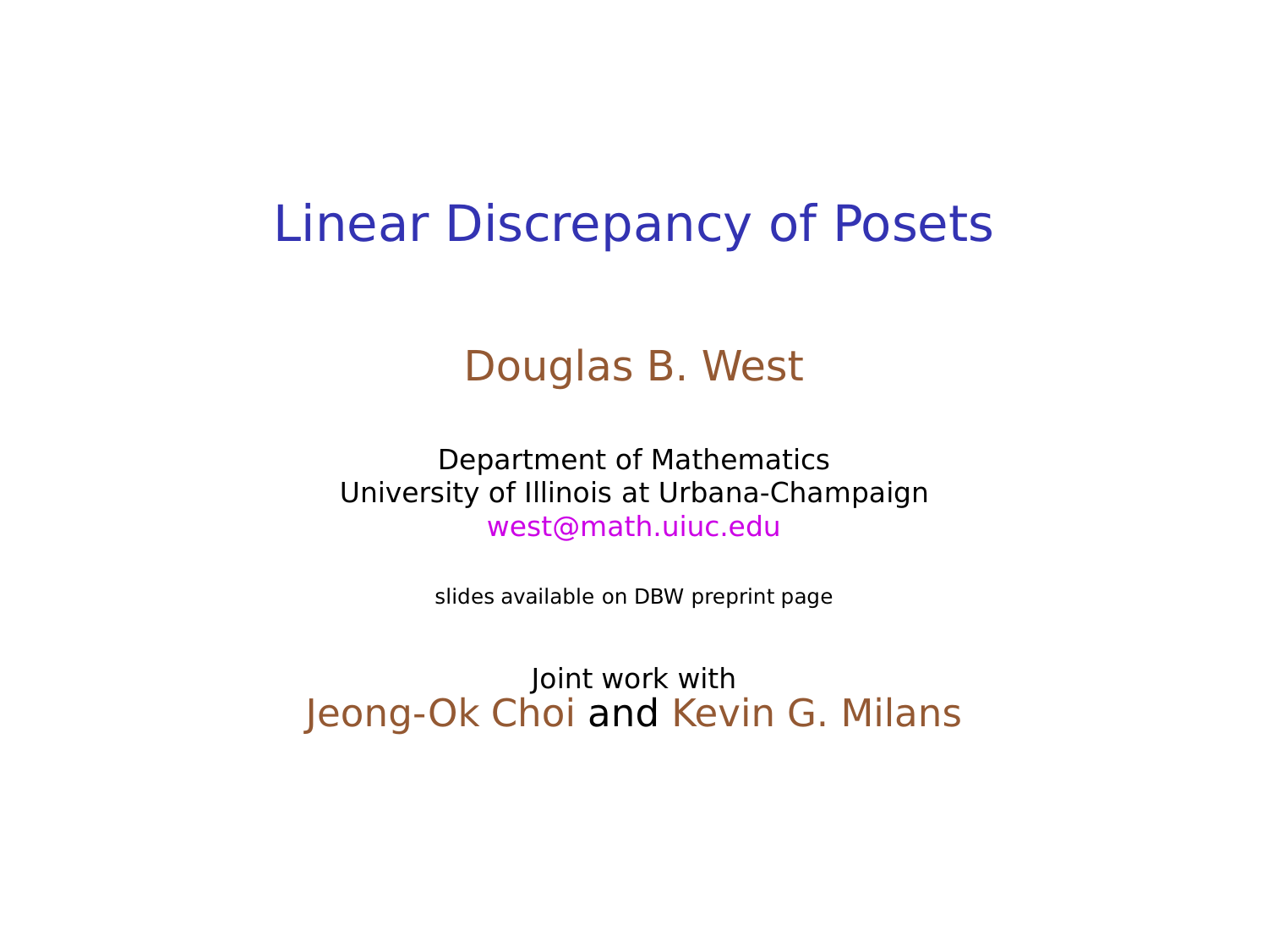#### Linear Discrepancy of Posets

#### Douglas B. West

Department of Mathematics University of Illinois at Urbana-Champaign west@math.uiuc.edu

slides available on DBW preprint page

Joint work with Jeong-Ok Choi and Kevin G. Milans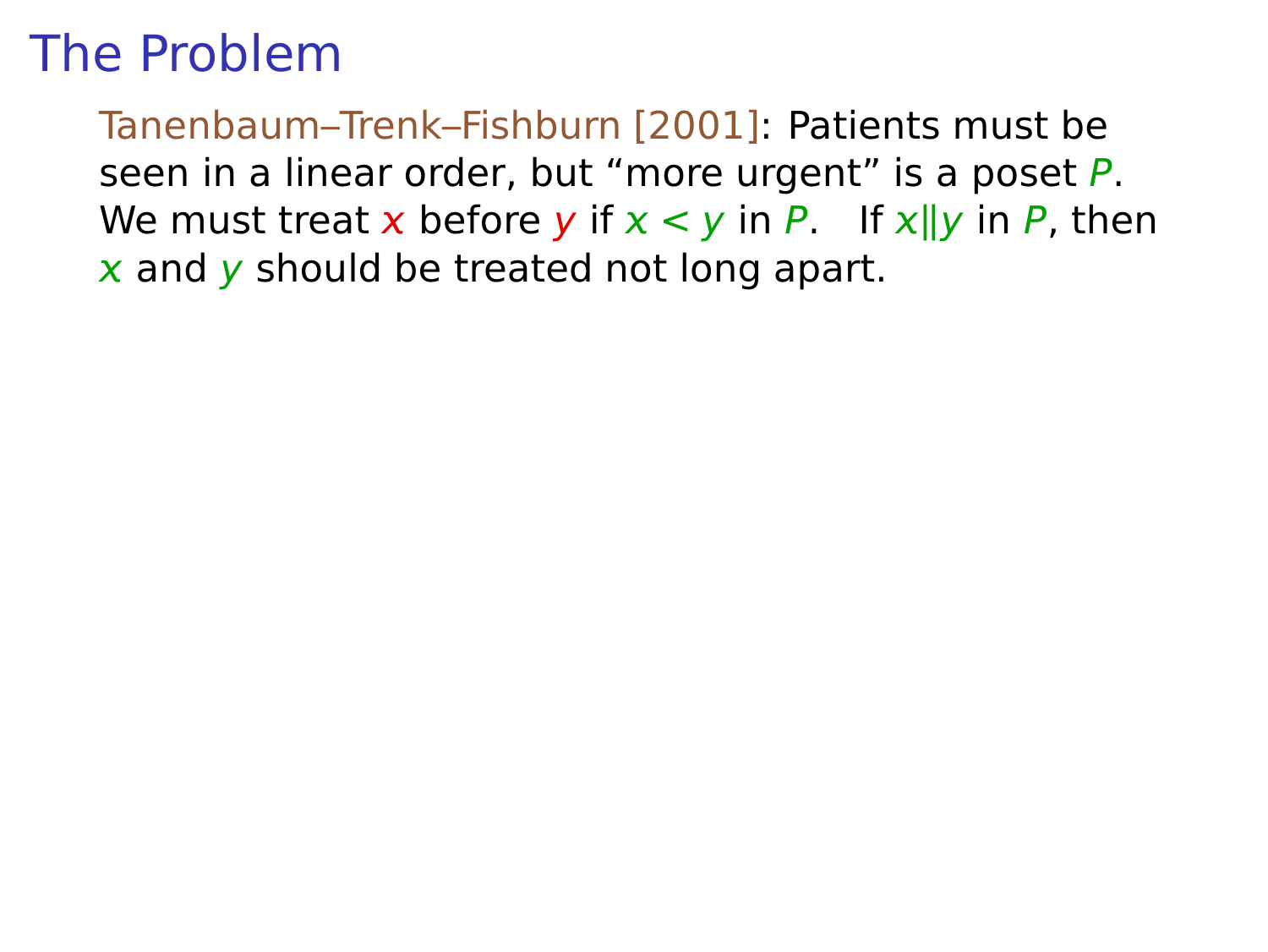Tanenbaum–Trenk–Fishburn [2001]: Patients must be seen in a linear order, but "more urgent" is a poset P. We must treat x before y if  $x < y$  in P. If  $x||y$  in P, then  $\overline{x}$  and  $\overline{y}$  should be treated not long apart.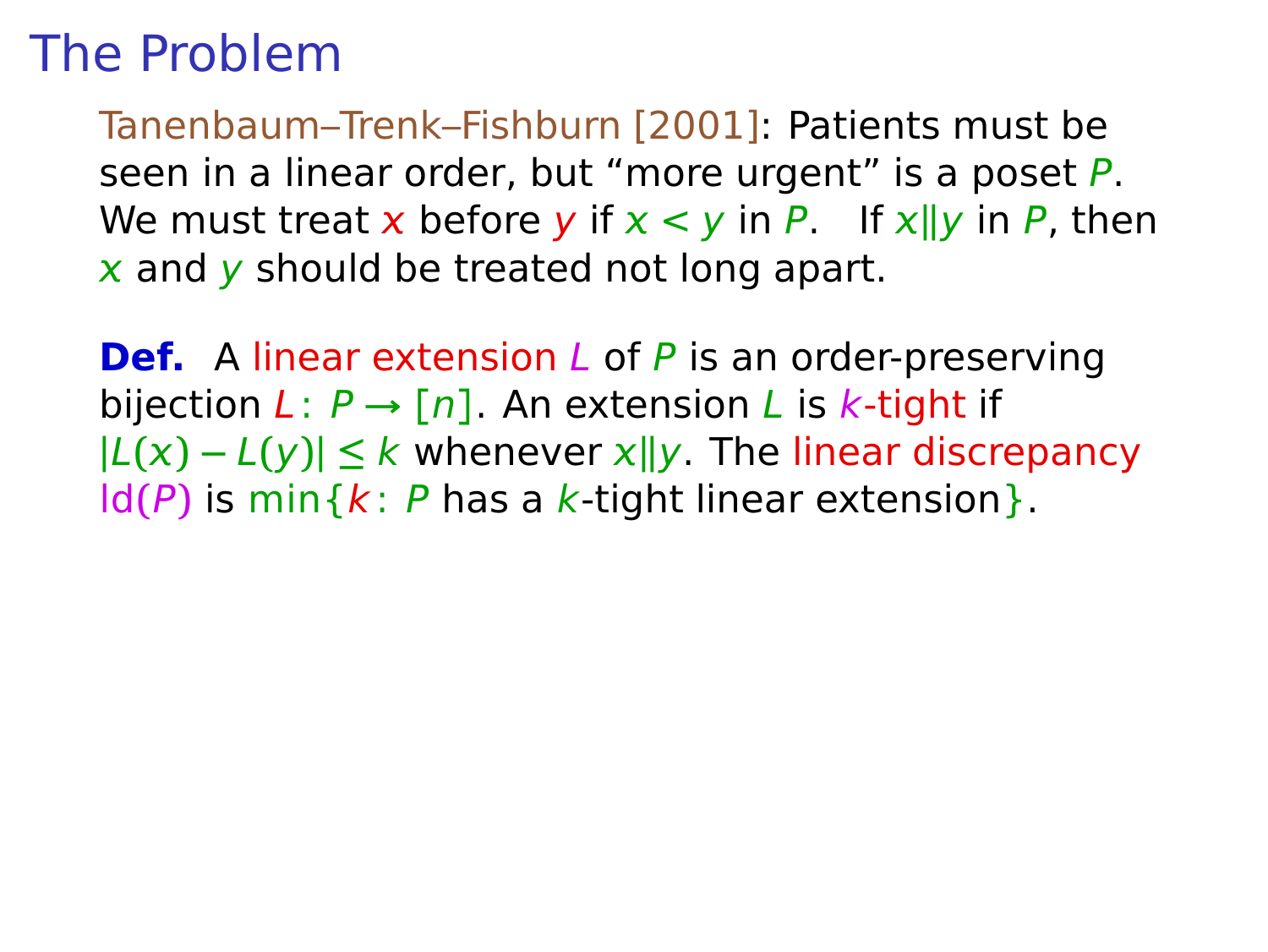Tanenbaum–Trenk–Fishburn [2001]: Patients must be seen in a linear order, but "more urgent" is a poset P. We must treat x before y if  $x < y$  in P. If  $x||y$  in P, then  $x$  and  $y$  should be treated not long apart.

**Def.** A linear extension L of P is an order-preserving bijection  $L: P \rightarrow [n]$ . An extension L is k-tight if  $|L(x) - L(y)|$  ≤ k whenever  $x||y$ . The linear discrepancy  $ld(P)$  is min $\{k: P$  has a k-tight linear extension $\}$ .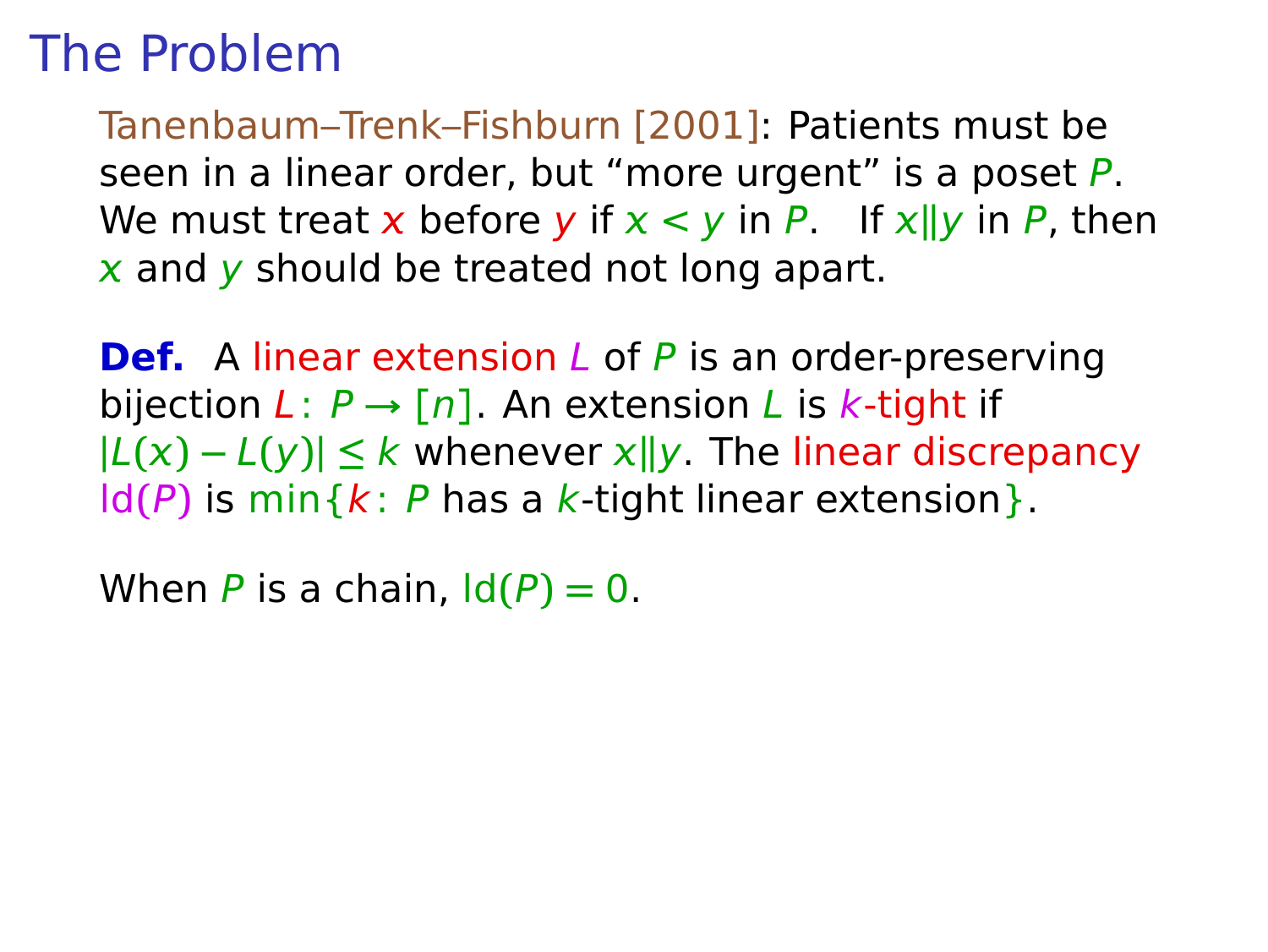Tanenbaum–Trenk–Fishburn [2001]: Patients must be seen in a linear order, but "more urgent" is a poset P. We must treat x before y if  $x < y$  in P. If  $x||y$  in P, then  $x$  and  $y$  should be treated not long apart.

**Def.** A linear extension L of P is an order-preserving bijection  $L: P \rightarrow [n]$ . An extension L is k-tight if  $|L(x) - L(y)|$  ≤ k whenever  $x||y$ . The linear discrepancy  $ld(P)$  is min $\{k: P$  has a k-tight linear extension $\}$ .

When P is a chain,  $\text{Id}(P) = 0$ .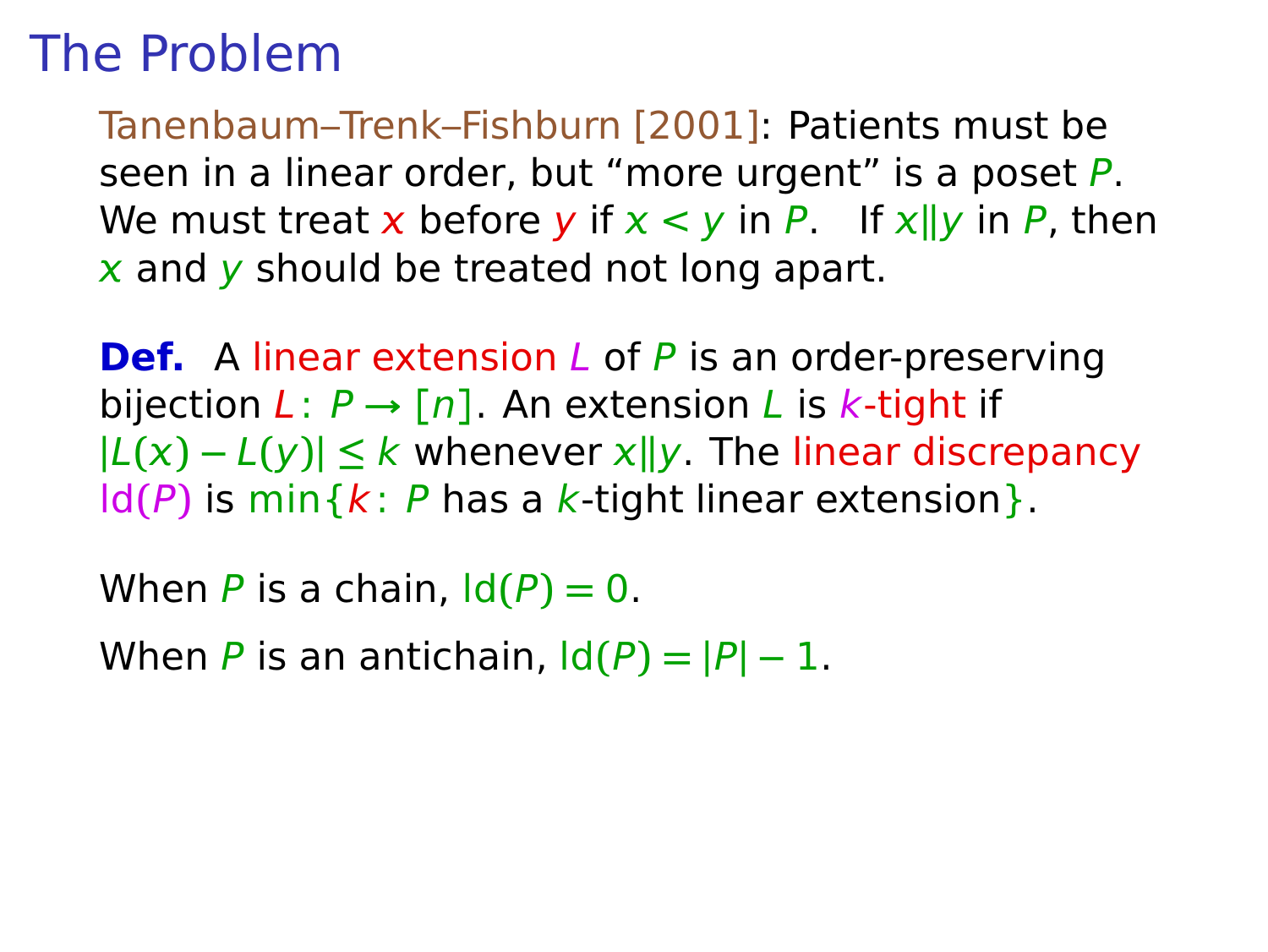Tanenbaum–Trenk–Fishburn [2001]: Patients must be seen in a linear order, but "more urgent" is a poset P. We must treat x before y if  $x < y$  in P. If  $x||y$  in P, then  $x$  and  $y$  should be treated not long apart.

**Def.** A linear extension L of P is an order-preserving bijection  $L: P \rightarrow [n]$ . An extension L is k-tight if  $|L(x) - L(y)|$  ≤ k whenever  $x||y$ . The linear discrepancy  $ld(P)$  is min $\{k: P$  has a k-tight linear extension $\}$ .

When P is a chain,  $\text{Id}(P) = 0$ .

When P is an antichain,  $\text{Id}(P) = |P| - 1$ .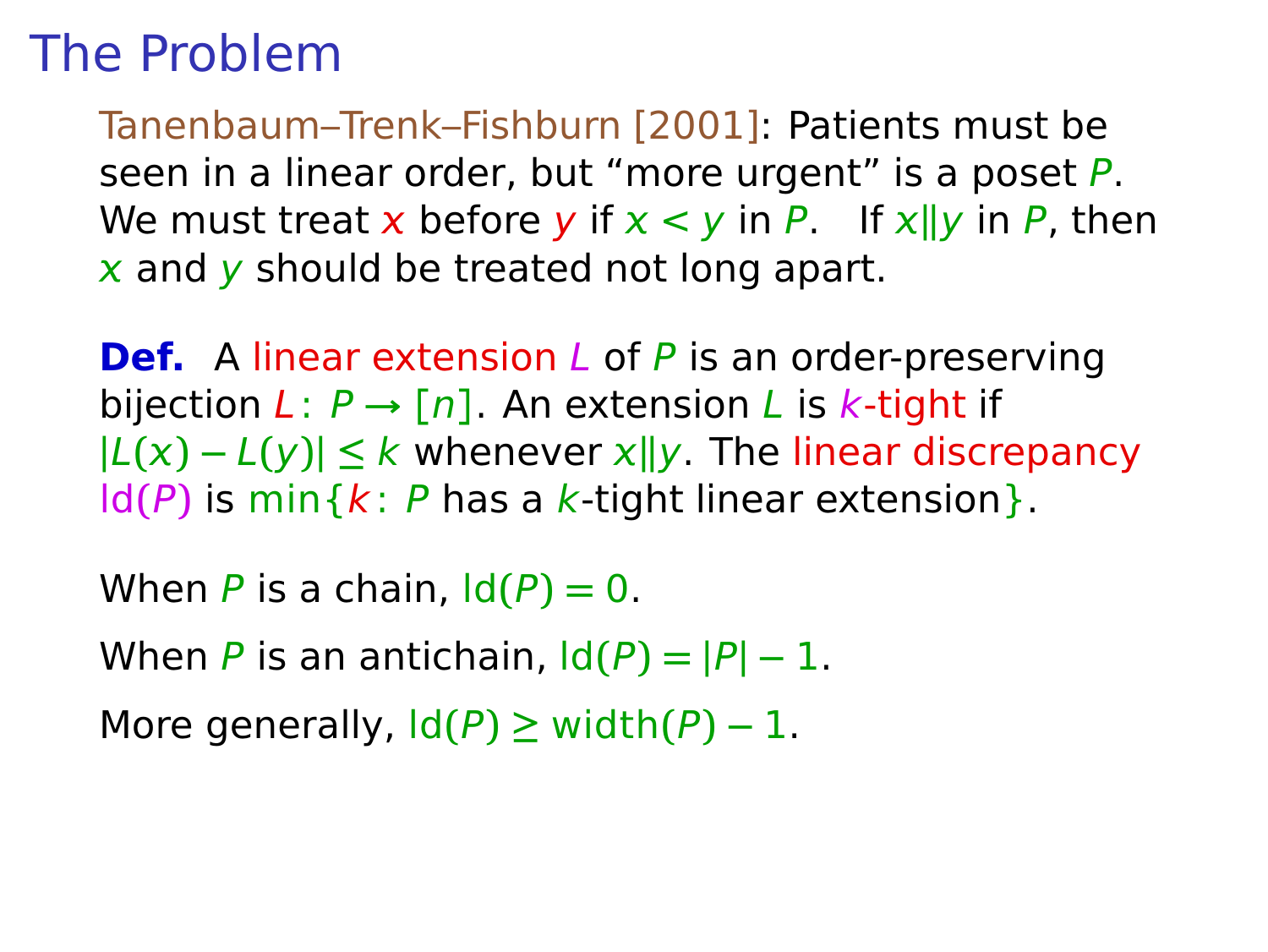Tanenbaum–Trenk–Fishburn [2001]: Patients must be seen in a linear order, but "more urgent" is a poset P. We must treat x before y if  $x < y$  in P. If  $x||y$  in P, then  $x$  and  $y$  should be treated not long apart.

**Def.** A linear extension L of P is an order-preserving bijection  $L: P \rightarrow [n]$ . An extension L is k-tight if  $|L(x) - L(y)|$  ≤ k whenever  $x||y$ . The linear discrepancy  $ld(P)$  is min $\{k: P$  has a k-tight linear extension $\}$ .

When P is a chain,  $\text{Id}(P) = 0$ . When P is an antichain,  $\text{Id}(P) = |P| - 1$ . More generally,  $\text{Id}(P) \geq \text{width}(P) - 1$ .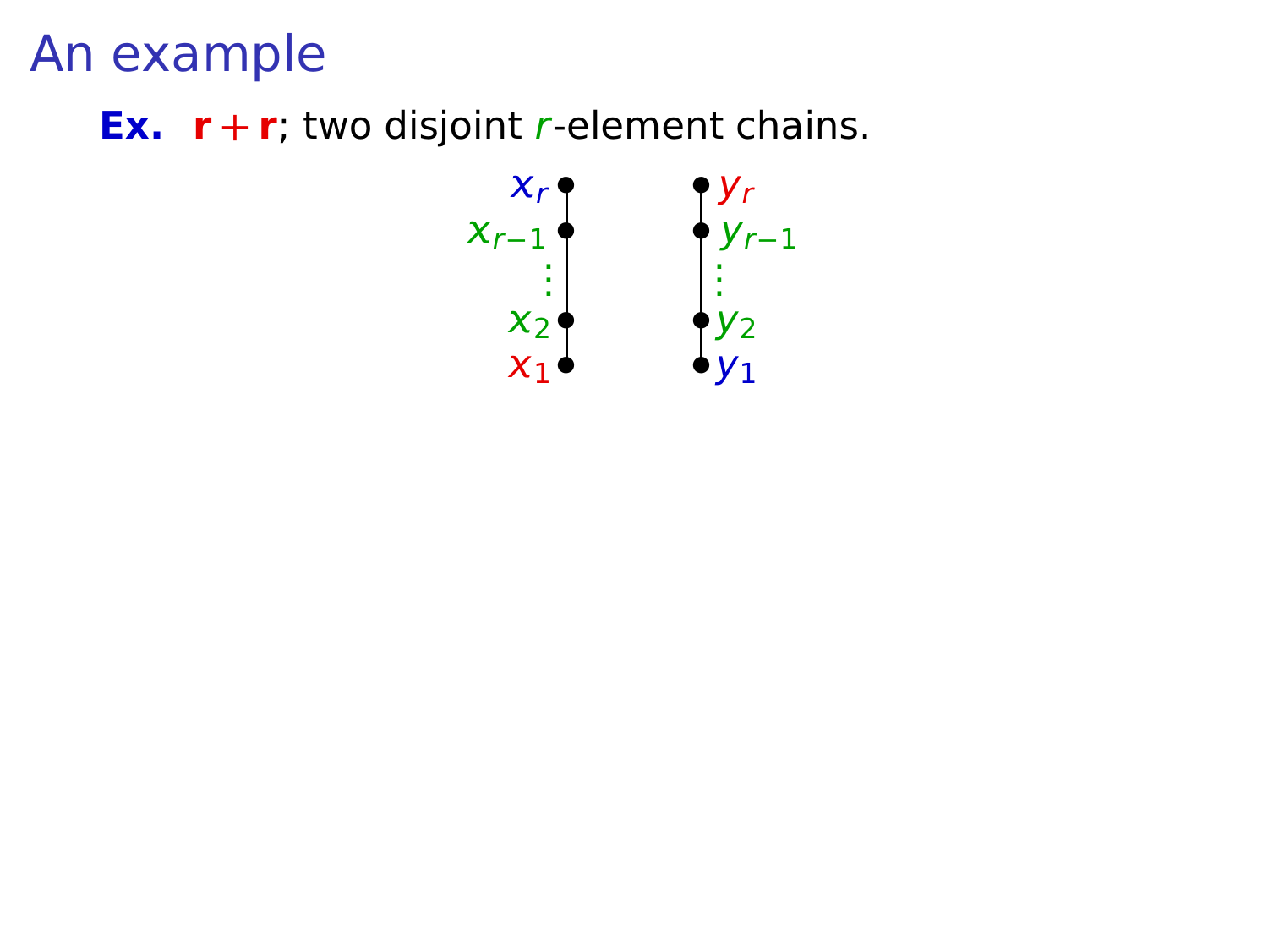**Ex.**  $\mathbf{r} + \mathbf{r}$ ; two disjoint *r*-element chains.

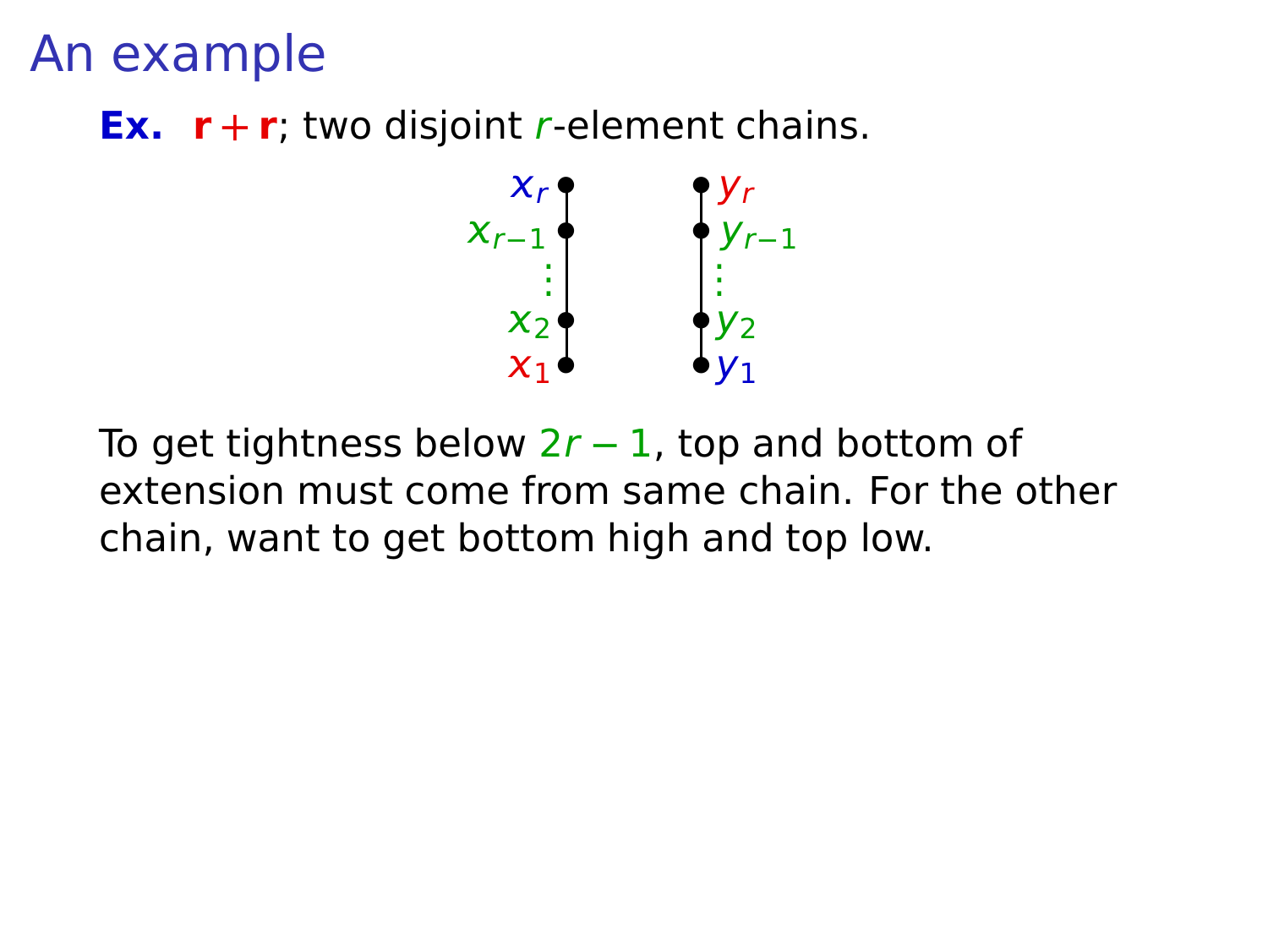**Ex.**  $\mathbf{r} + \mathbf{r}$ ; two disjoint *r*-element chains.



To get tightness below 2r **−** 1, top and bottom of extension must come from same chain. For the other chain, want to get bottom high and top low.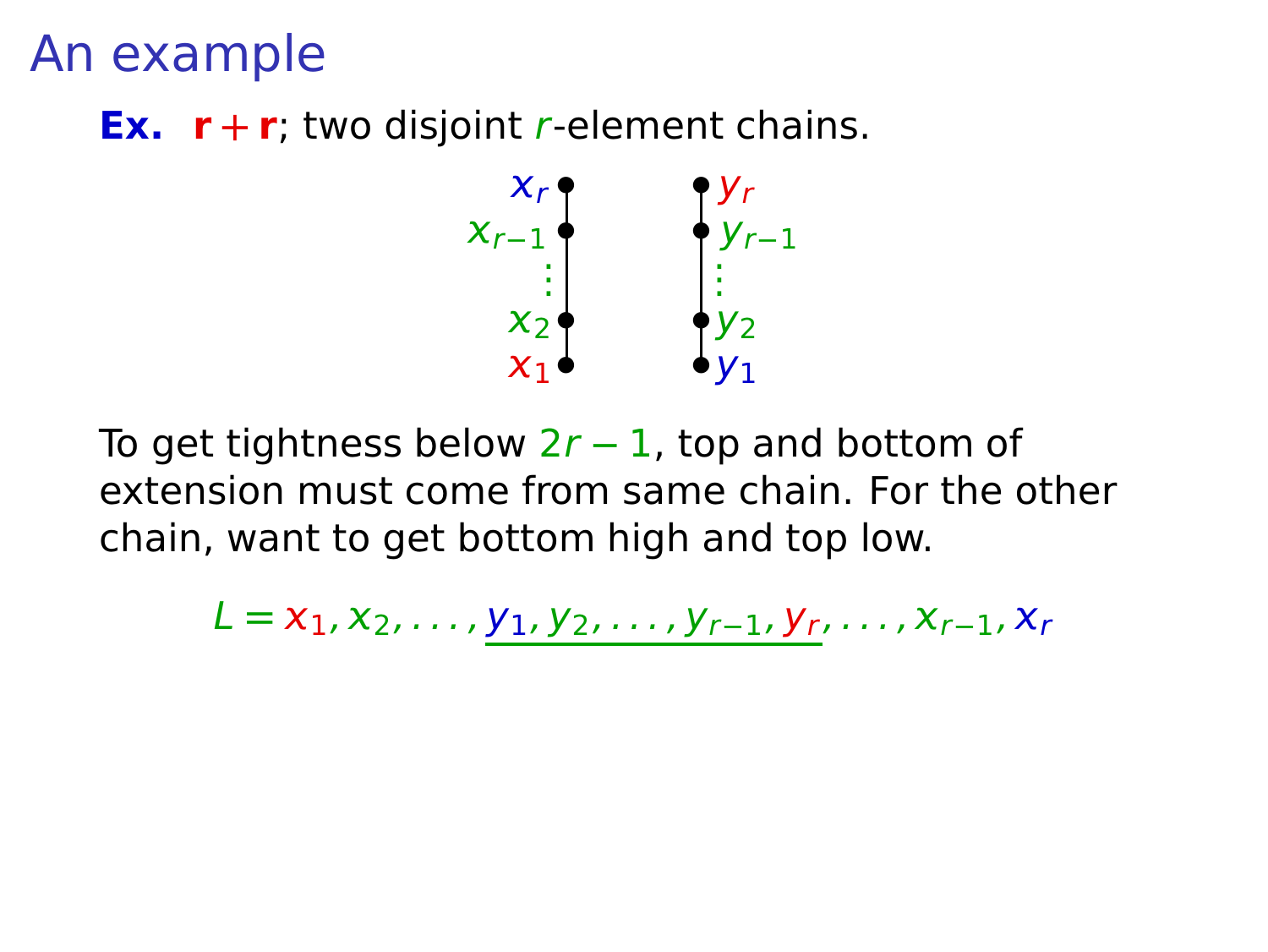**Ex.**  $\mathbf{r} + \mathbf{r}$ ; two disjoint *r*-element chains.



To get tightness below 2r **−** 1, top and bottom of extension must come from same chain. For the other chain, want to get bottom high and top low.

 $L = x_1, x_2, \ldots, y_1, y_2, \ldots, y_{r-1}, y_r, \ldots, x_{r-1}, x_r$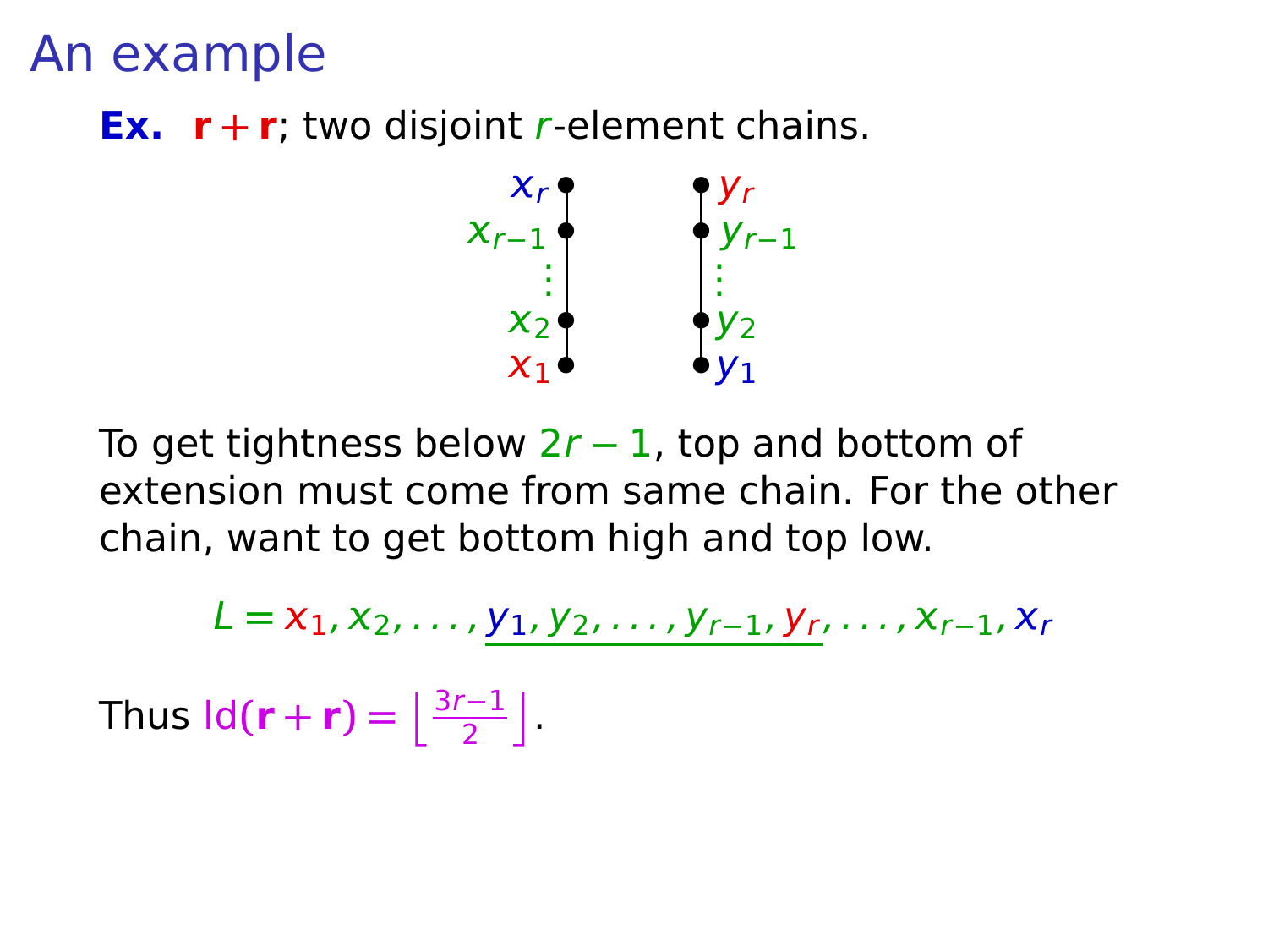**Ex.**  $\mathbf{r} + \mathbf{r}$ ; two disjoint *r*-element chains.



To get tightness below 2r **−** 1, top and bottom of extension must come from same chain. For the other chain, want to get bottom high and top low.

 $L = x_1, x_2, \ldots, y_1, y_2, \ldots, y_{r-1}, y_r, \ldots, x_{r-1}, x_r$ 

Thus  $\text{Id}(\mathbf{r} + \mathbf{r}) = \left\lfloor \frac{3r-1}{2} \right\rfloor$ .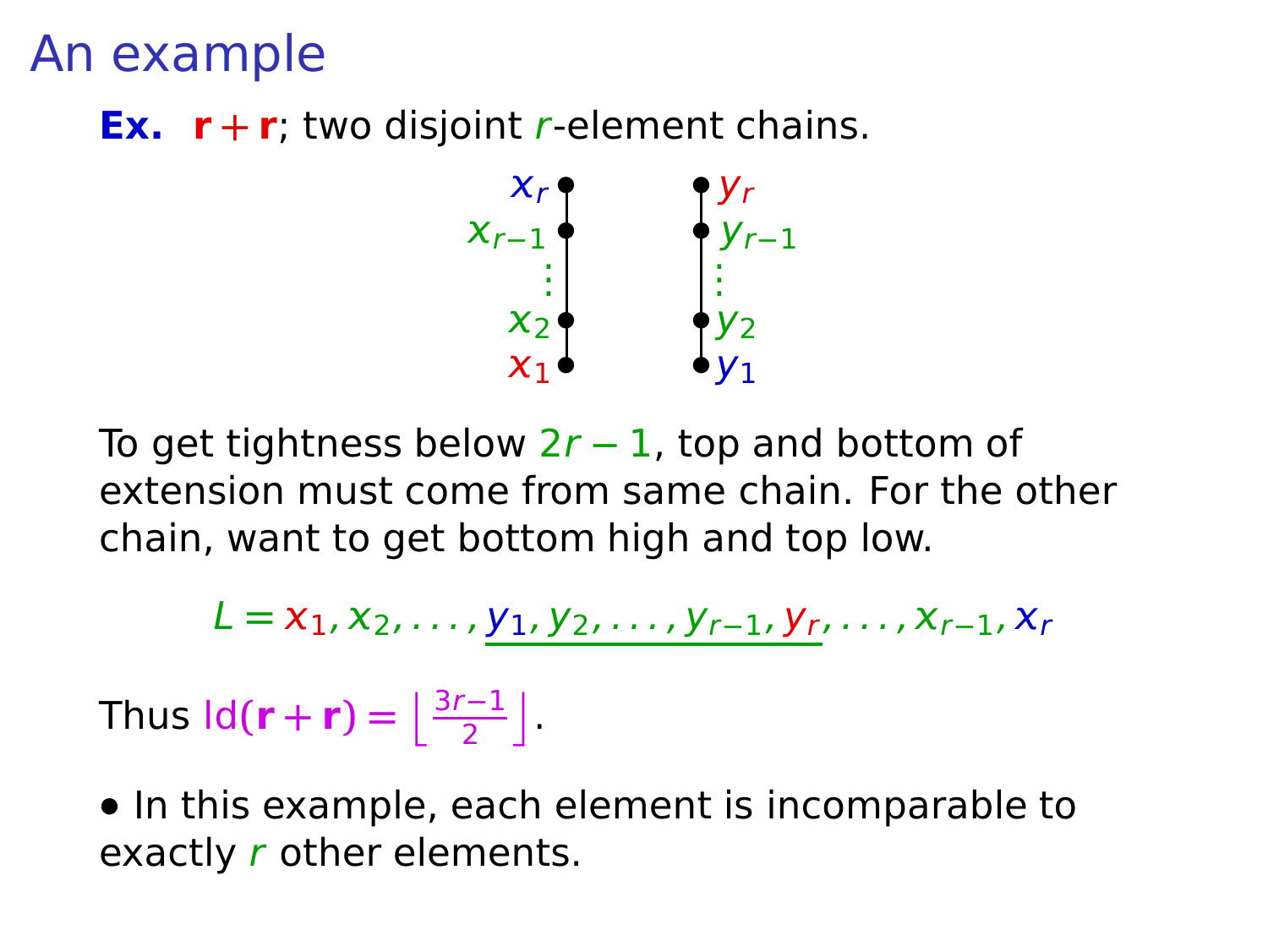**Ex.**  $\mathbf{r} + \mathbf{r}$ ; two disjoint *r*-element chains.



To get tightness below 2r **−** 1, top and bottom of extension must come from same chain. For the other chain, want to get bottom high and top low.

$$
L = x_1, x_2, \ldots, \underline{y_1, y_2, \ldots, y_{r-1}, y_r}, \ldots, x_{r-1}, x_r
$$

Thus  $\text{Id}(\mathbf{r} + \mathbf{r}) = \left\lfloor \frac{3r-1}{2} \right\rfloor$ .

**•** In this example, each element is incomparable to exactly r other elements.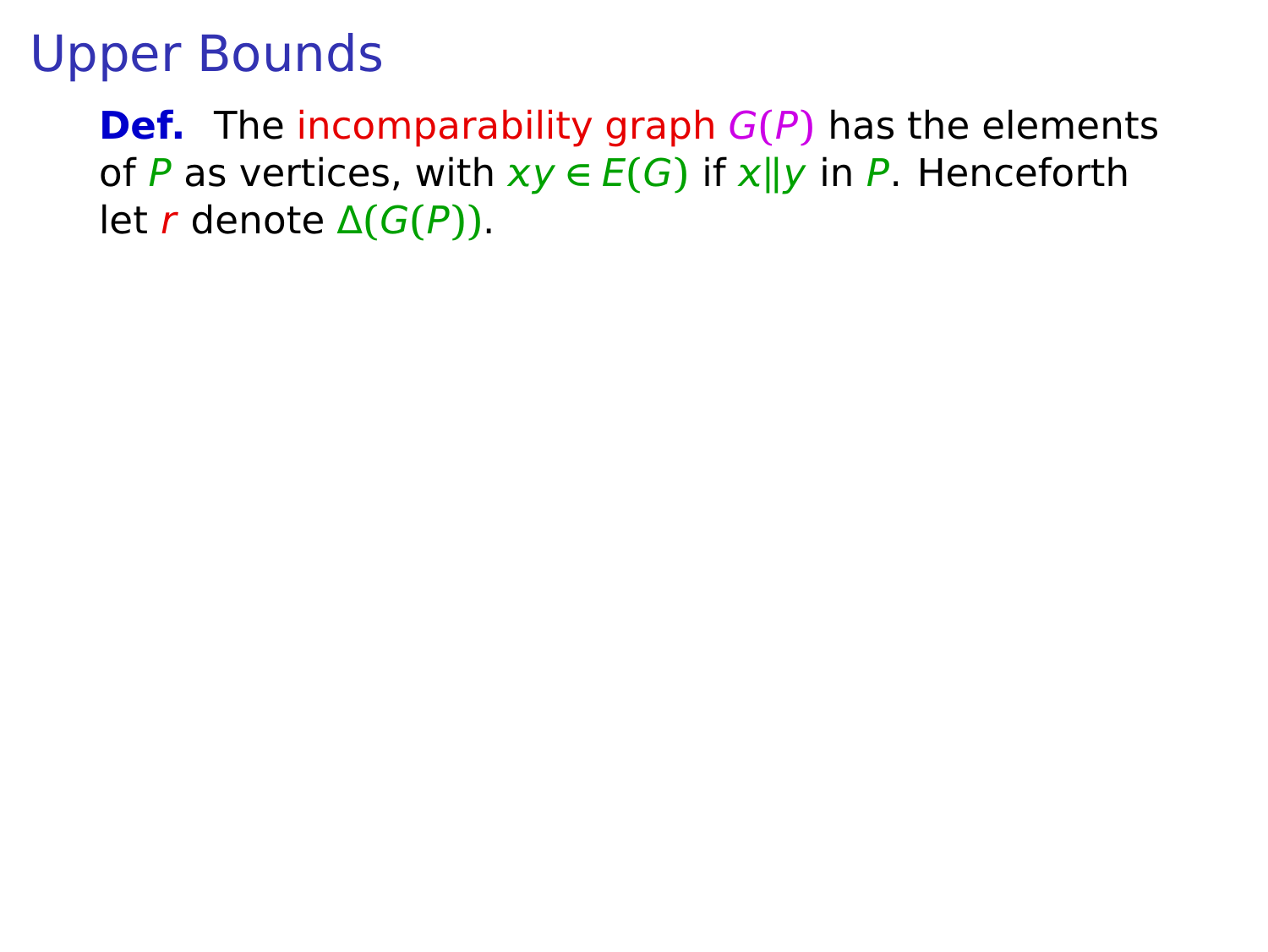**Def.** The incomparability graph G**(**P**)** has the elements of P as vertices, with  $xy \in E(G)$  if  $x||y$  in P. Henceforth let r denote Δ**(**G**(**P**))**.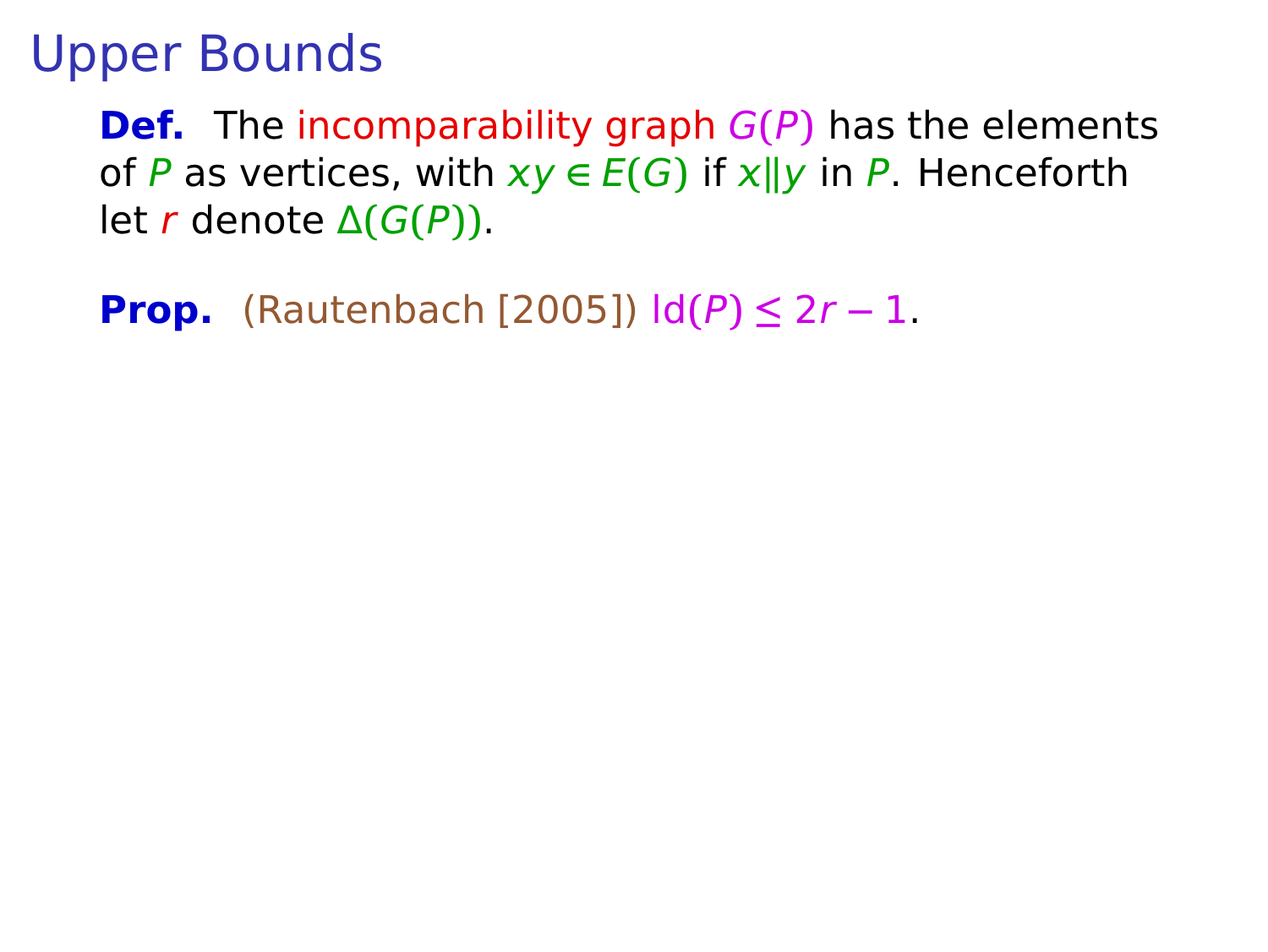**Def.** The incomparability graph G**(**P**)** has the elements of P as vertices, with  $xy \in E(G)$  if  $x||y$  in P. Henceforth let r denote Δ**(**G**(**P**))**.

**Prop.** (Rautenbach [2005])  $\text{Id}(P) \leq 2r - 1$ .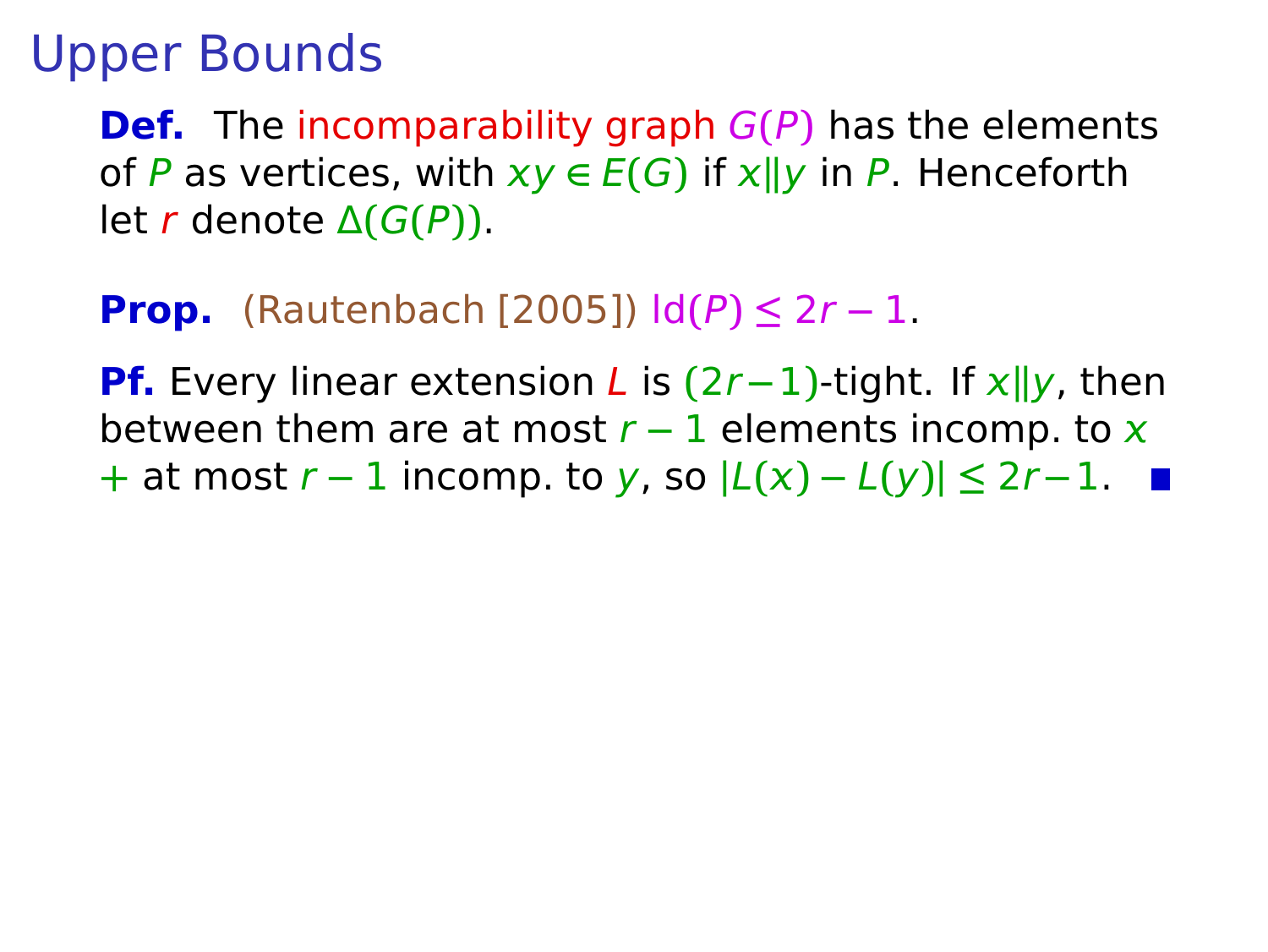**Def.** The incomparability graph G**(**P**)** has the elements of P as vertices, with  $xy \in E(G)$  if  $x||y$  in P. Henceforth let r denote Δ**(**G**(**P**))**.

#### **Prop.** (Rautenbach [2005])  $\text{Id}(P) \leq 2r - 1$ .

**Pf.** Every linear extension L is **(**2r**−**1**)**-tight. If **k**y, then between them are at most  $r - 1$  elements incomp. to x **+** at most r **−** 1 incomp. to y, so **|**L**() −** L**(**y**)| ≤** 2r**−**1.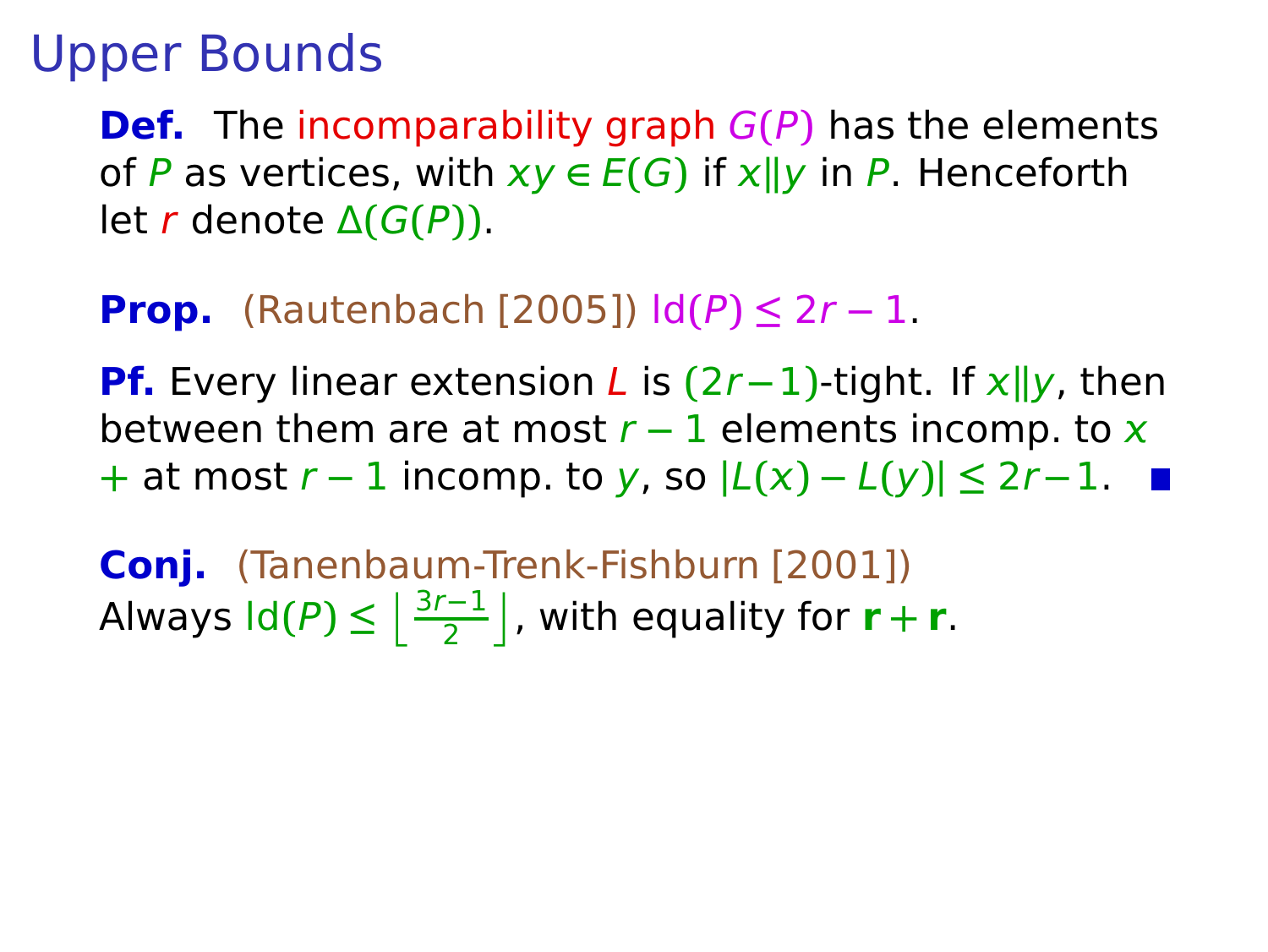**Def.** The incomparability graph G**(**P**)** has the elements of P as vertices, with  $xy \in E(G)$  if  $x||y$  in P. Henceforth let r denote Δ**(**G**(**P**))**.

#### **Prop.** (Rautenbach [2005])  $\text{Id}(P) \leq 2r - 1$ .

**Pf.** Every linear extension L is **(**2r**−**1**)**-tight. If **k**y, then between them are at most  $r - 1$  elements incomp. to x **+** at most r **−** 1 incomp. to y, so **|**L**() −** L**(**y**)| ≤** 2r**−**1.

**Conj.** (Tanenbaum-Trenk-Fishburn [2001]) Always  $ld(P) \leq \left\lfloor \frac{3r-1}{2} \right\rfloor$ , with equality for  $r + r$ .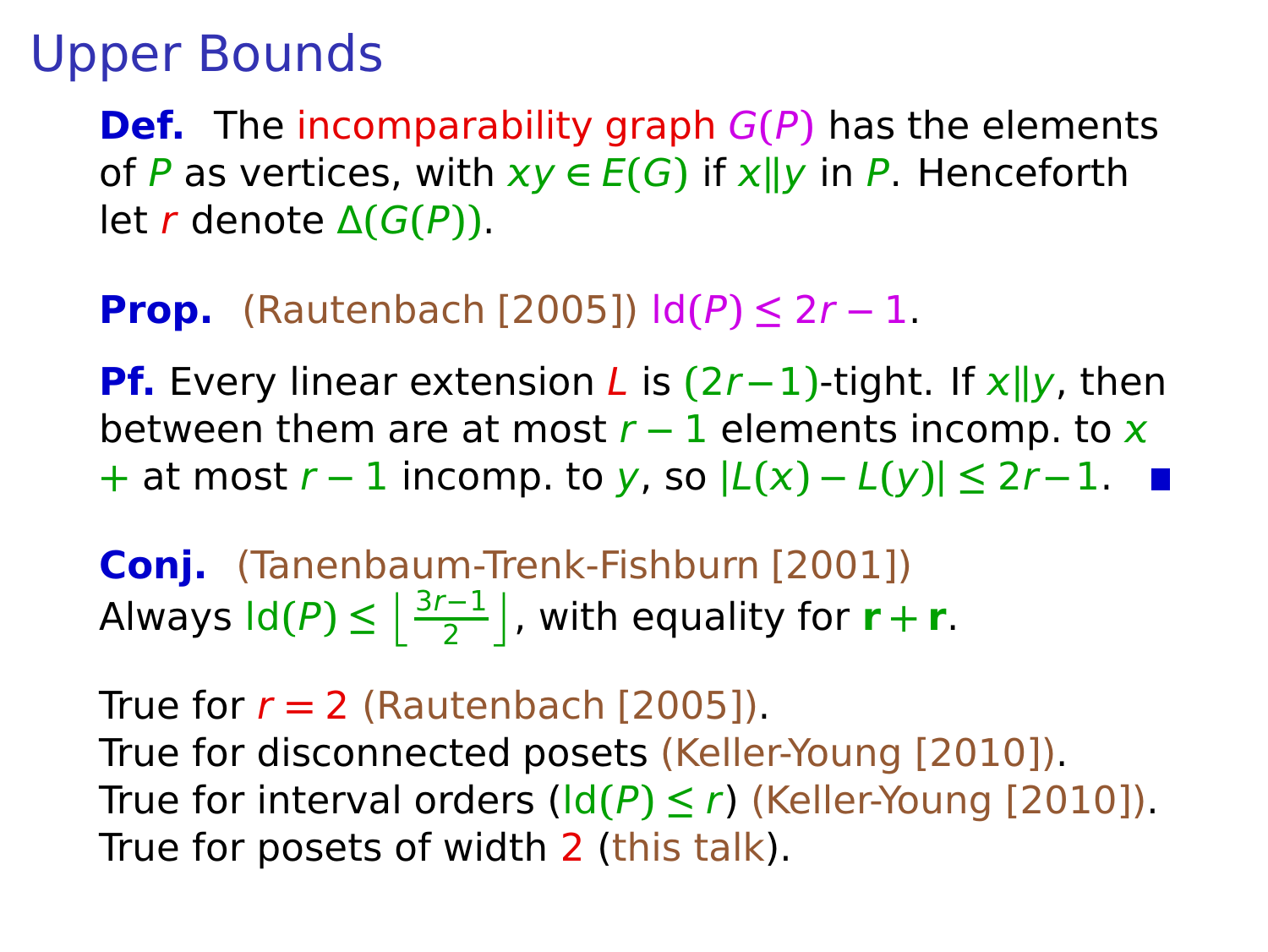**Def.** The incomparability graph G**(**P**)** has the elements of P as vertices, with  $xy \in E(G)$  if  $x||y$  in P. Henceforth let r denote Δ**(**G**(**P**))**.

#### **Prop.** (Rautenbach [2005])  $\text{Id}(P) \leq 2r - 1$ .

**Pf.** Every linear extension L is **(**2r**−**1**)**-tight. If **k**y, then between them are at most  $r - 1$  elements incomp. to x **+** at most r **−** 1 incomp. to y, so **|**L**() −** L**(**y**)| ≤** 2r**−**1.

**Conj.** (Tanenbaum-Trenk-Fishburn [2001]) Always  $ld(P) \leq \left\lfloor \frac{3r-1}{2} \right\rfloor$ , with equality for  $r + r$ .

True for  $r = 2$  (Rautenbach [2005]). True for disconnected posets (Keller-Young [2010]). True for interval orders  $\left(\frac{Id(P)}{S}\right) \leq r$ ) (Keller-Young [2010]). True for posets of width 2 (this talk).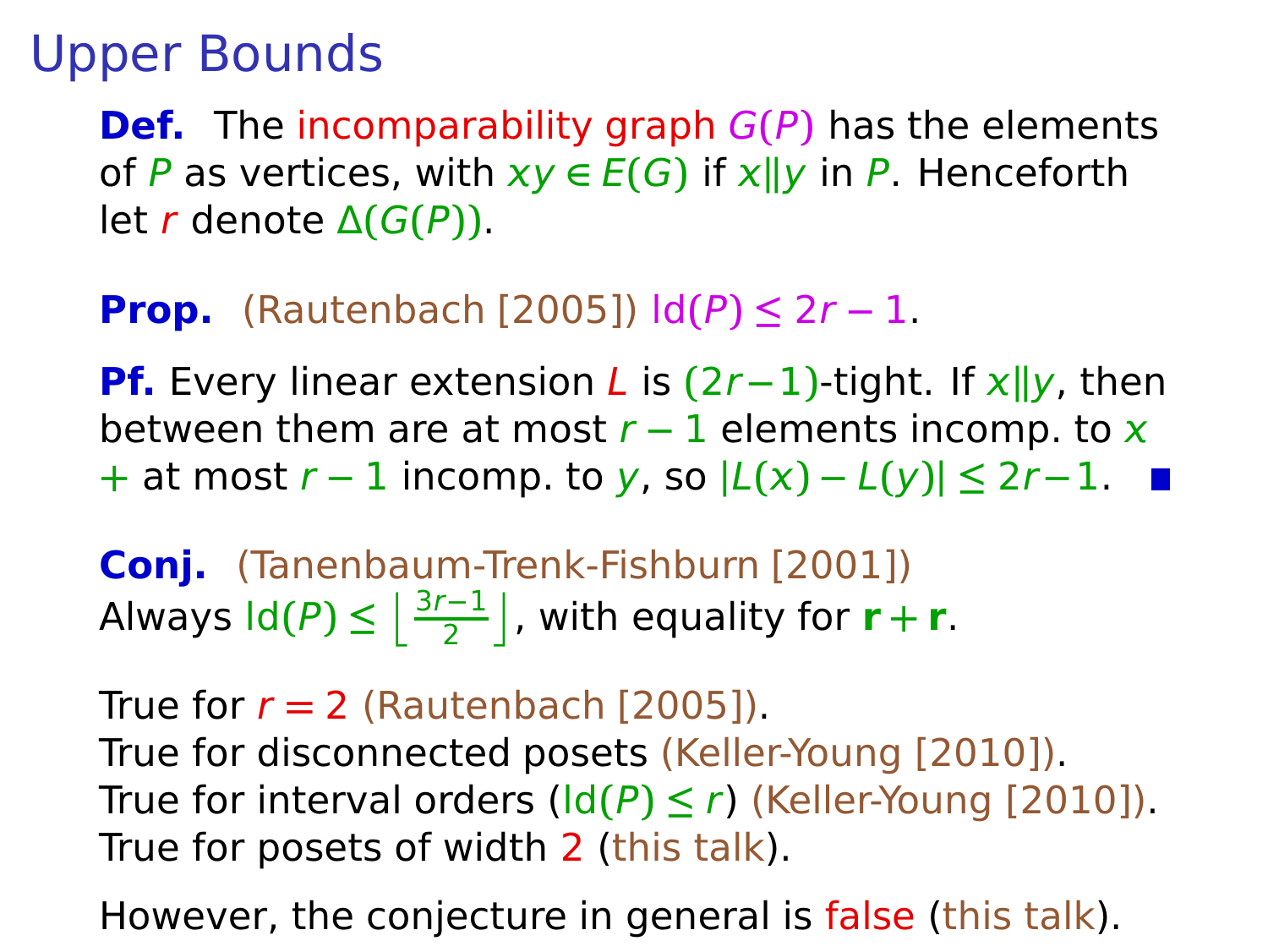**Def.** The incomparability graph G**(**P**)** has the elements of P as vertices, with  $xy \in E(G)$  if  $x||y$  in P. Henceforth let r denote Δ**(**G**(**P**))**.

#### **Prop.** (Rautenbach [2005])  $\text{Id}(P) \leq 2r - 1$ .

**Pf.** Every linear extension L is **(**2r**−**1**)**-tight. If **k**y, then between them are at most  $r - 1$  elements incomp. to x **+** at most r **−** 1 incomp. to y, so **|**L**() −** L**(**y**)| ≤** 2r**−**1.

**Conj.** (Tanenbaum-Trenk-Fishburn [2001]) Always  $ld(P) \leq \left\lfloor \frac{3r-1}{2} \right\rfloor$ , with equality for  $r + r$ .

True for  $r = 2$  (Rautenbach [2005]). True for disconnected posets (Keller-Young [2010]). True for interval orders  $\left(\frac{Id(P)}{S}\right) \leq r$ ) (Keller-Young [2010]). True for posets of width 2 (this talk).

However, the conjecture in general is false (this talk).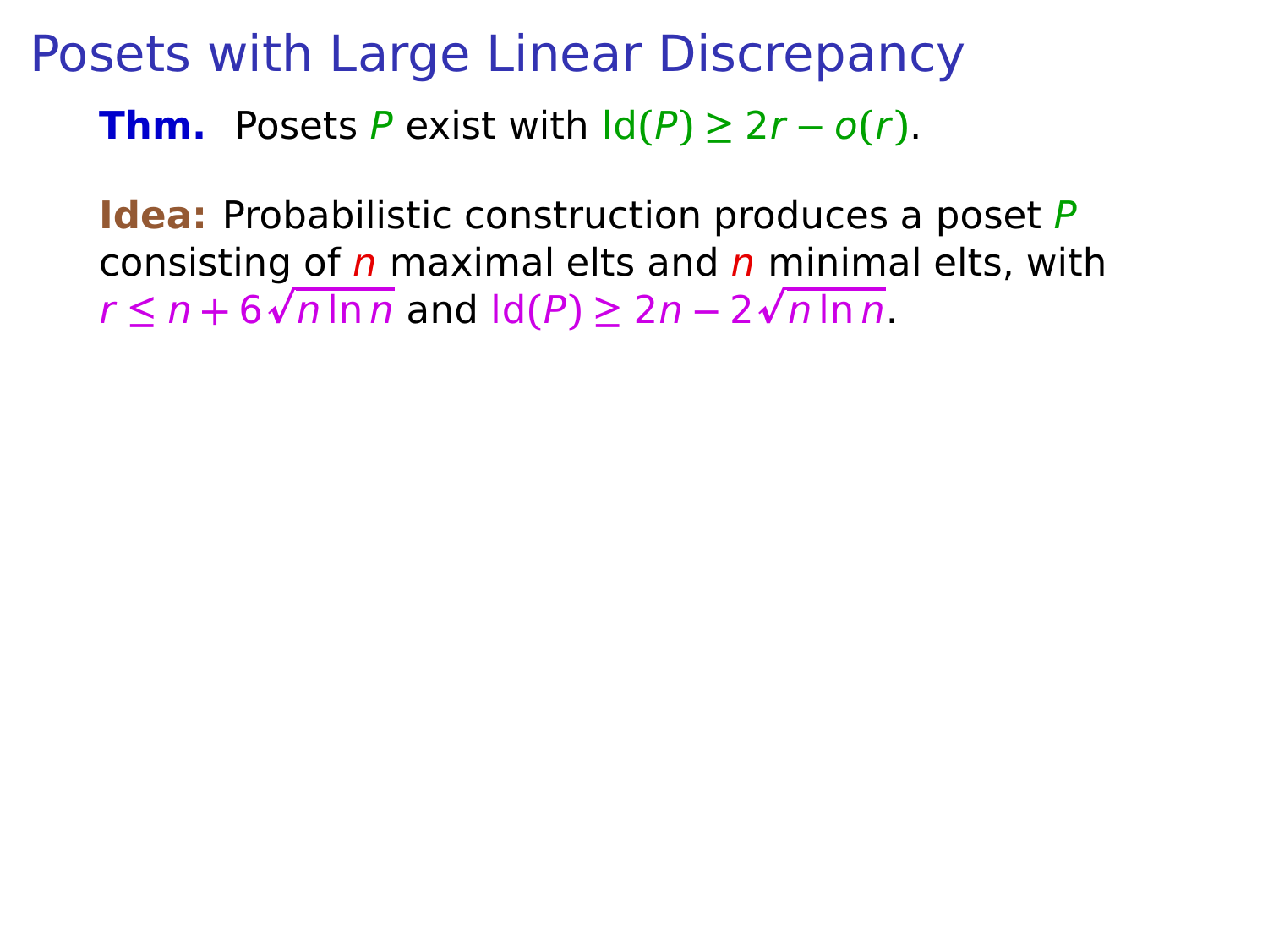# Posets with Large Linear Discrepancy

**Thm.** Posets P exist with  $\text{Id}(P) \geq 2r - o(r)$ .

**Idea:** Probabilistic construction produces a poset P consisting of  $n$  maximal elts and  $n$  minimal elts, with  $r \leq n + 6\sqrt{n \ln n}$  and  $\text{Id}(P) \geq 2n - 2\sqrt{n \ln n}$ .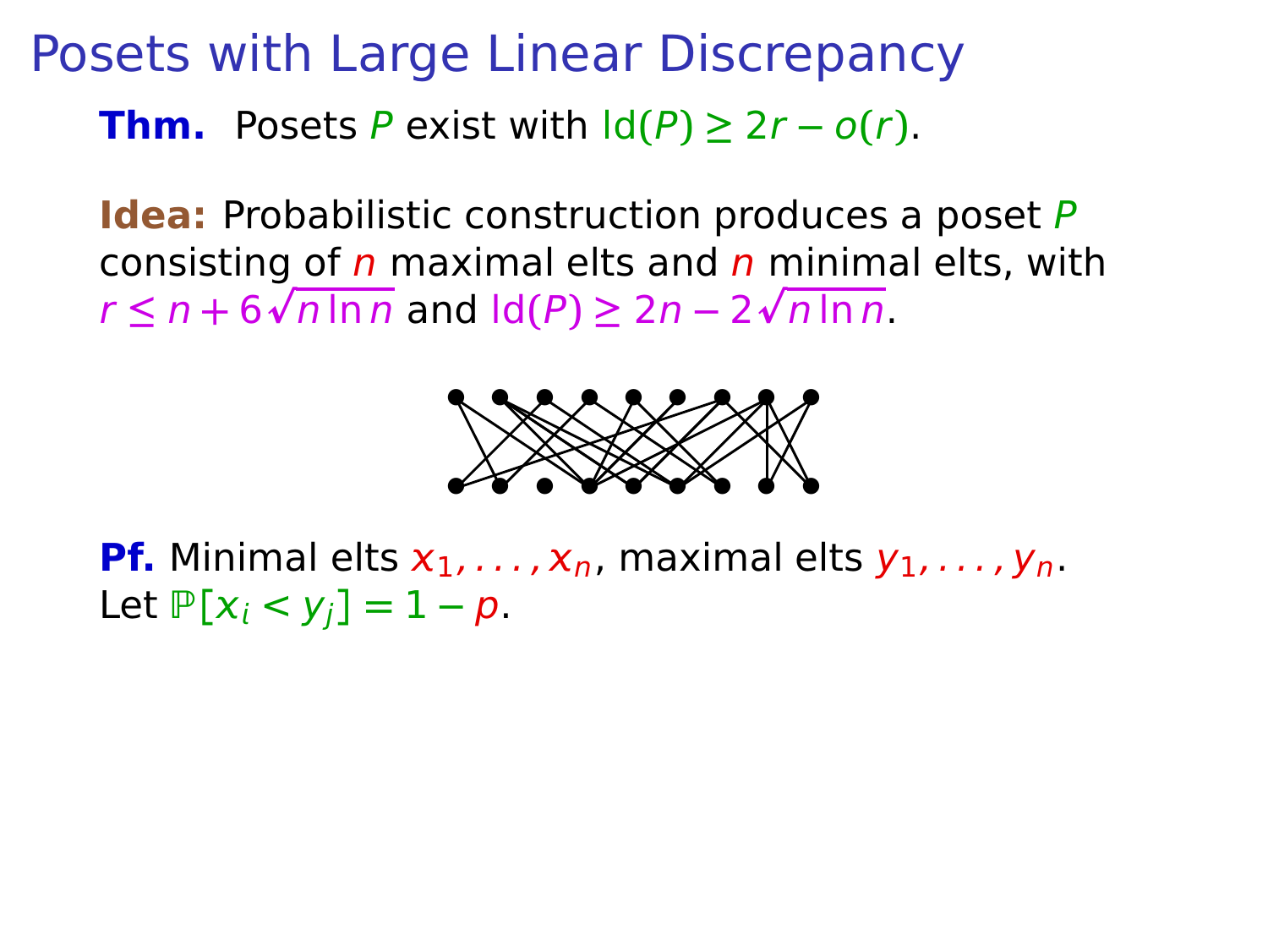**Idea:** Probabilistic construction produces a poset P consisting of  $n$  maximal elts and  $n$  minimal elts, with  $r \leq n + 6\sqrt{n \ln n}$  and  $\text{Id}(P) \geq 2n - 2\sqrt{n \ln n}$ .



**Pf.** Minimal elts  $x_1, \ldots, x_n$ , maximal elts  $y_1, \ldots, y_n$ . Let  $P[x_i < y_i] = 1 - p$ .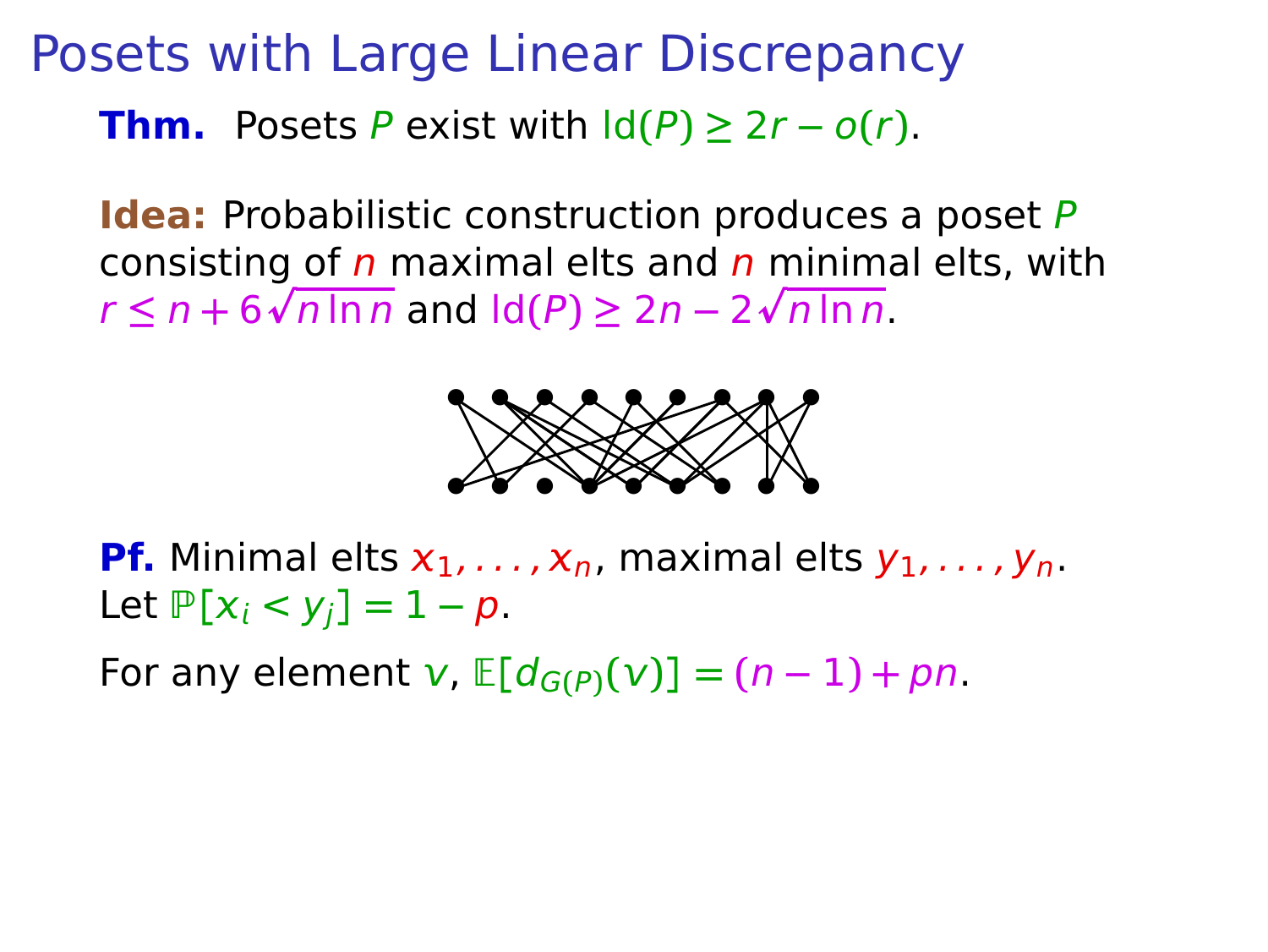**Idea:** Probabilistic construction produces a poset P consisting of  $n$  maximal elts and  $n$  minimal elts, with  $r \leq n + 6\sqrt{n \ln n}$  and  $\text{Id}(P) \geq 2n - 2\sqrt{n \ln n}$ .



**Pf.** Minimal elts  $x_1, \ldots, x_n$ , maximal elts  $y_1, \ldots, y_n$ . Let  $P[x_i < y_i] = 1 - p$ .

For any element  $v$ ,  $E[d_{G(P)}(v)] = (n-1) + pn$ .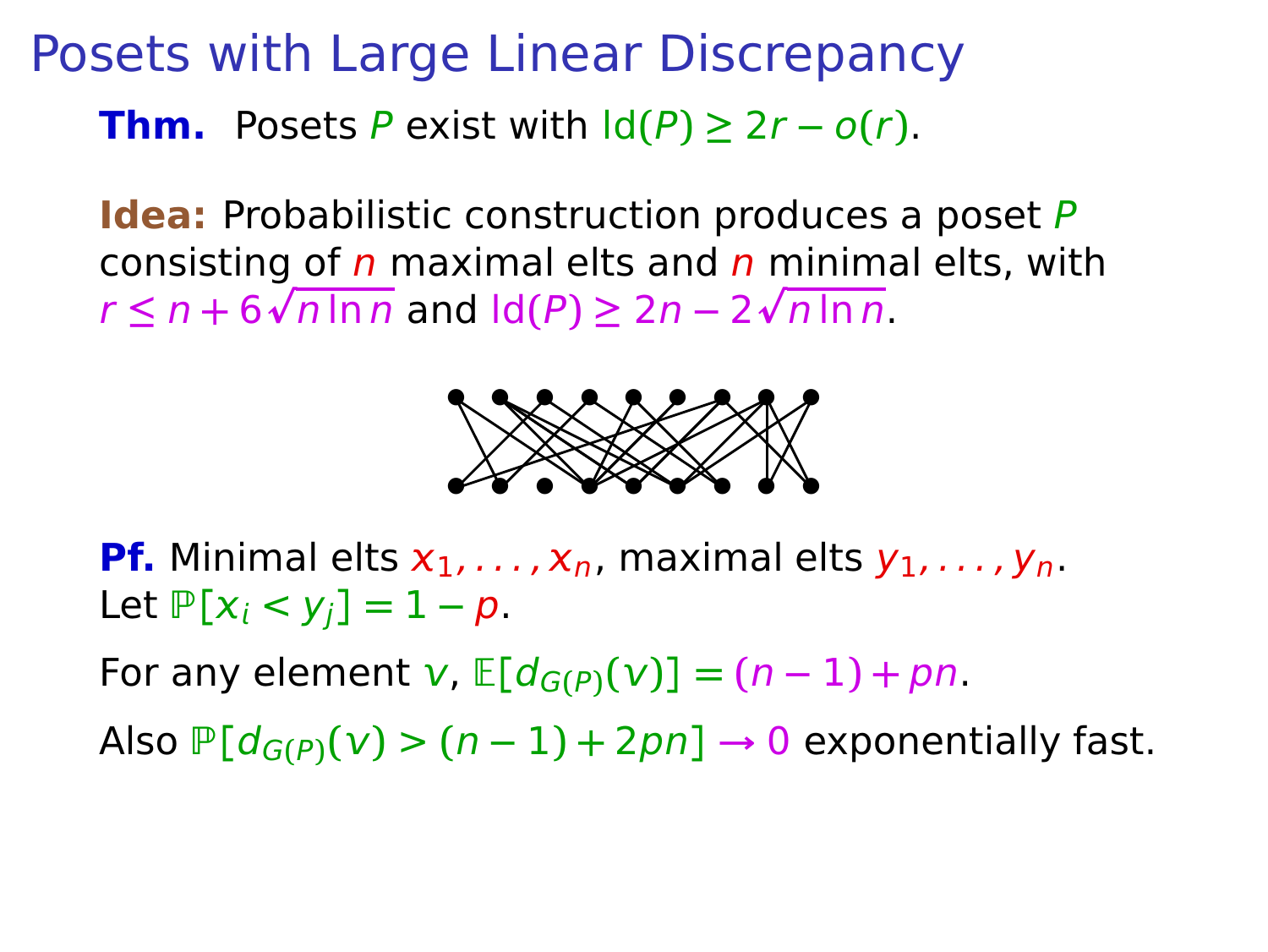**Idea:** Probabilistic construction produces a poset P consisting of  $n$  maximal elts and  $n$  minimal elts, with  $r \leq n + 6\sqrt{n \ln n}$  and  $\text{Id}(P) \geq 2n - 2\sqrt{n \ln n}$ .



**Pf.** Minimal elts  $x_1, \ldots, x_n$ , maximal elts  $y_1, \ldots, y_n$ . Let  $P[x_i < y_i] = 1 - p$ .

For any element  $v$ ,  $E[d_{G(P)}(v)] = (n-1) + pn$ .

Also  $P[d_{G(P)}(v) > (n-1) + 2pn] \rightarrow 0$  exponentially fast.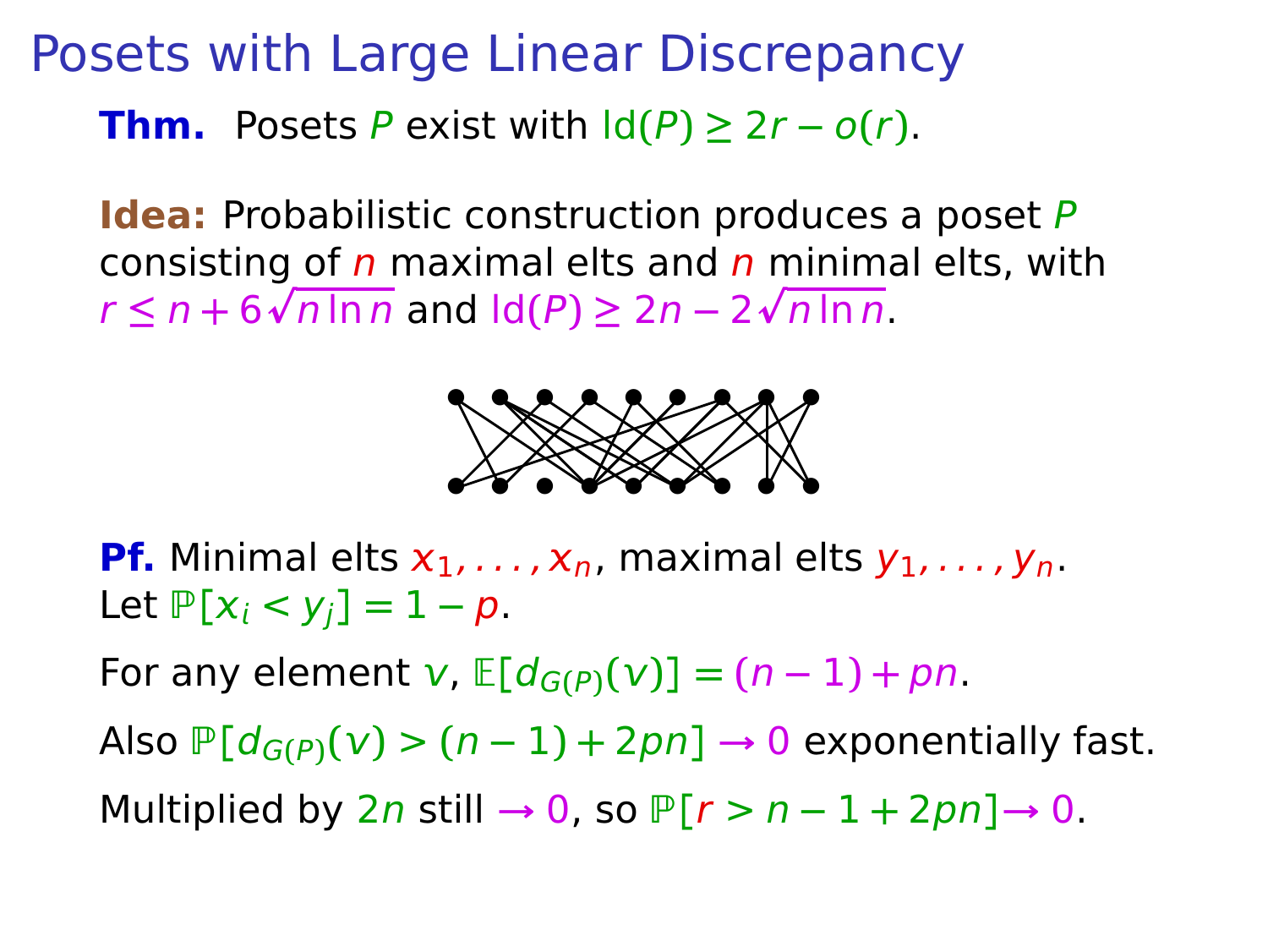**Idea:** Probabilistic construction produces a poset P consisting of  $n$  maximal elts and  $n$  minimal elts, with  $r \leq n + 6\sqrt{n \ln n}$  and  $\text{Id}(P) \geq 2n - 2\sqrt{n \ln n}$ .



**Pf.** Minimal elts  $x_1, \ldots, x_n$ , maximal elts  $y_1, \ldots, y_n$ . Let  $P[x_i < y_i] = 1 - p$ .

For any element  $v$ ,  $E[d_{G(P)}(v)] = (n-1) + pn$ .

Also  $P[d_{G(P)}(v) > (n-1) + 2pn] \rightarrow 0$  exponentially fast.

Multiplied by  $2n$  still  $\rightarrow 0$ , so  $P[r > n - 1 + 2pn] \rightarrow 0$ .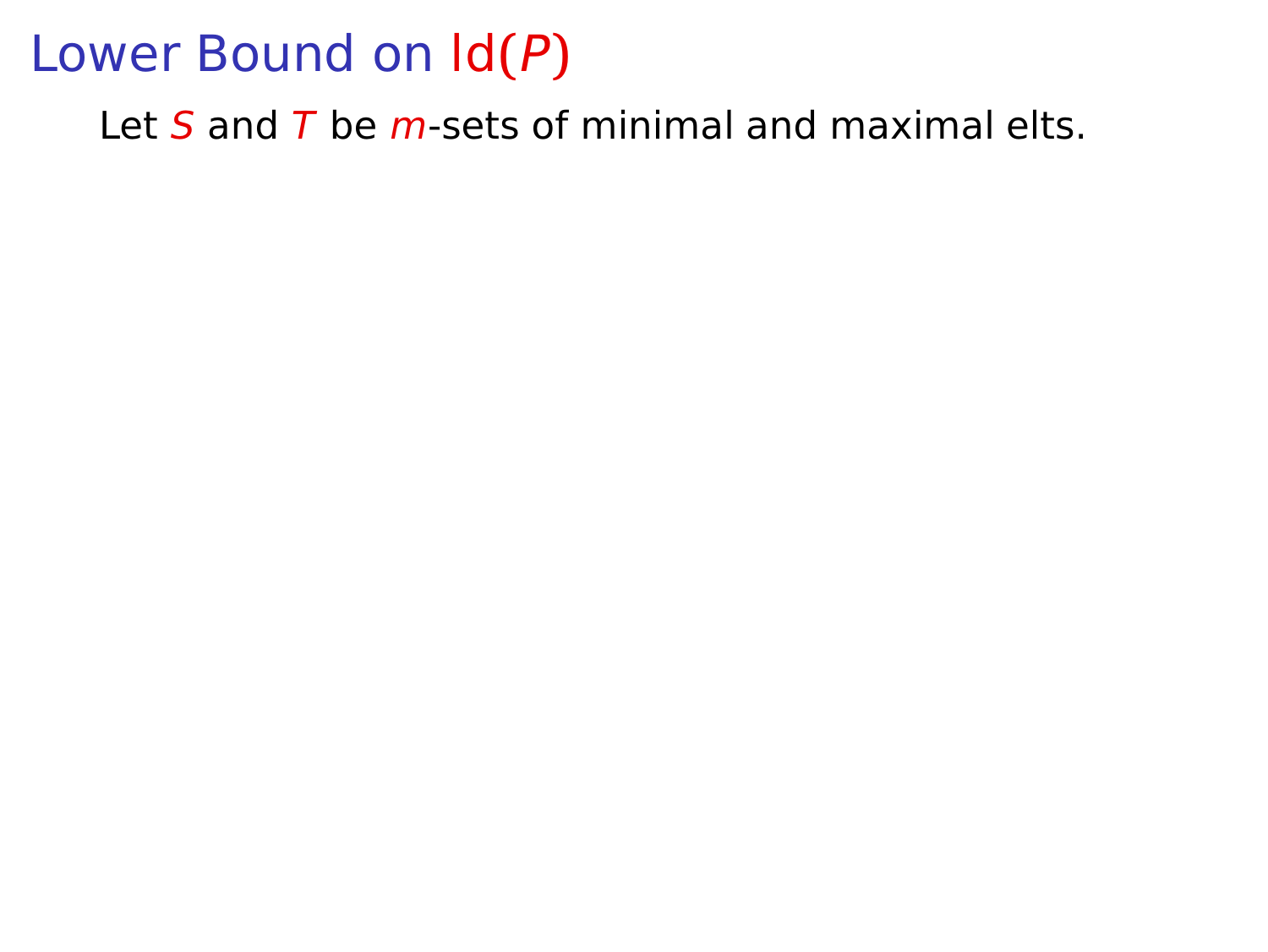Let  $S$  and  $T$  be  $m$ -sets of minimal and maximal elts.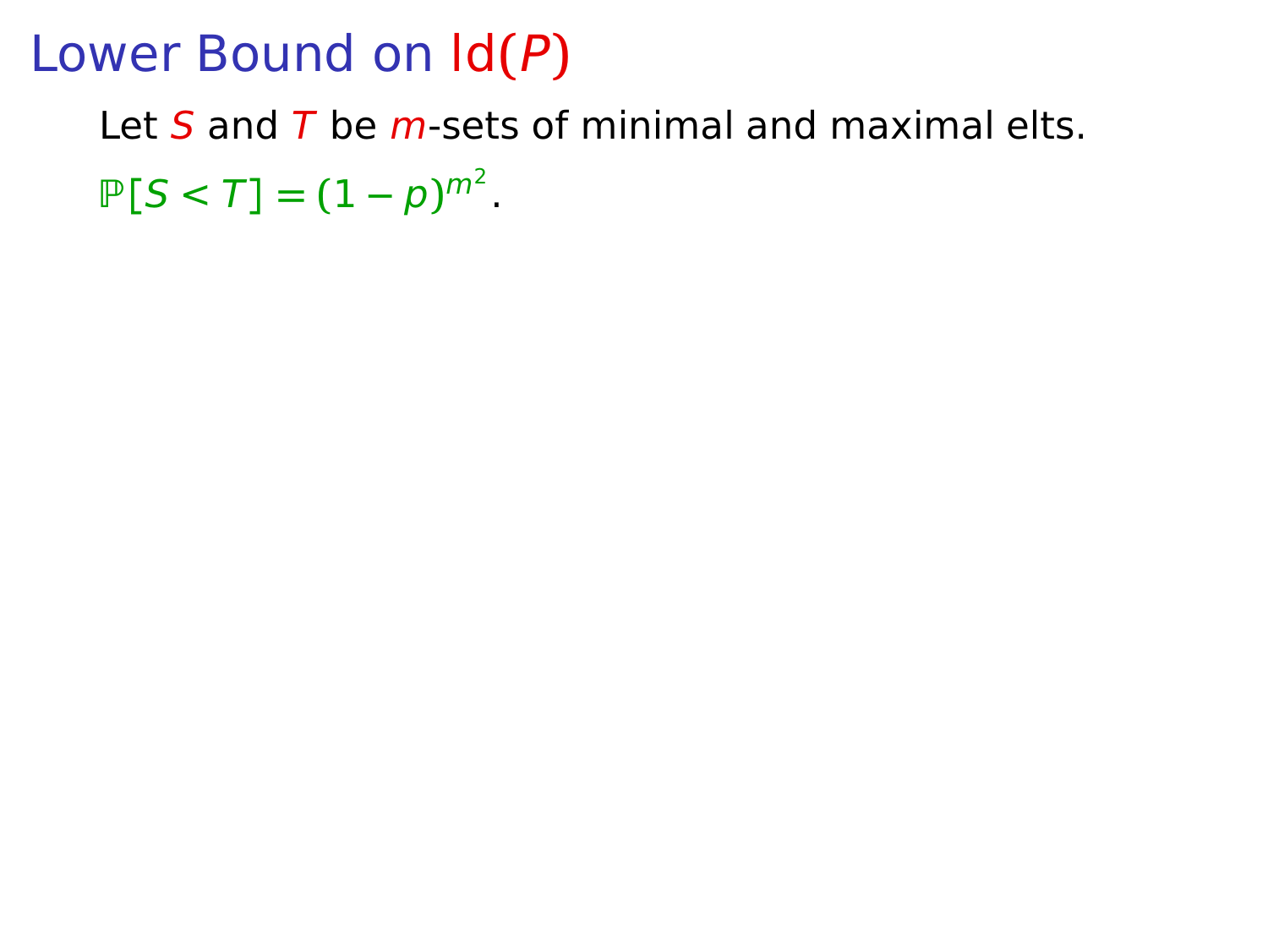Let  $S$  and  $T$  be m-sets of minimal and maximal elts.  $P[S < T] = (1 - p)^{m^2}.$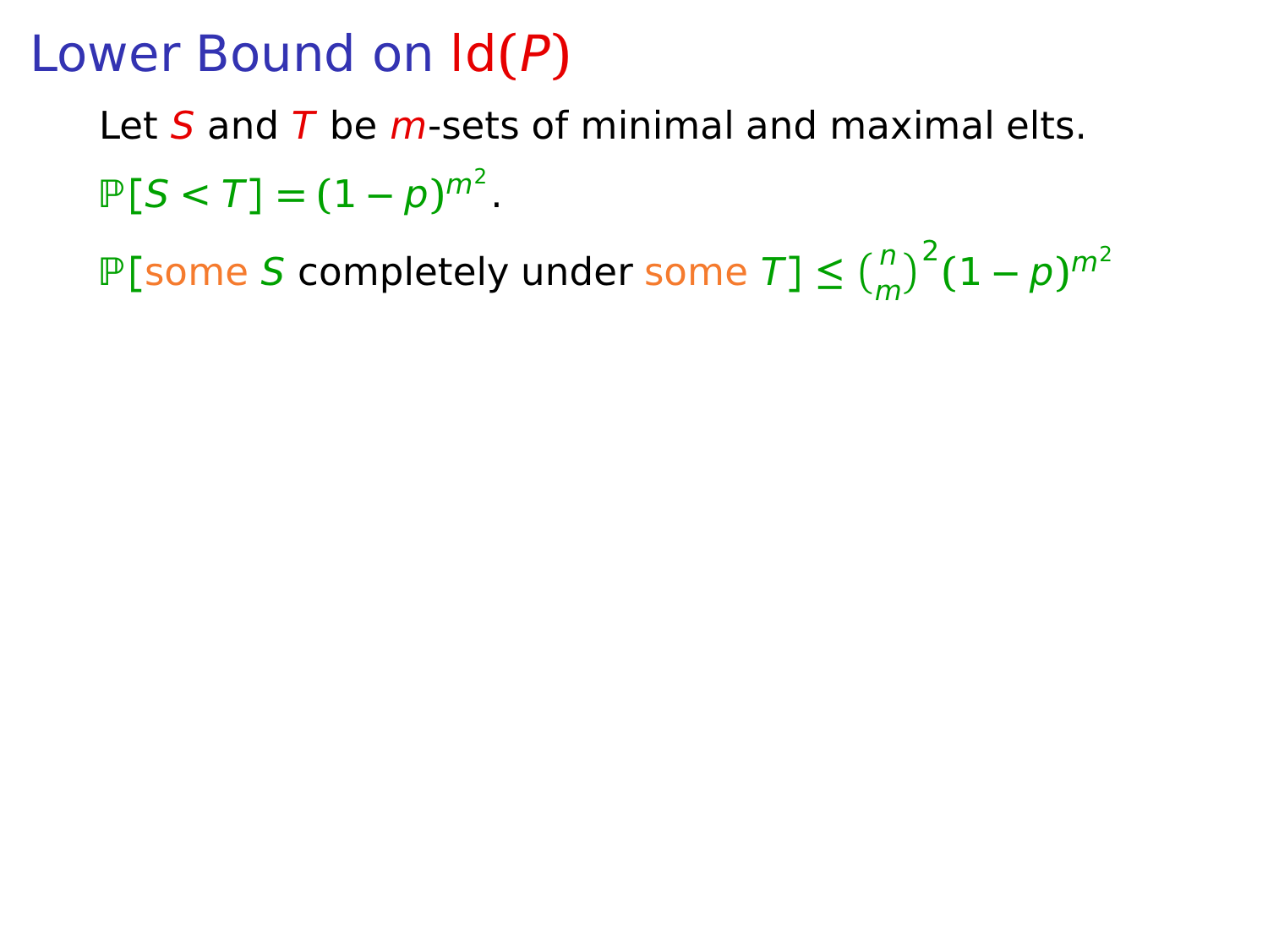Let  $S$  and  $T$  be m-sets of minimal and maximal elts.  $P[S < T] = (1 - p)^{m^2}.$ 

 $P[\text{some } S \text{ completely under some } T] \le {n \choose m}^2 (1-p)^{m^2}$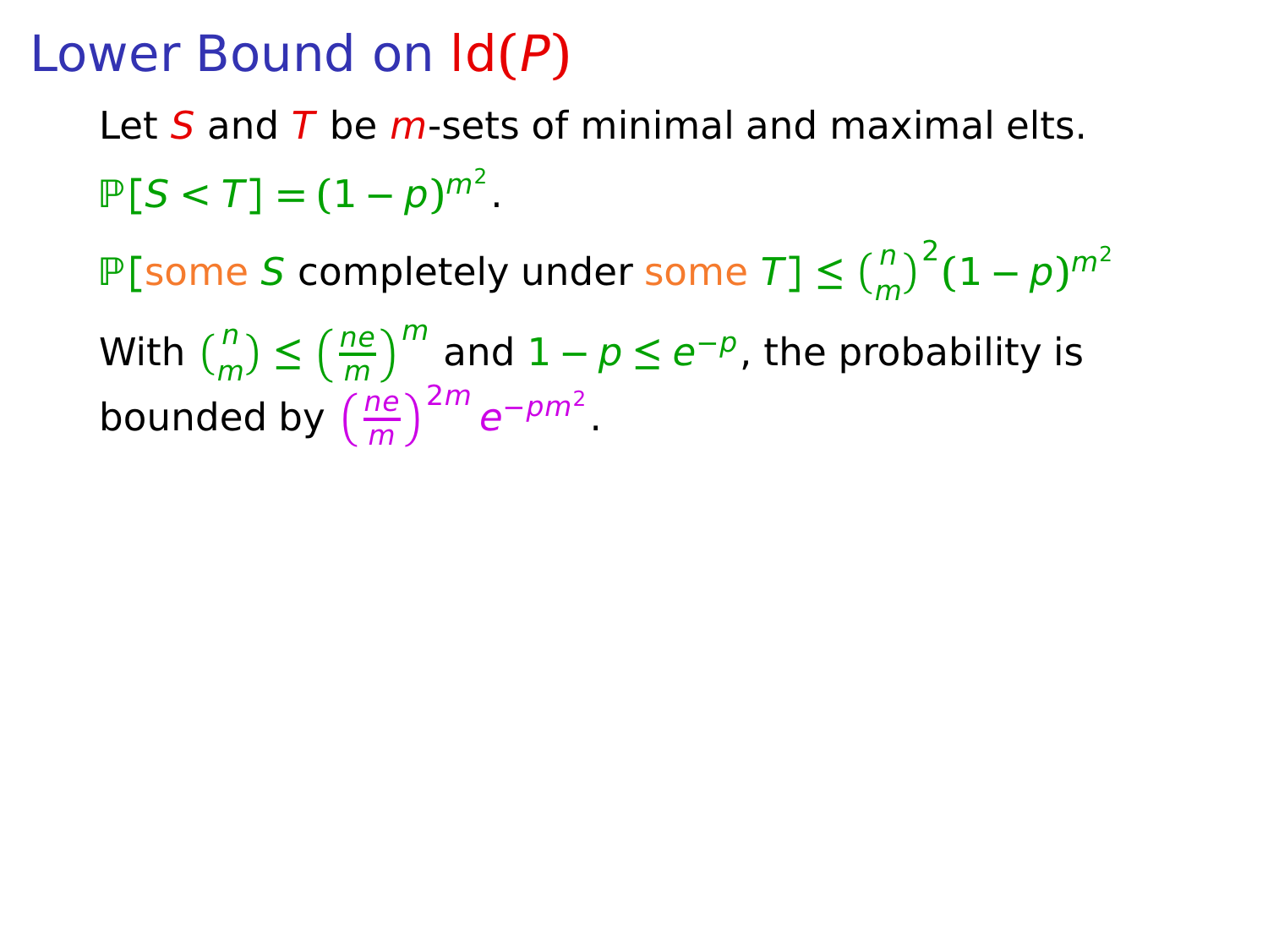Let S and T be m-sets of minimal and maximal elts.  $P[S < T] = (1 - p)^{m^2}.$ 

 $P[\text{some } S \text{ completely under some } T] \le {n \choose m}^2 (1-p)^{m^2}$ 

With  $\binom{n}{m} \leq \left(\frac{ne}{m}\right)^m$  and  $1 - p \leq e^{-p}$ , the probability is bounded by  $\left(\frac{ne}{m}\right)^{2m}e^{-pm^2}$ .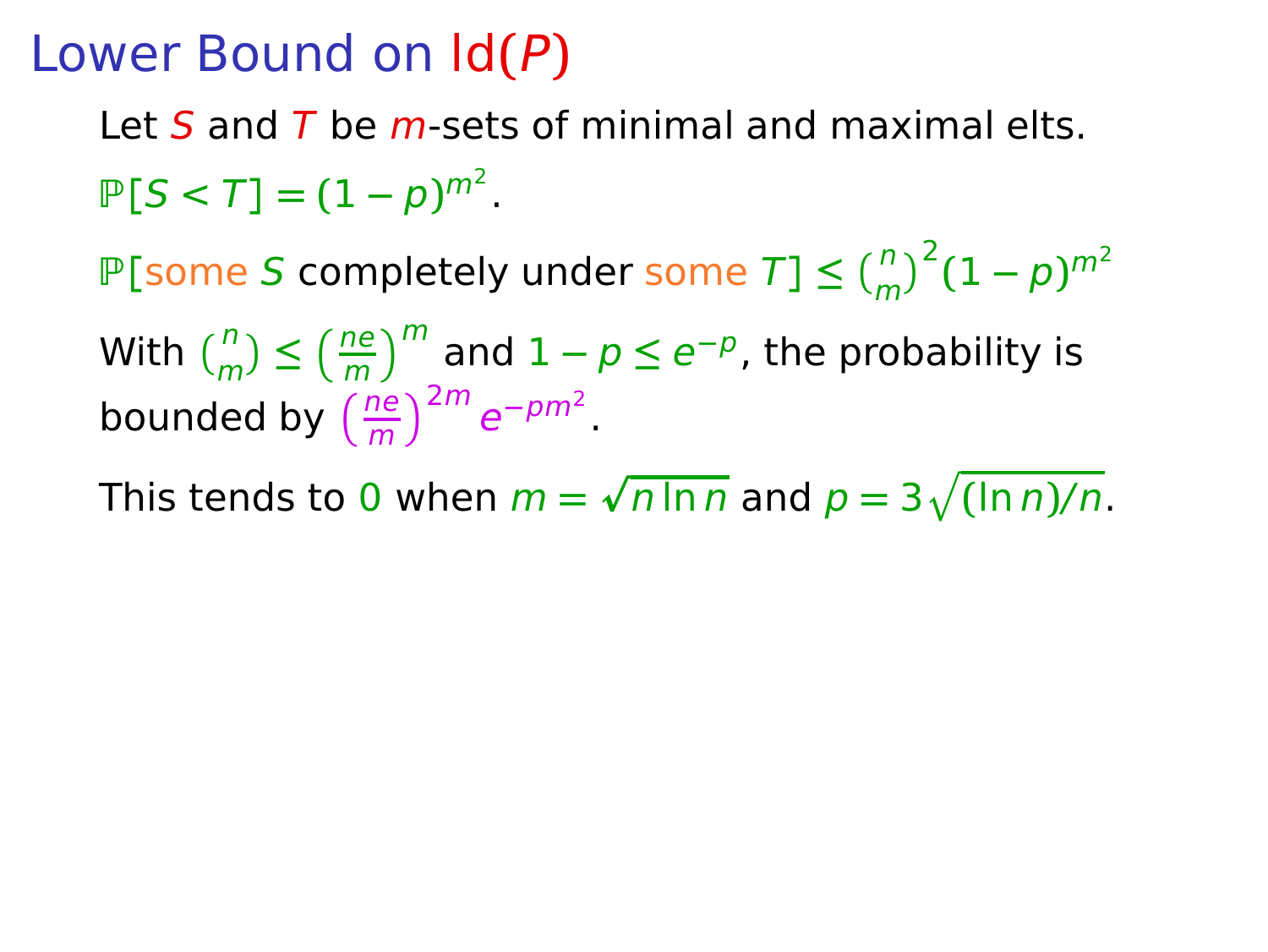Let S and T be m-sets of minimal and maximal elts.  $P[S < T] = (1 - p)^{m^2}.$ 

 $P[\text{some } S \text{ completely under some } T] \le {n \choose m}^2 (1-p)^{m^2}$ 

With  $\binom{n}{m} \leq \left(\frac{ne}{m}\right)^m$  and  $1 - p \leq e^{-p}$ , the probability is bounded by  $\left(\frac{ne}{m}\right)^{2m}e^{-pm^2}$ .

This tends to 0 when  $m = \sqrt{n \ln n}$  and  $p = 3\sqrt{(\ln n)/n}$ .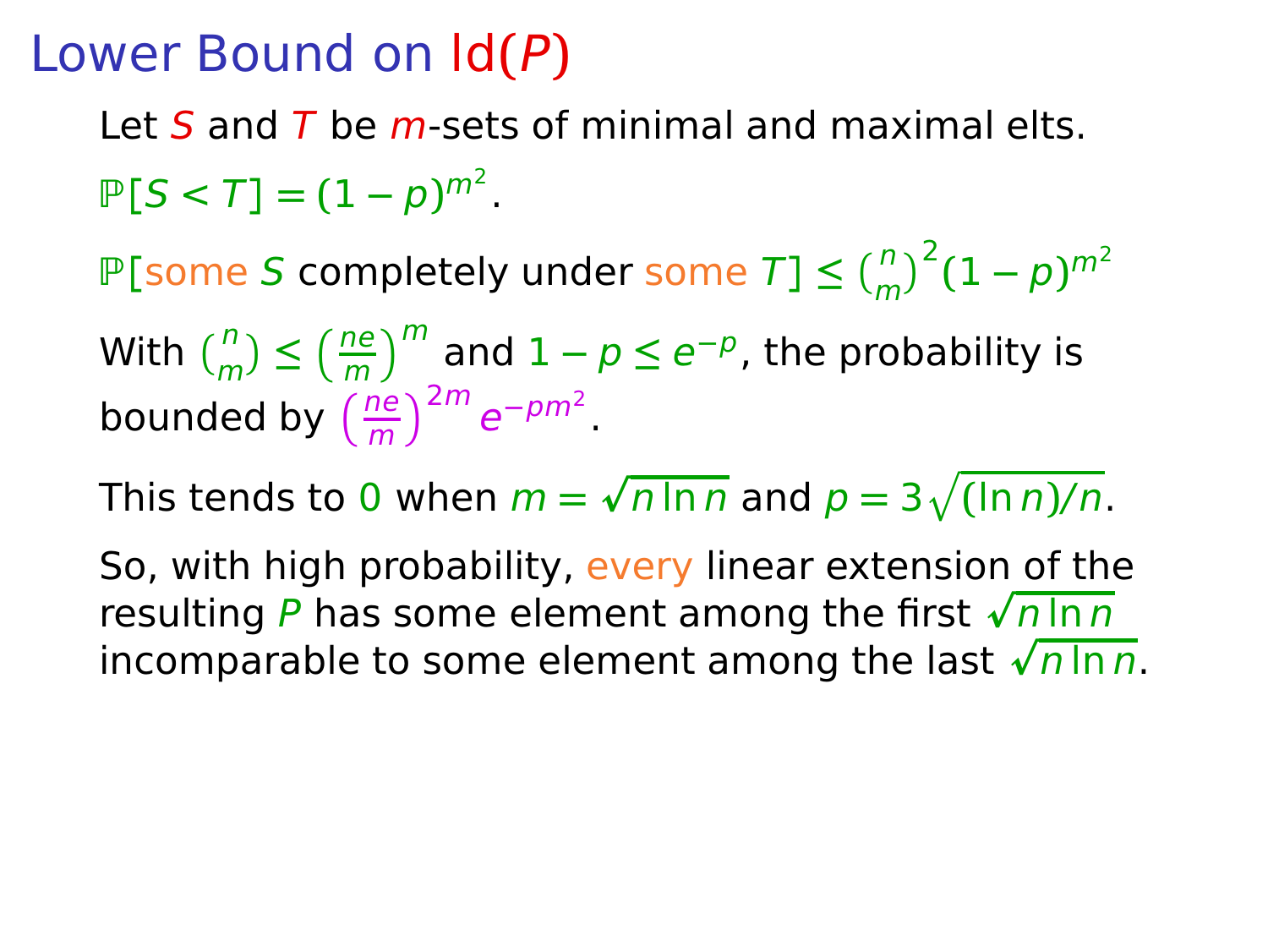Let S and T be  $m$ -sets of minimal and maximal elts.  $P[S < T] = (1 - p)^{m^2}.$ 

 $P[\text{some } S \text{ completely under some } T] \le {n \choose m}^2 (1-p)^{m^2}$ 

With  $\binom{n}{m} \leq \left(\frac{ne}{m}\right)^m$  and  $1 - p \leq e^{-p}$ , the probability is bounded by  $\left(\frac{ne}{m}\right)^{2m}e^{-pm^2}$ .

This tends to 0 when  $m = \sqrt{n \ln n}$  and  $p = 3\sqrt{(\ln n)/n}$ .

So, with high probability, every linear extension of the resulting P has some element among the first  $\sqrt{n \ln n}$ incomparable to some element among the last  $\sqrt{n \ln n}$ .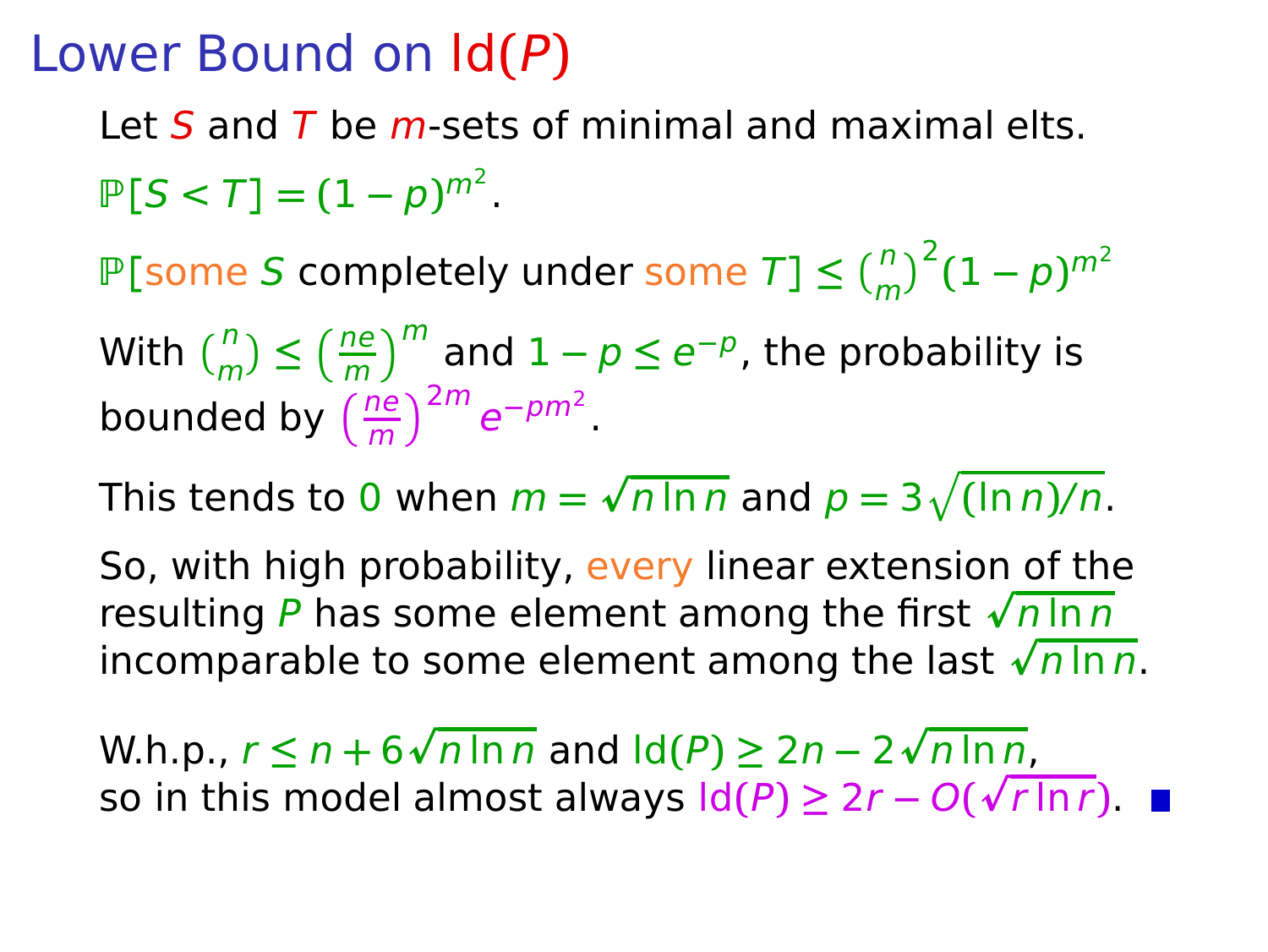Let S and T be  $m$ -sets of minimal and maximal elts.  $P[S < T] = (1 - p)^{m^2}.$ 

 $P[\text{some } S \text{ completely under some } T] \le {n \choose m}^2 (1-p)^{m^2}$ 

With  $\binom{n}{m} \leq \left(\frac{ne}{m}\right)^m$  and  $1 - p \leq e^{-p}$ , the probability is bounded by  $\left(\frac{ne}{m}\right)^{2m}e^{-pm^2}$ .

This tends to 0 when  $m = \sqrt{n \ln n}$  and  $p = 3\sqrt{(\ln n)/n}$ .

So, with high probability, every linear extension of the resulting P has some element among the first  $\sqrt{n \ln n}$ incomparable to some element among the last  $\sqrt{n \ln n}$ .

W.h.p.,  $r \le n + 6\sqrt{n \ln n}$  and ld(P) ≥ 2n − 2 $\sqrt{n \ln n}$ , so in this model almost always  $ld(P) \geq 2r - O(\sqrt{r \ln r})$ .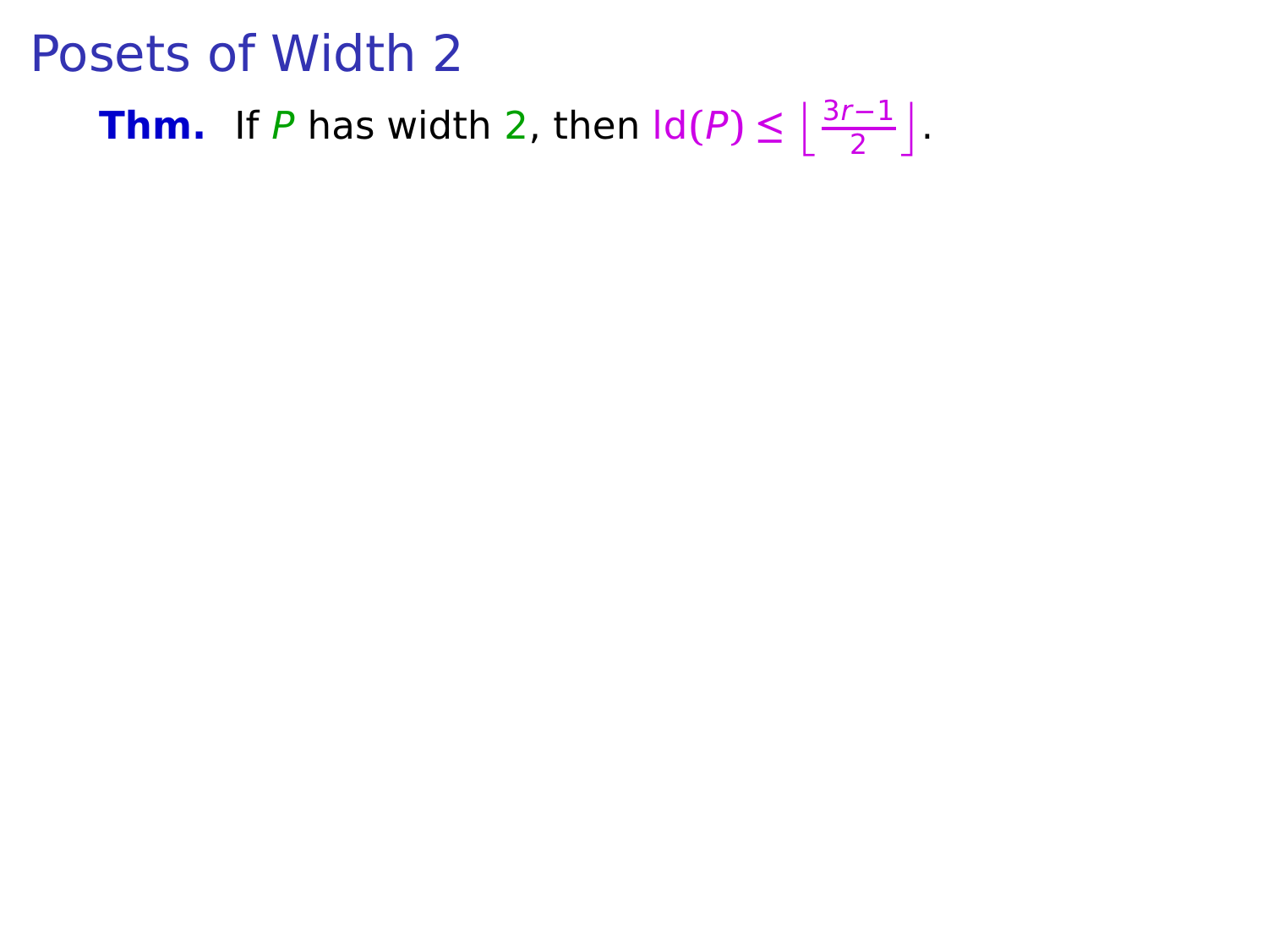# **Thm.** If P has width 2, then  $\text{Id}(P) \leq \left\lfloor \frac{3r-1}{2} \right\rfloor$ .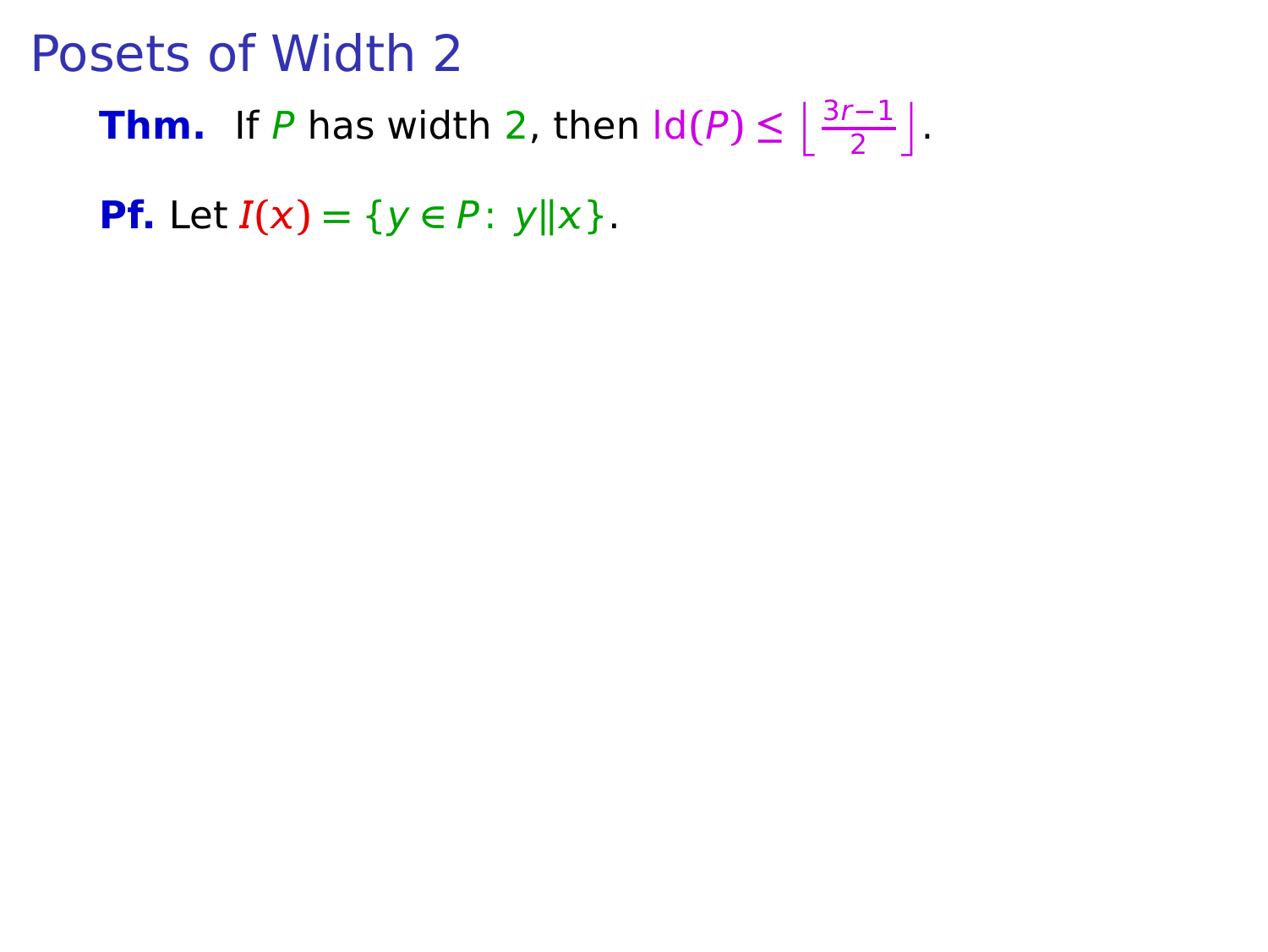**Thm.** If P has width 2, then  $\text{Id}(P) \leq \left\lfloor \frac{3r-1}{2} \right\rfloor$ .

**Pf.** Let  $I(x) = \{y \in P: y \| x\}.$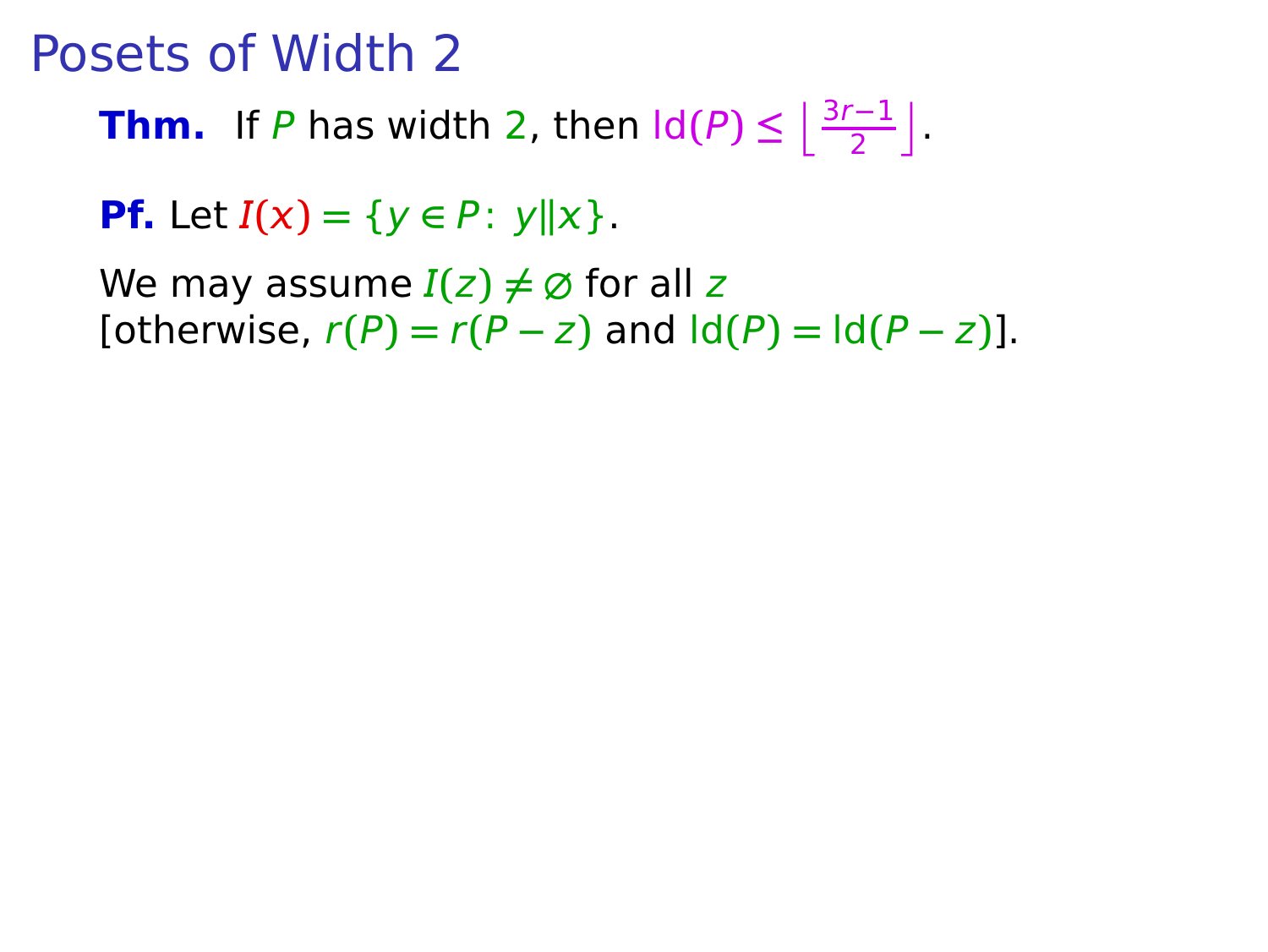**Thm.** If P has width 2, then  $\text{Id}(P) \leq \left\lfloor \frac{3r-1}{2} \right\rfloor$ .

**Pf.** Let  $I(x) = \{y \in P: y \|x\}.$ 

We may assume  $I(z) \neq \emptyset$  for all z  $[otherwise, r(P) = r(P - z)$  and  $[d(P) = ld(P - z)].$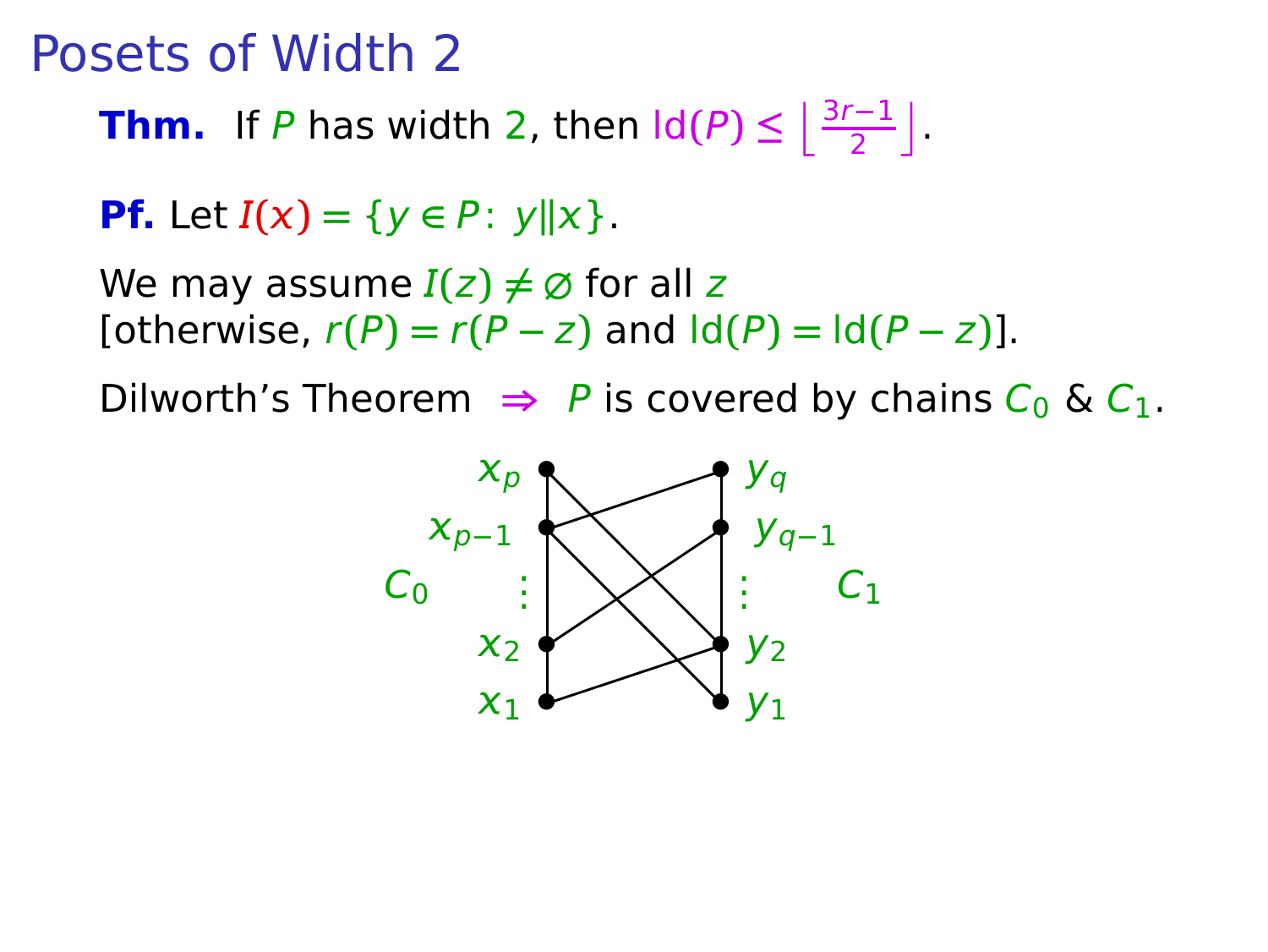**Thm.** If P has width 2, then  $\text{Id}(P) \leq \left\lfloor \frac{3r-1}{2} \right\rfloor$ .

**Pf.** Let  $I(x) = \{y \in P: y \|x\}.$ 

We may assume  $I(z) \neq \emptyset$  for all z  $\text{Totherwise, } r(P) = r(P - z) \text{ and } \text{Id}(P) = \text{Id}(P - z)$ .

Dilworth's Theorem  $\Rightarrow$  P is covered by chains  $C_0$  &  $C_1$ .

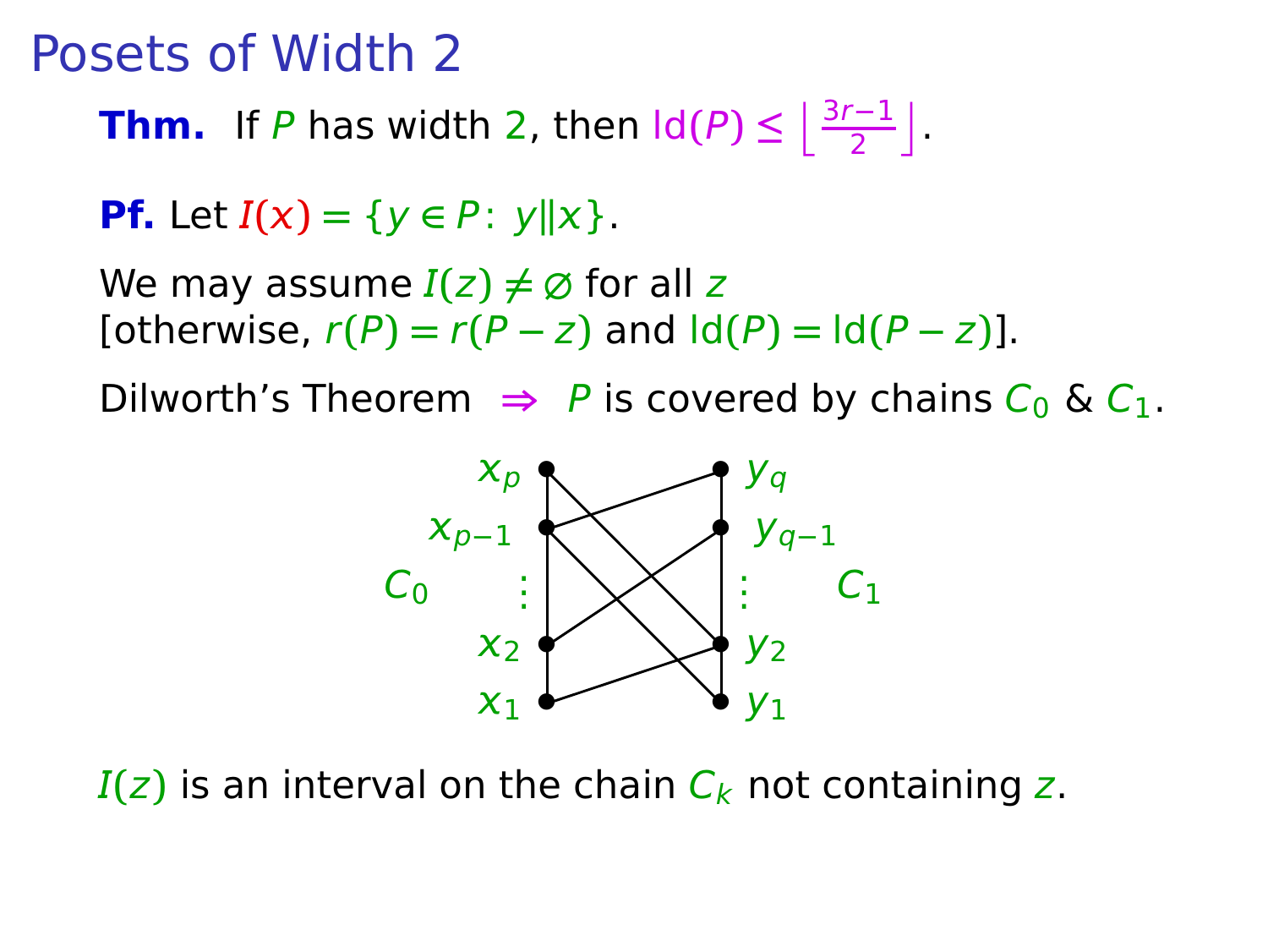**Thm.** If P has width 2, then  $\text{Id}(P) \leq \left\lfloor \frac{3r-1}{2} \right\rfloor$ .

**Pf.** Let  $I(x) = \{y \in P: y \|x\}.$ 

We may assume  $I(z) \neq \emptyset$  for all z  $[otherwise, r(P) = r(P - z)$  and  $[d(P) = Id(P - z)].$ 

Dilworth's Theorem  $\Rightarrow$  P is covered by chains  $C_0$  &  $C_1$ .



 $I(z)$  is an interval on the chain  $C_k$  not containing z.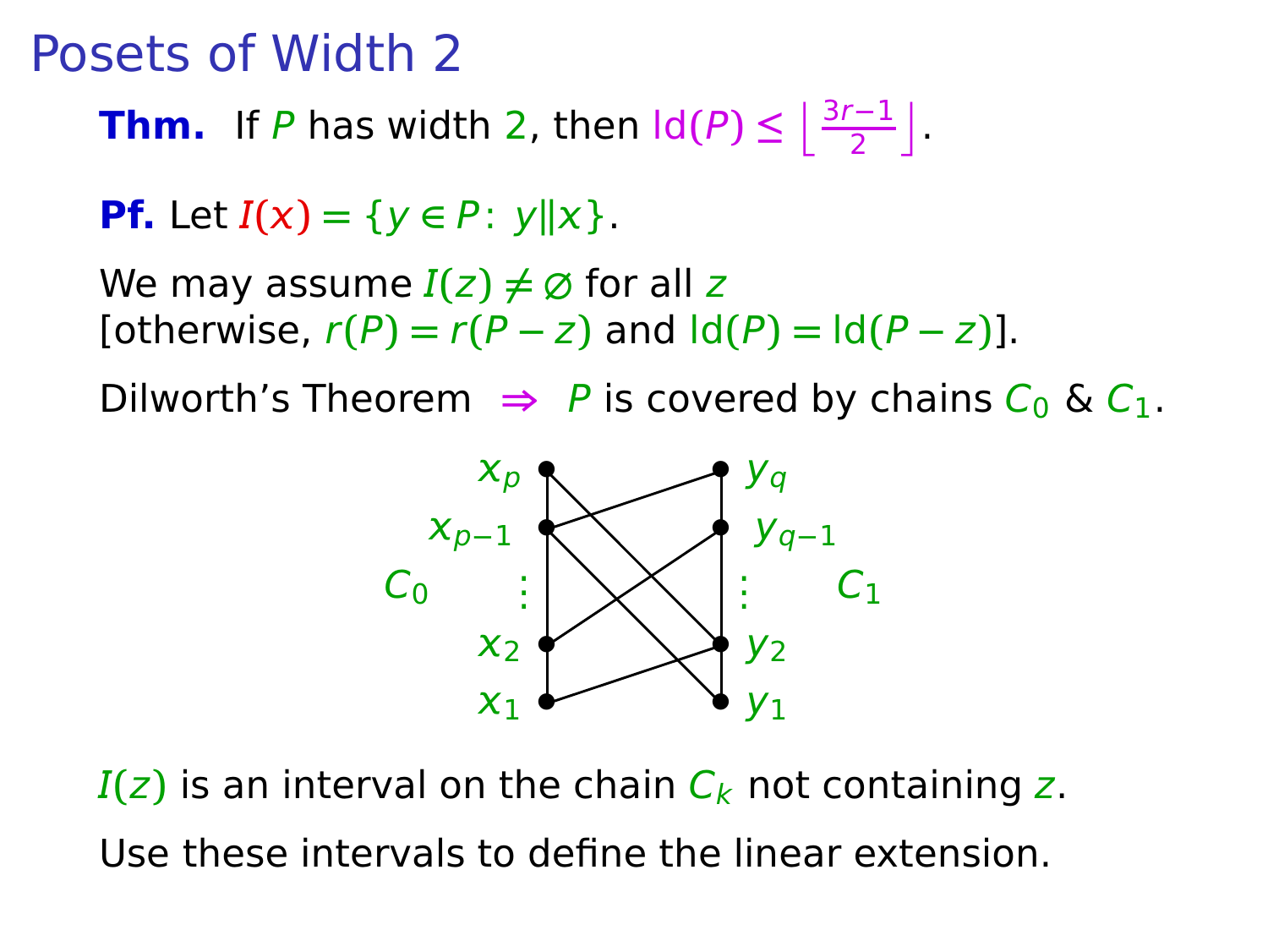**Thm.** If P has width 2, then  $\text{Id}(P) \leq \left\lfloor \frac{3r-1}{2} \right\rfloor$ .

**Pf.** Let  $I(x) = \{y \in P: y \|x\}.$ 

We may assume  $I(z) \neq \emptyset$  for all z  $\text{Totherwise, } r(P) = r(P - z) \text{ and } \text{Id}(P) = \text{Id}(P - z)$ .

Dilworth's Theorem  $\Rightarrow$  P is covered by chains  $C_0$  &  $C_1$ .



 $I(z)$  is an interval on the chain  $C_k$  not containing z. Use these intervals to define the linear extension.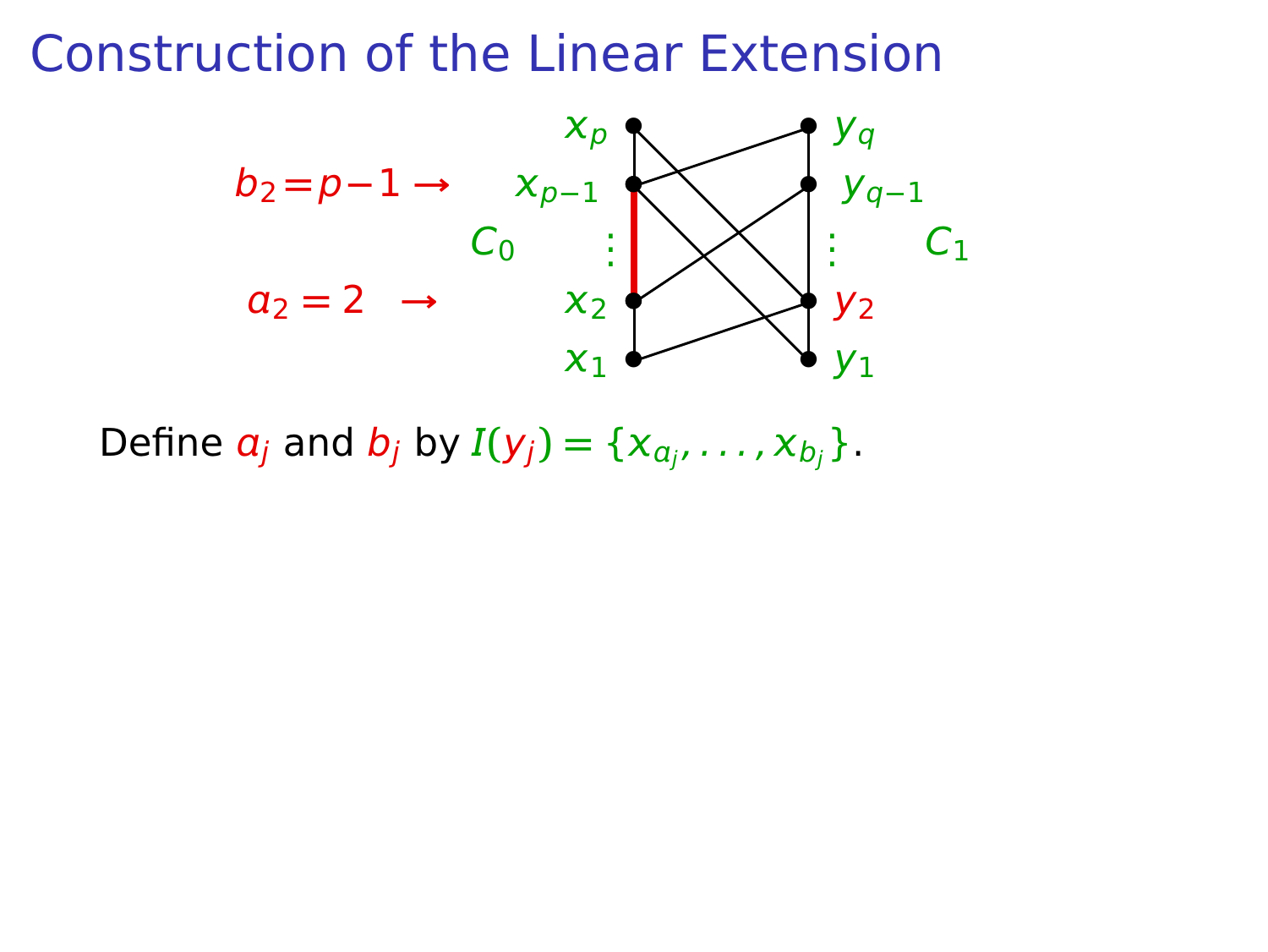

Define  $a_j$  and  $b_j$  by  $I(y_j) = \{x_{a_{j'}}, \ldots, x_{b_j}\}.$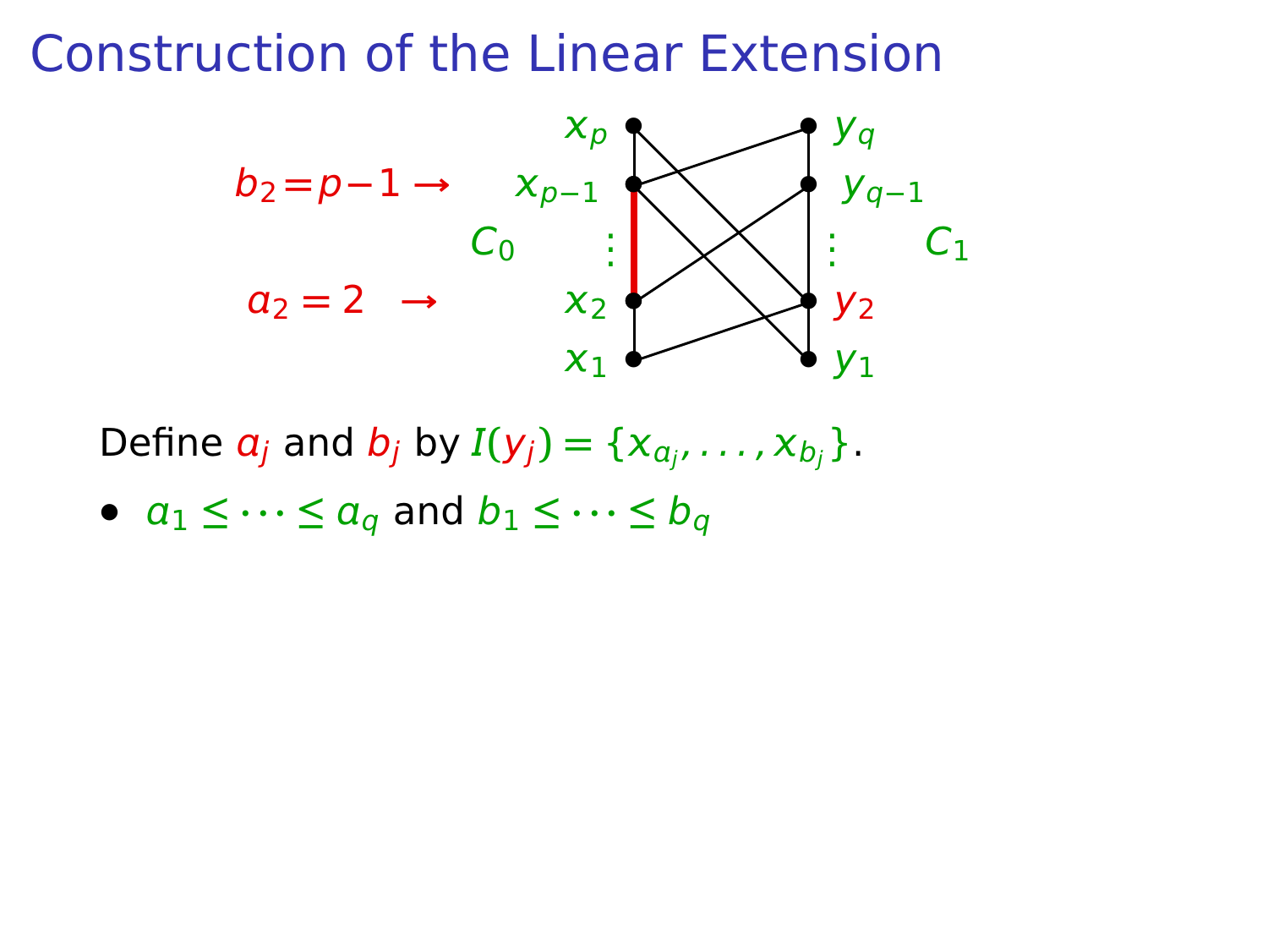

Define  $a_j$  and  $b_j$  by  $I(y_j) = \{x_{a_{j'}}, \ldots, x_{b_j}\}.$ 

•  $a_1 \leq \cdots \leq a_q$  and  $b_1 \leq \cdots \leq b_q$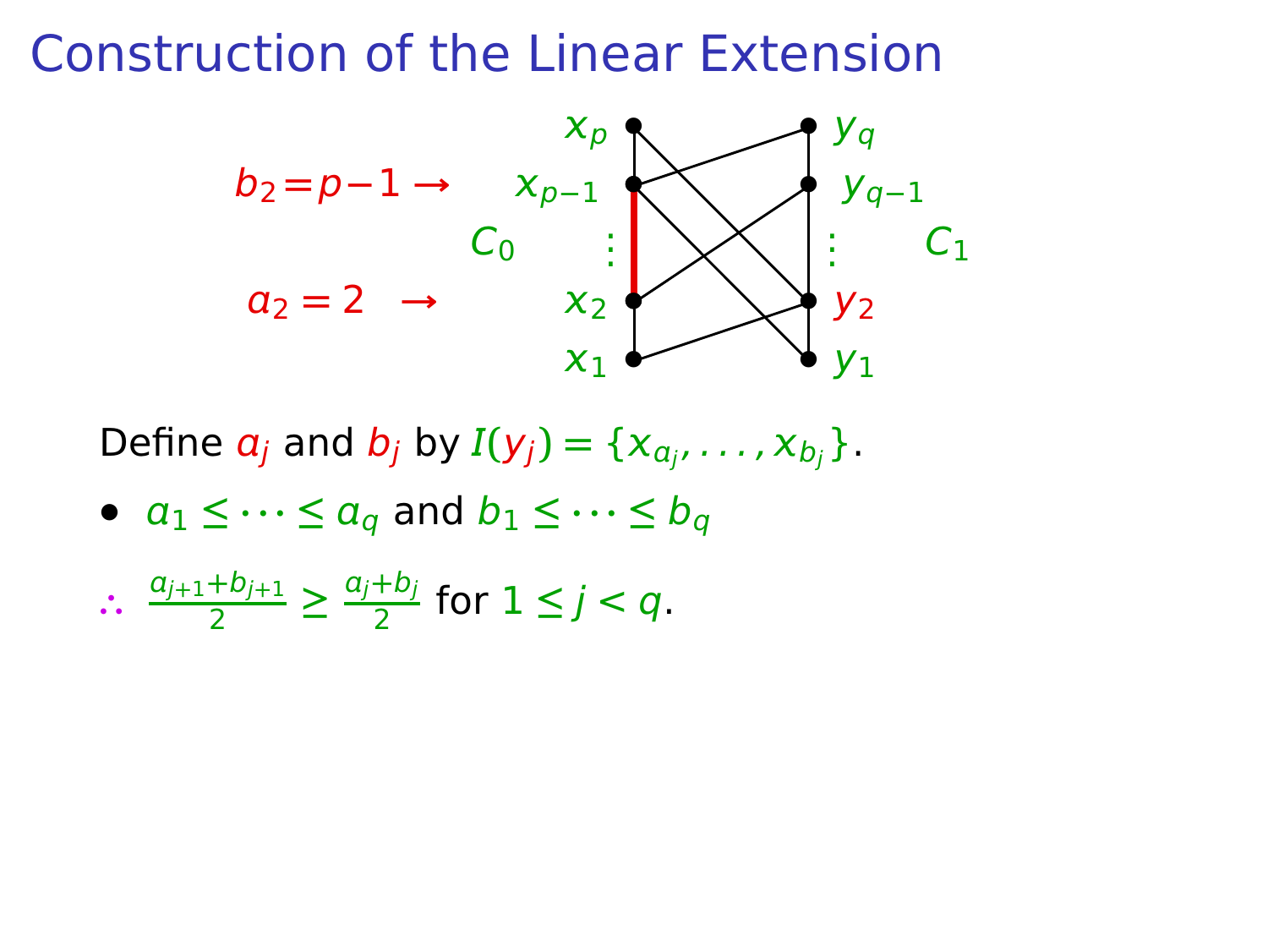

Define  $a_j$  and  $b_j$  by  $I(y_j) = \{x_{a_{j'}}, \ldots, x_{b_j}\}.$ 

• 
$$
a_1 \leq \cdots \leq a_q
$$
 and  $b_1 \leq \cdots \leq b_q$ 

$$
\therefore \frac{a_{j+1}+b_{j+1}}{2} \ge \frac{a_j+b_j}{2} \text{ for } 1 \le j < q.
$$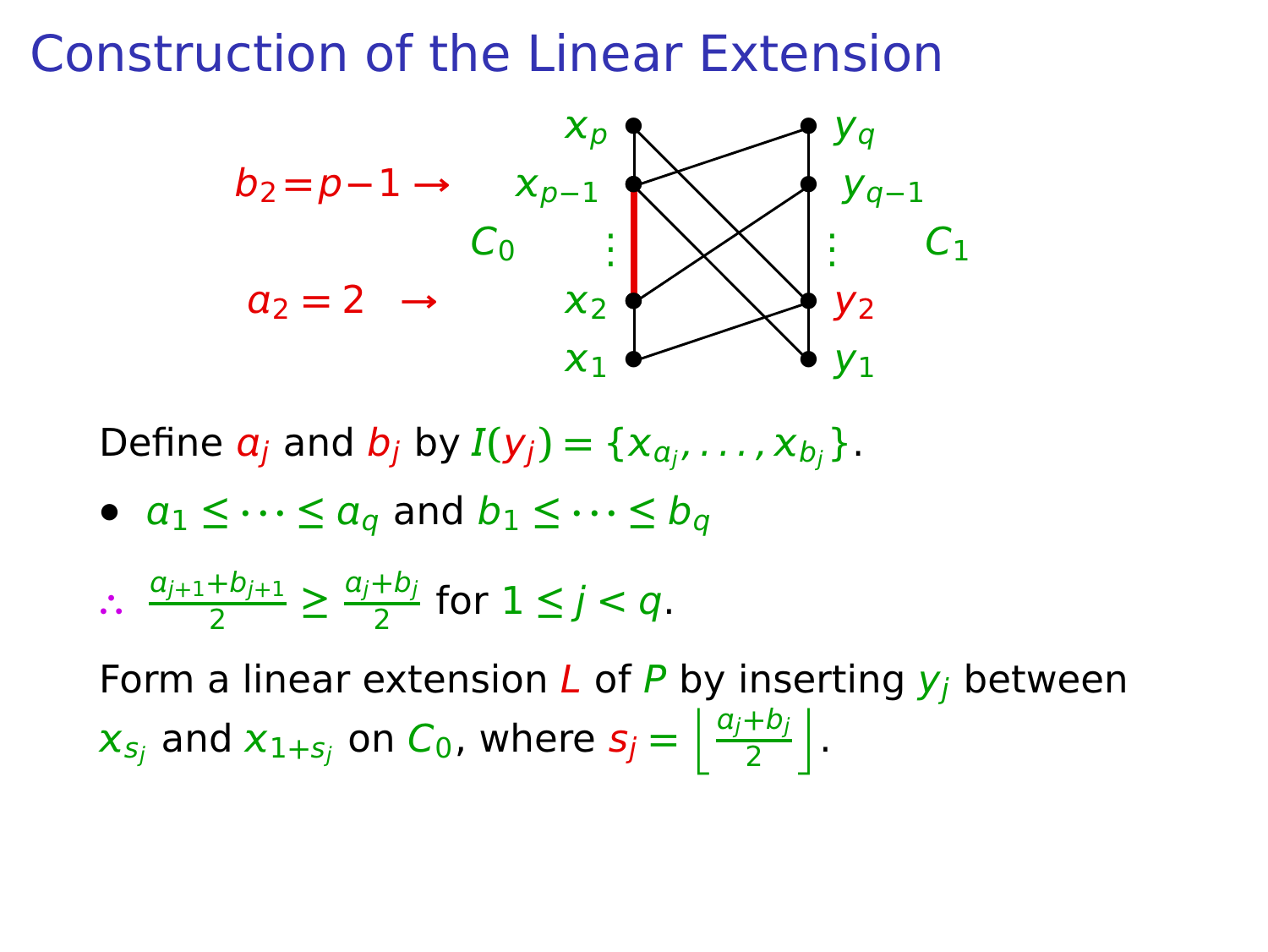

Define  $a_j$  and  $b_j$  by  $I(y_j) = \{x_{a_{j'}}, \ldots, x_{b_j}\}.$ 

•  $a_1 \leq \cdots \leq a_q$  and  $b_1 \leq \cdots \leq b_q$ 

$$
\therefore \frac{a_{j+1}+b_{j+1}}{2} \ge \frac{a_j+b_j}{2} \text{ for } 1 \le j < q.
$$

Form a linear extension  $L$  of P by inserting  $y_i$  between  $\mathbf{x}_{s_j}$  and  $\mathbf{x}_{1+s_j}$  on  $C_0$ , where  $s_j = \left\lfloor \frac{a_j+b_j}{2} \right\rfloor$  $\frac{+b_j}{2}$ .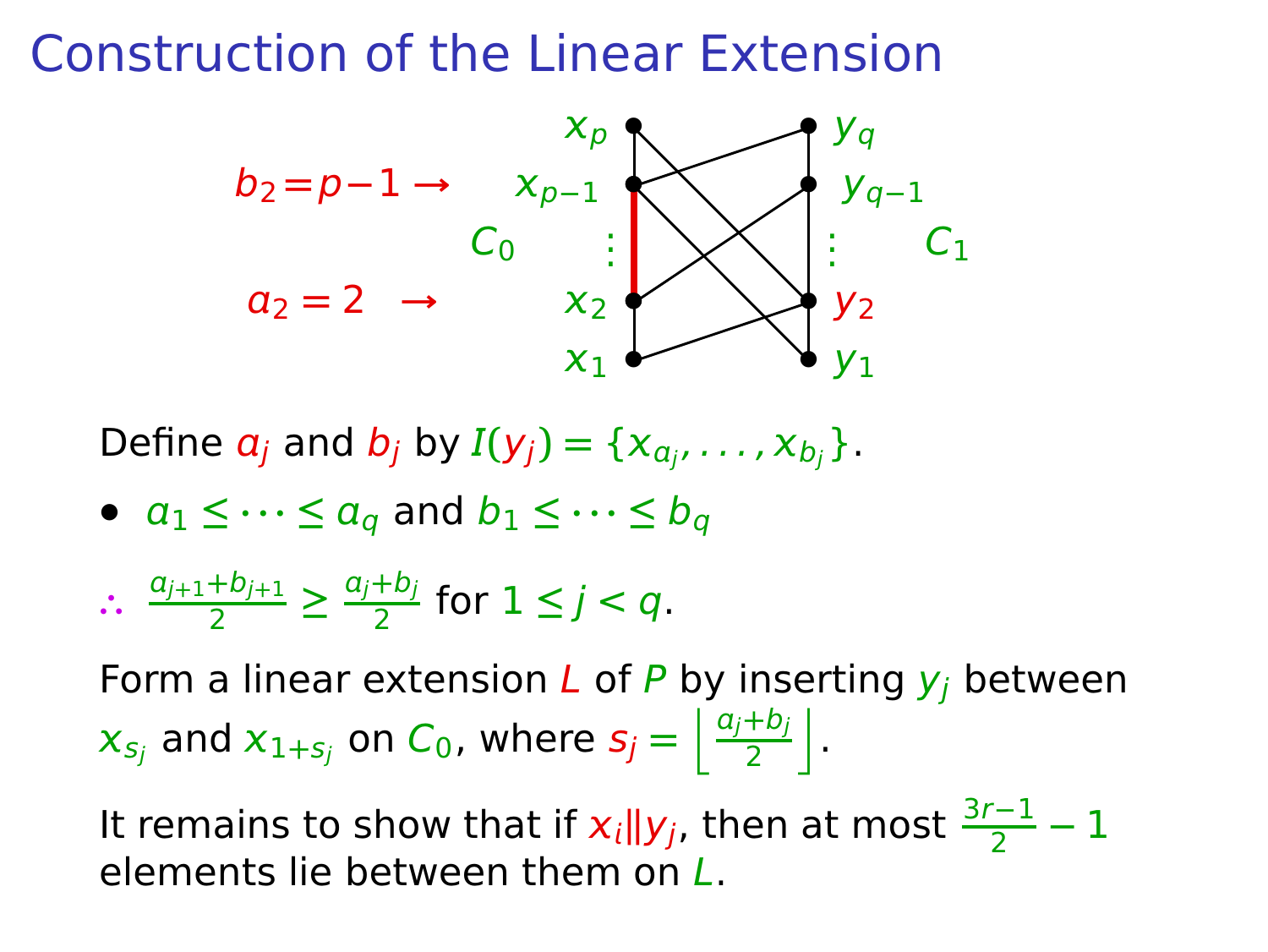

Define  $a_j$  and  $b_j$  by  $I(y_j) = \{x_{a_{j'}}, \ldots, x_{b_j}\}.$ 

•  $a_1 \leq \cdots \leq a_q$  and  $b_1 \leq \cdots \leq b_q$ 

$$
\therefore \frac{a_{j+1}+b_{j+1}}{2} \ge \frac{a_j+b_j}{2} \text{ for } 1 \le j < q.
$$

Form a linear extension  $L$  of P by inserting  $y_i$  between  $\mathbf{x}_{s_j}$  and  $\mathbf{x}_{1+s_j}$  on  $C_0$ , where  $s_j = \left\lfloor \frac{a_j+b_j}{2} \right\rfloor$  $\frac{+b_j}{2}$ .

It remains to show that if  $x_i||y_j$ , then at most  $\frac{3r-1}{2}-1$ elements lie between them on L.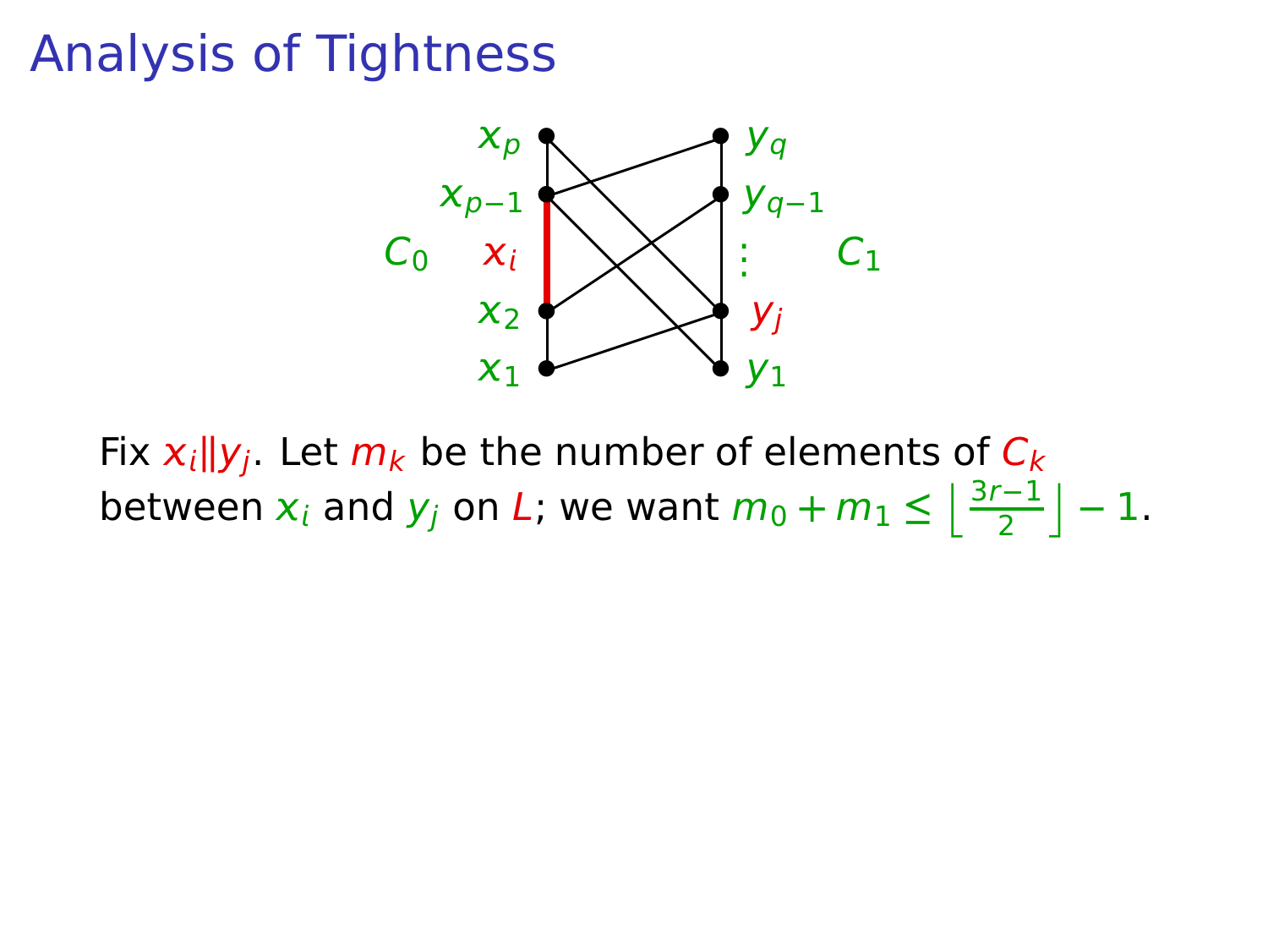

Fix  $x_i || y_i$ . Let  $m_k$  be the number of elements of  $C_k$ between  $x_i$  and  $y_j$  on L; we want  $m_0 + m_1 \leq \left\lfloor \frac{3r-1}{2} \right\rfloor - 1$ .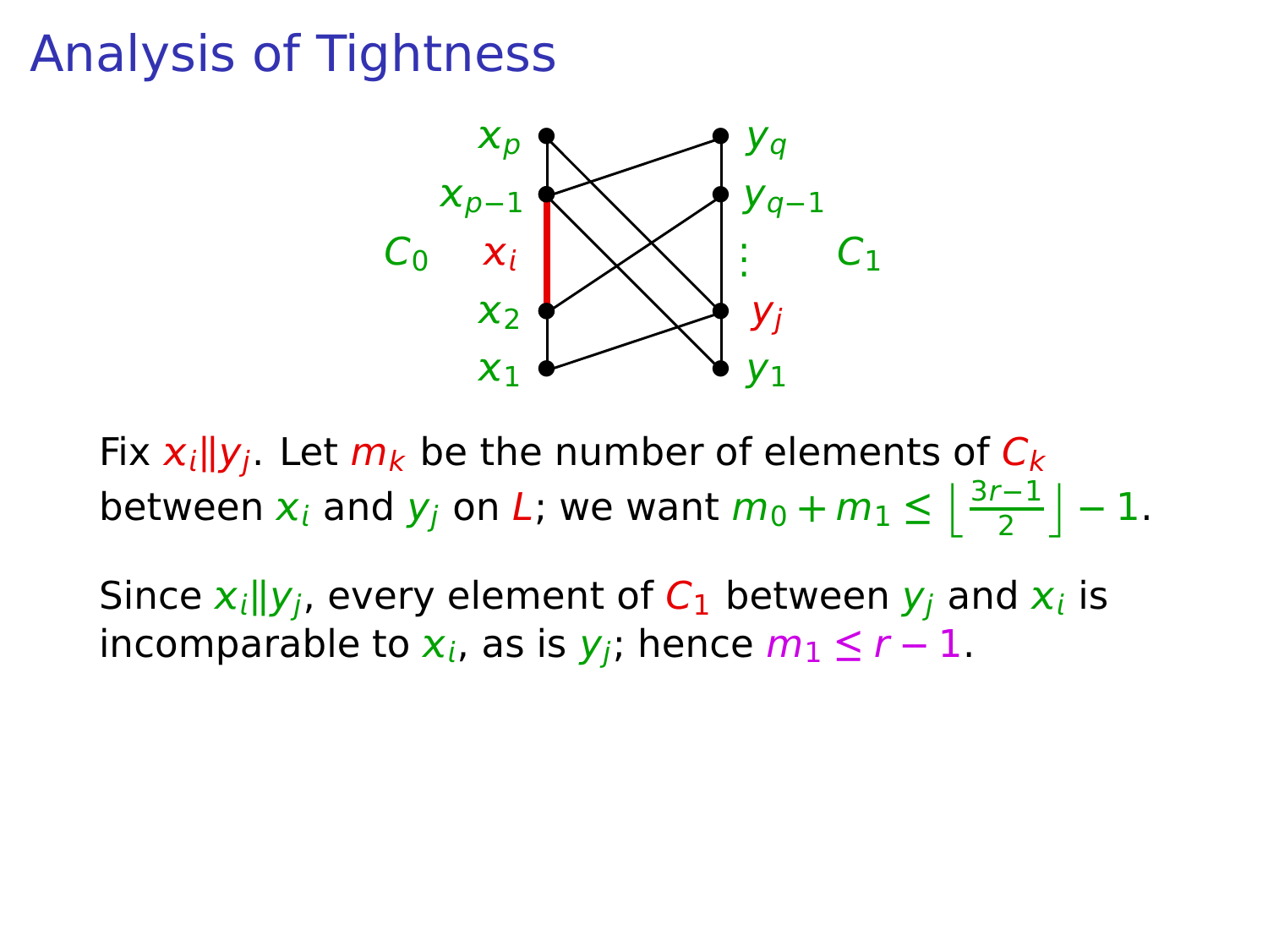

Fix  $x_i||y_i$ . Let  $m_k$  be the number of elements of  $C_k$ between  $x_i$  and  $y_j$  on L; we want  $m_0 + m_1 \leq \left\lfloor \frac{3r-1}{2} \right\rfloor - 1$ .

Since  $x_i$   $\|y_j$ , every element of  $C_1$  between  $y_j$  and  $x_i$  is incomparable to  $x_i$ , as is  $y_i$ ; hence  $m_1 \le r - 1$ .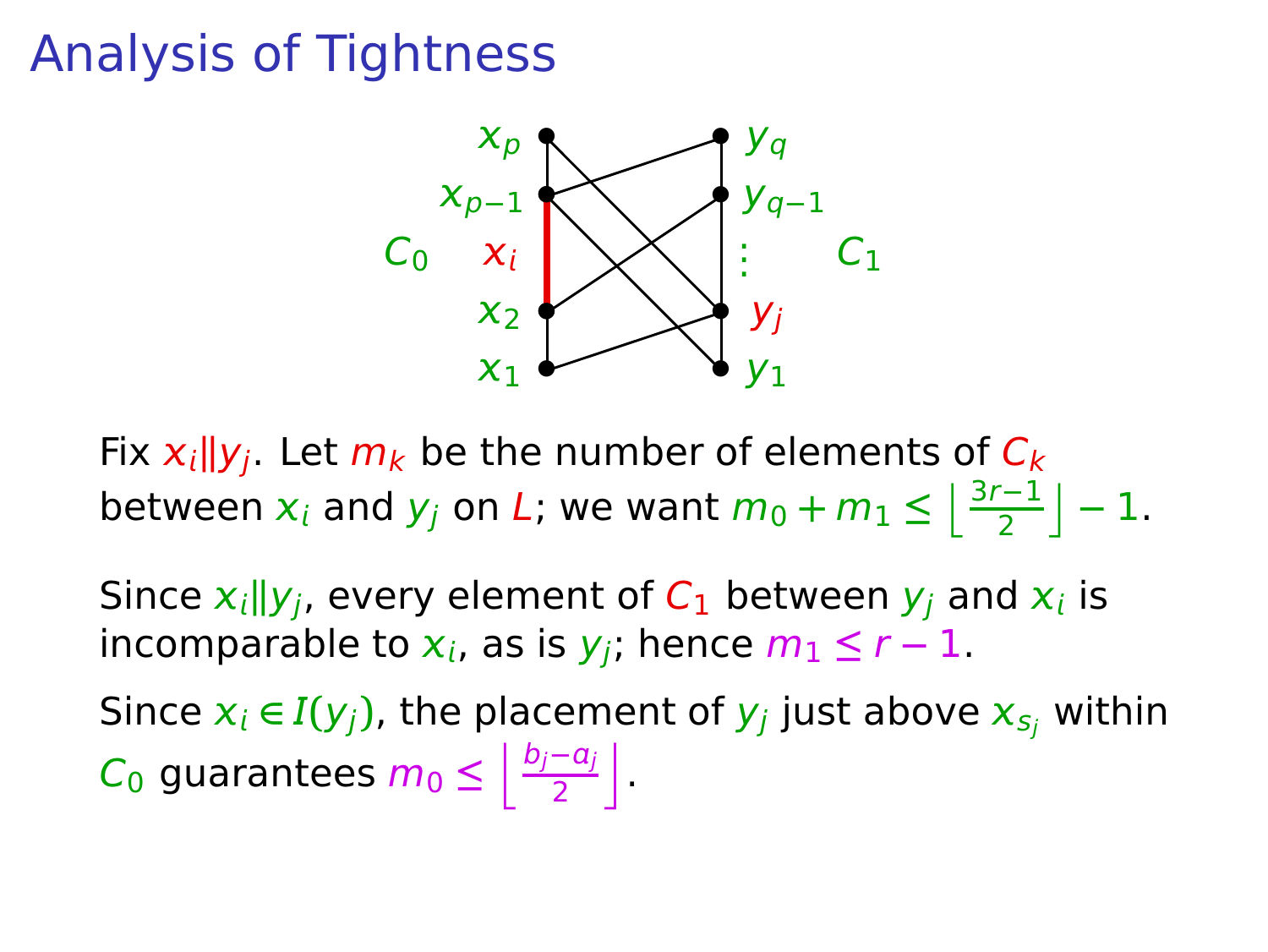

Fix  $x_i||y_i$ . Let  $m_k$  be the number of elements of  $C_k$ between  $x_i$  and  $y_j$  on L; we want  $m_0 + m_1 \leq \left\lfloor \frac{3r-1}{2} \right\rfloor - 1$ .

Since  $x_i$   $\|y_j$ , every element of  $C_1$  between  $y_j$  and  $x_i$  is incomparable to  $x_i$ , as is  $y_i$ ; hence  $m_1 \leq r-1$ .

Since  $x_i \in I(y_j)$ , the placement of  $y_j$  just above  $x_{s_j}$  within C<sub>0</sub> guarantees  $m_0 \leq \left\lfloor \frac{b_j-a_j}{2} \right\rfloor$  $\frac{-a_j}{2}$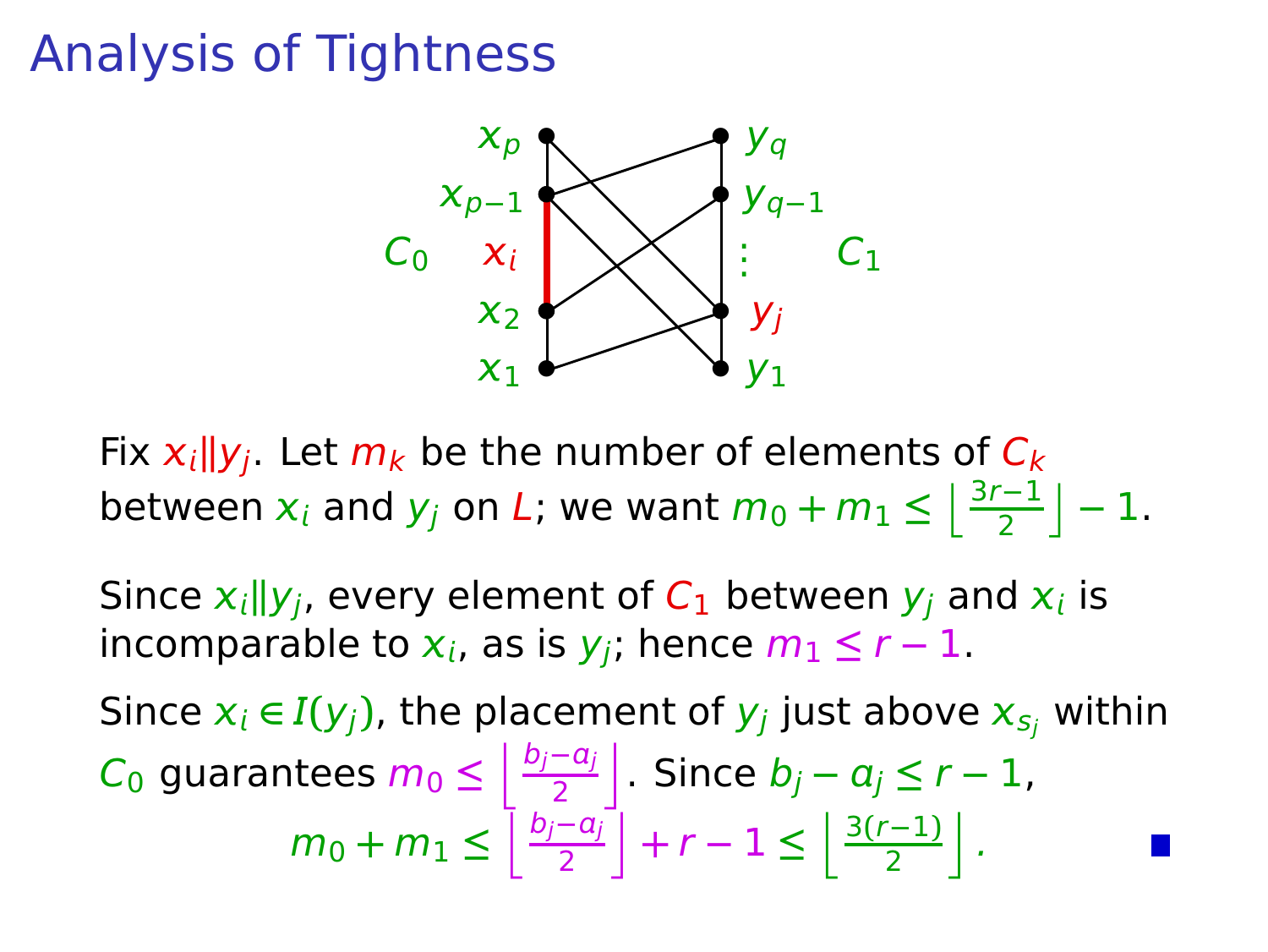

Fix  $x_i||y_i$ . Let  $m_k$  be the number of elements of  $C_k$ between  $x_i$  and  $y_j$  on L; we want  $m_0 + m_1 \leq \left\lfloor \frac{3r-1}{2} \right\rfloor - 1$ .

Since  $x_i$   $\|y_j$ , every element of  $C_1$  between  $y_j$  and  $x_i$  is incomparable to  $x_i$ , as is  $y_i$ ; hence  $m_1 \leq r-1$ .

Since  $x_i \in I(y_j)$ , the placement of  $y_j$  just above  $x_{s_j}$  within C<sub>0</sub> guarantees  $m_0 \leq \left\lfloor \frac{b_j-a_j}{2} \right\rfloor$  $\left| \frac{-a_j}{2} \right|$  Since  $b_j - a_j \leq r - 1$ ,  $m_0 + m_1 \leq \left\lfloor \frac{b_j - a_j}{2} \right\rfloor$  $\left[\frac{-a_j}{2}\right] + r - 1 \leq \left[\frac{3(r-1)}{2}\right].$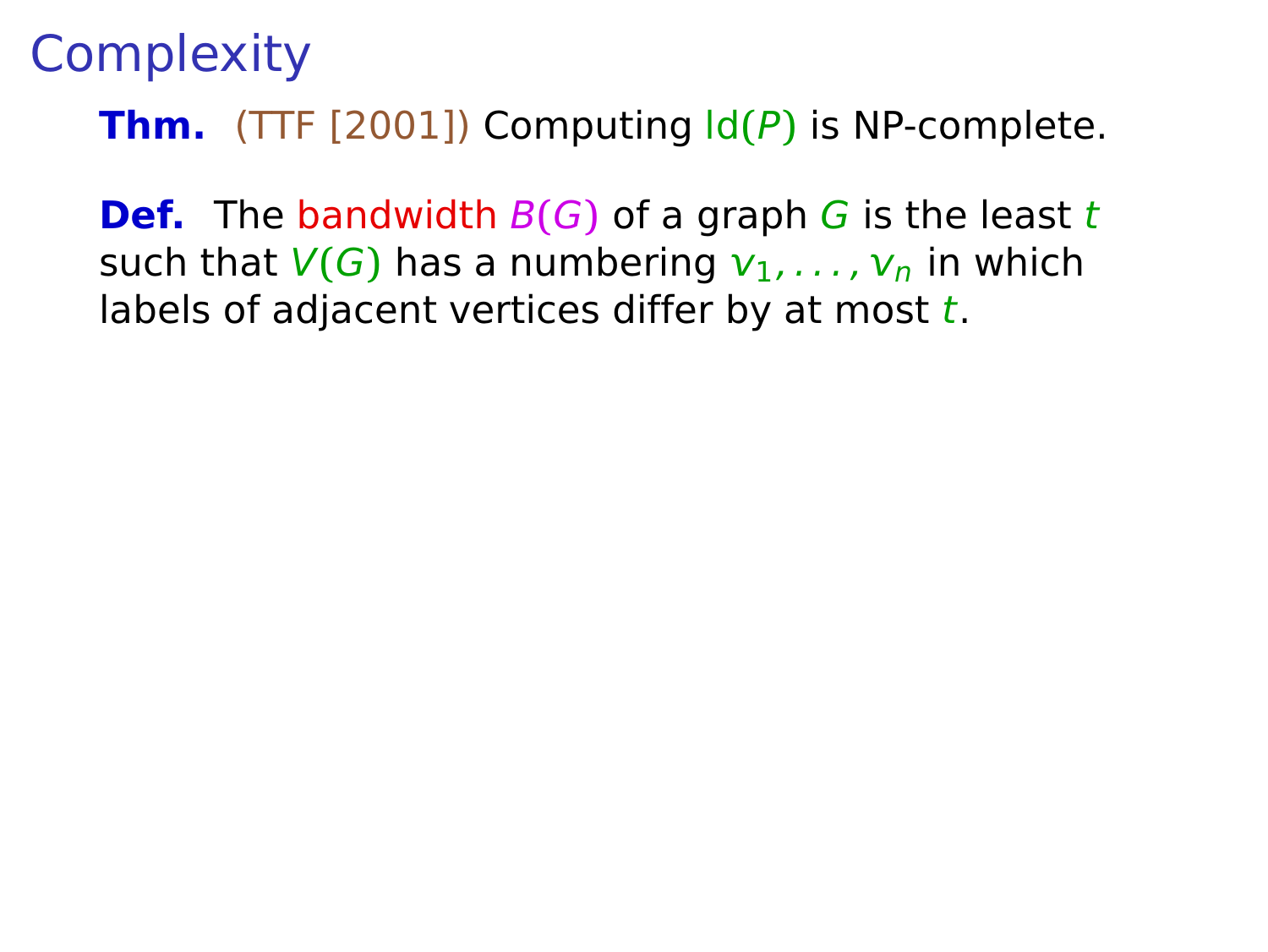**Def.** The bandwidth  $B(G)$  of a graph G is the least t such that  $V(G)$  has a numbering  $v_1, \ldots, v_n$  in which labels of adjacent vertices differ by at most  $t$ .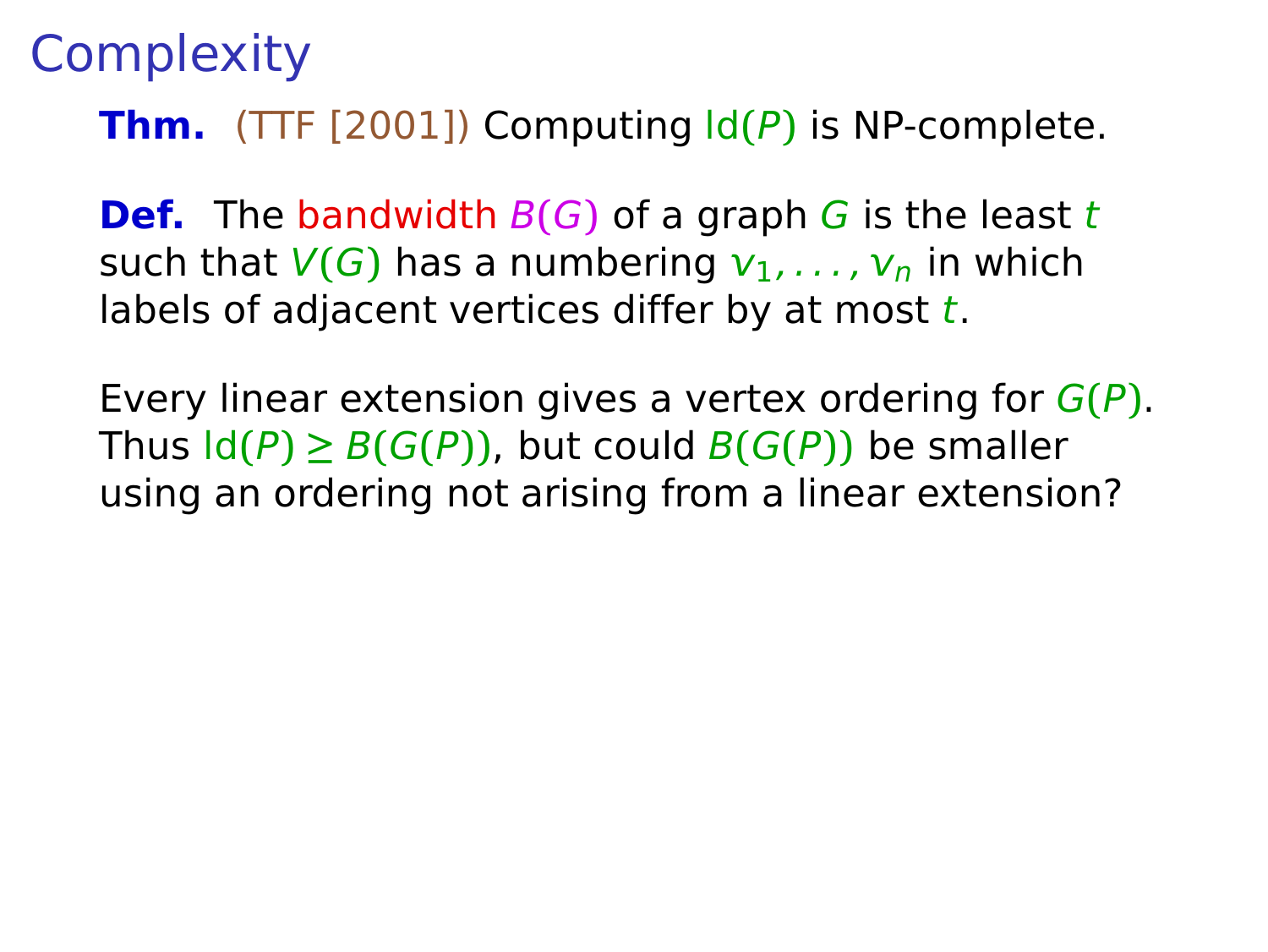**Def.** The bandwidth  $B(G)$  of a graph G is the least t such that  $V(G)$  has a numbering  $v_1, \ldots, v_n$  in which labels of adjacent vertices differ by at most  $t$ .

Every linear extension gives a vertex ordering for G**(**P**)**. Thus  $\text{Id}(P) \geq B(G(P))$ , but could  $B(G(P))$  be smaller using an ordering not arising from a linear extension?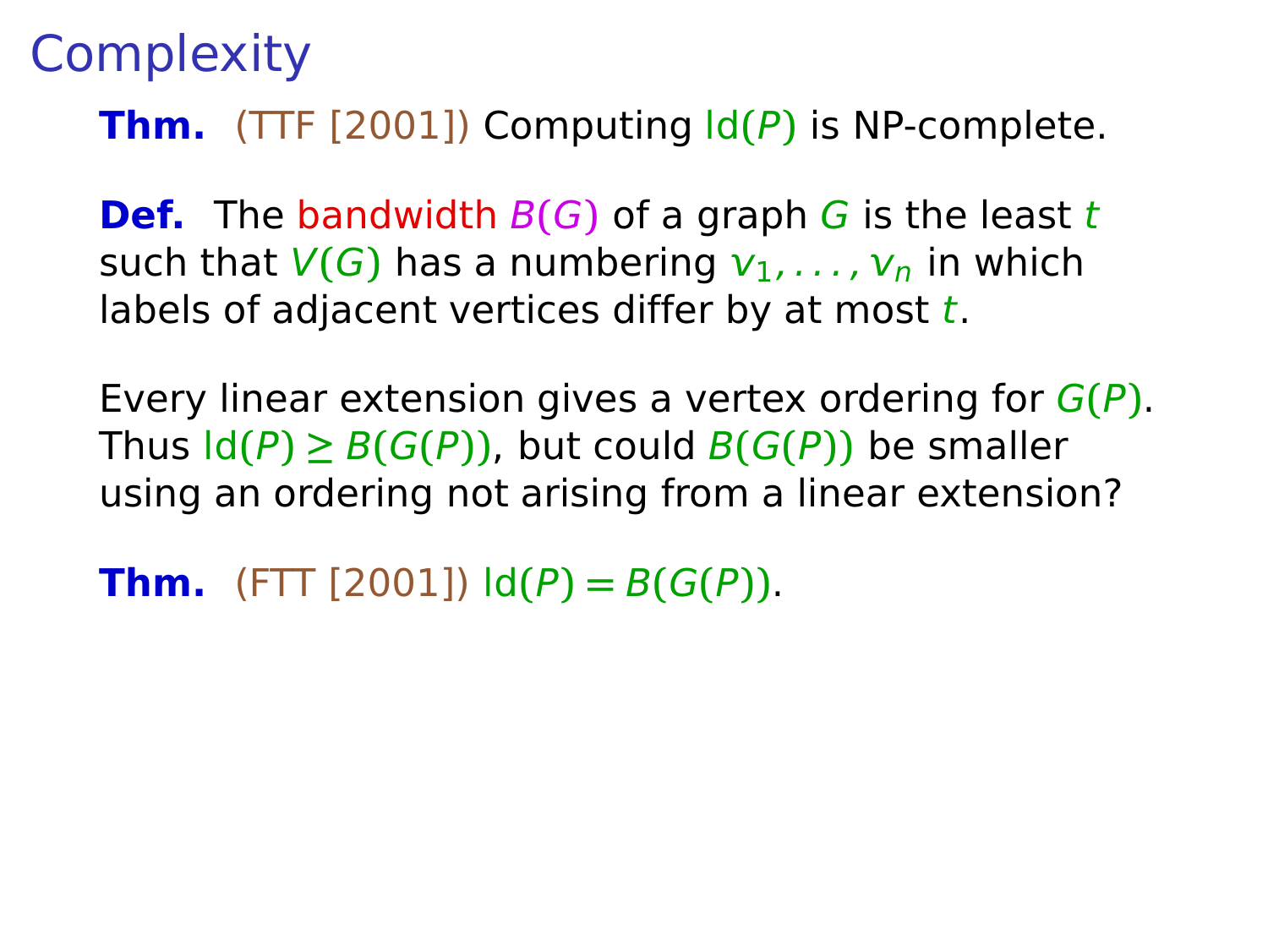**Def.** The bandwidth  $B(G)$  of a graph G is the least t such that  $V(G)$  has a numbering  $v_1, \ldots, v_n$  in which labels of adjacent vertices differ by at most  $t$ .

Every linear extension gives a vertex ordering for G**(**P**)**. Thus  $\text{Id}(P) \geq B(G(P))$ , but could  $B(G(P))$  be smaller using an ordering not arising from a linear extension?

**Thm.** (FTT [2001])  $\text{Id}(P) = B(G(P)).$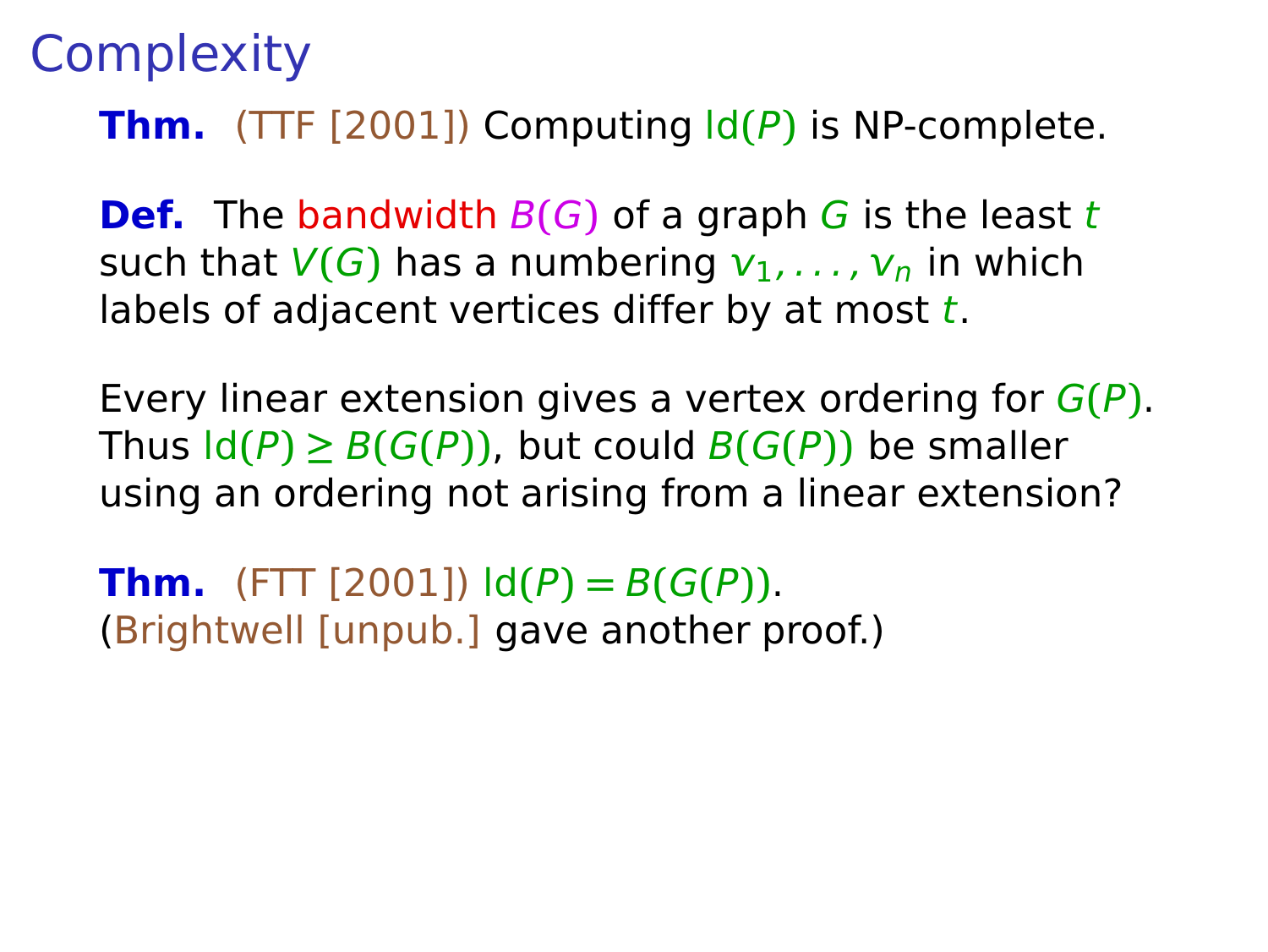**Def.** The bandwidth  $B(G)$  of a graph G is the least t such that  $V(G)$  has a numbering  $v_1, \ldots, v_n$  in which labels of adjacent vertices differ by at most  $t$ .

Every linear extension gives a vertex ordering for G**(**P**)**. Thus  $\text{Id}(P) \geq B(G(P))$ , but could  $B(G(P))$  be smaller using an ordering not arising from a linear extension?

**Thm.** (FTT [2001])  $ld(P) = B(G(P))$ . (Brightwell [unpub.] gave another proof.)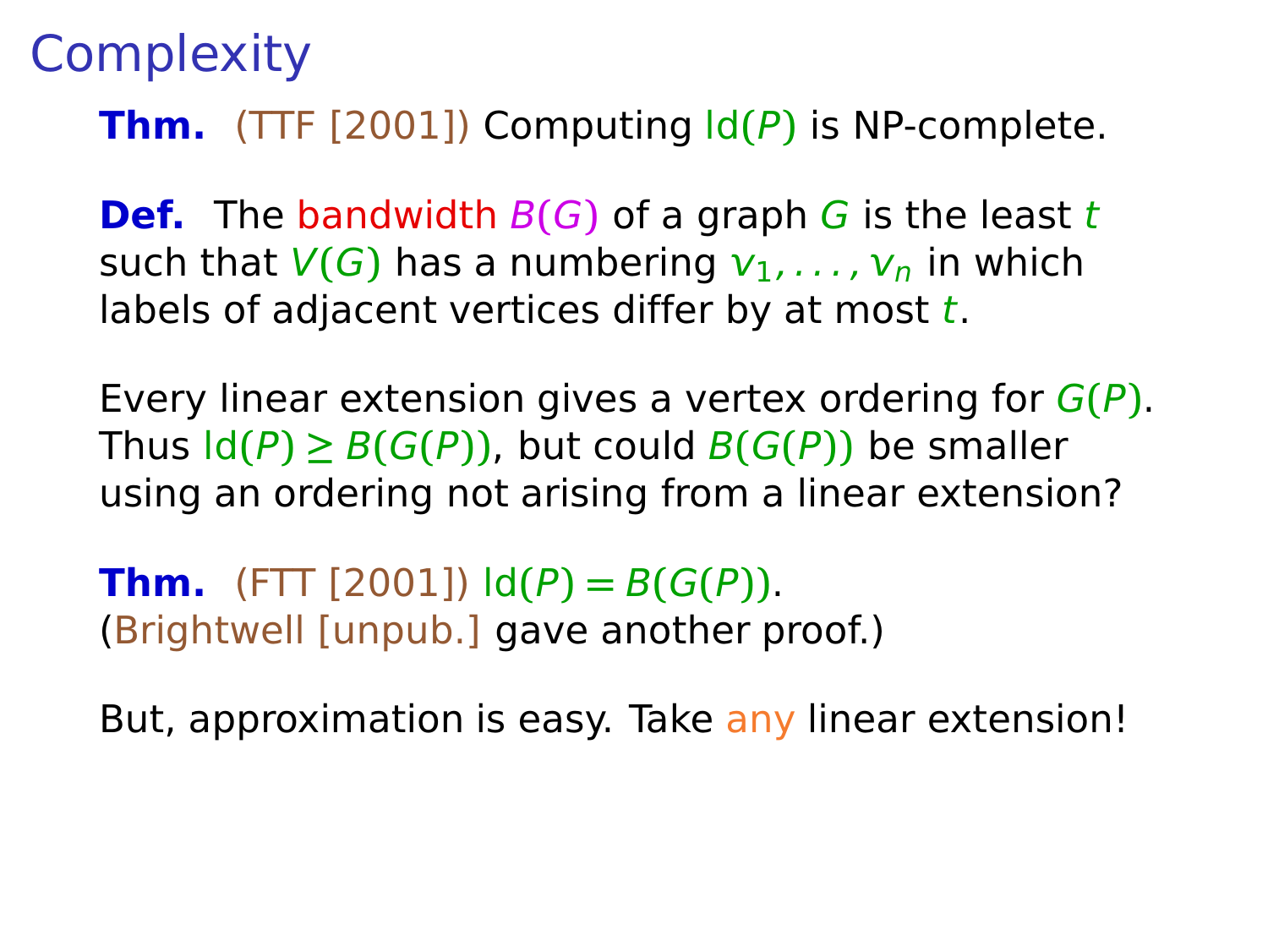**Def.** The bandwidth B**(**G**)** of a graph G is the least t such that  $V(G)$  has a numbering  $v_1, \ldots, v_n$  in which labels of adjacent vertices differ by at most  $t$ .

Every linear extension gives a vertex ordering for G**(**P**)**. Thus  $\text{Id}(P) \geq B(G(P))$ , but could  $B(G(P))$  be smaller using an ordering not arising from a linear extension?

**Thm.** (FTT [2001])  $ld(P) = B(G(P))$ . (Brightwell [unpub.] gave another proof.)

But, approximation is easy. Take any linear extension!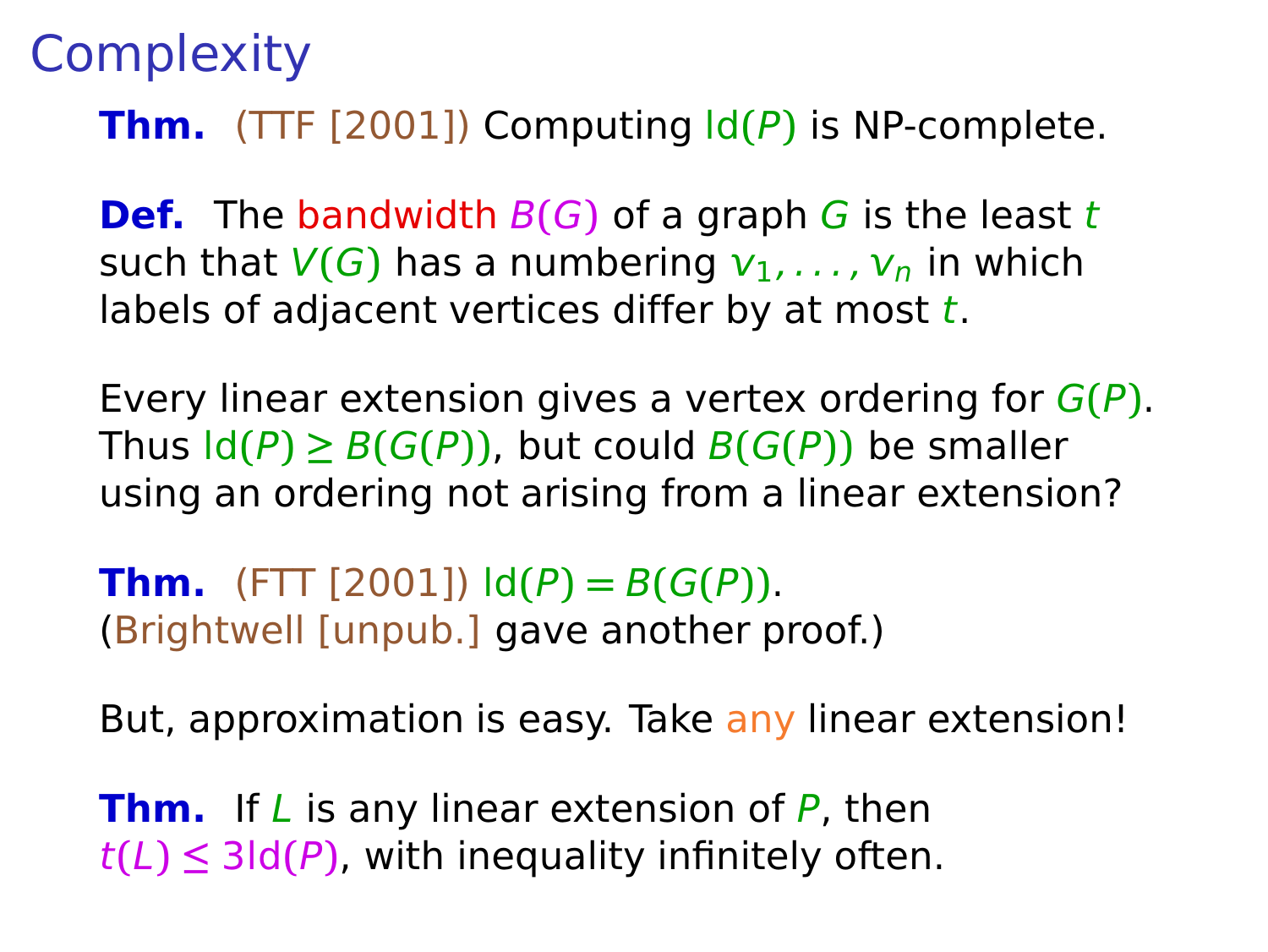**Def.** The bandwidth  $B(G)$  of a graph G is the least t such that  $V(G)$  has a numbering  $v_1, \ldots, v_n$  in which labels of adjacent vertices differ by at most  $t$ .

Every linear extension gives a vertex ordering for G**(**P**)**. Thus  $\text{Id}(P) \geq B(G(P))$ , but could  $B(G(P))$  be smaller using an ordering not arising from a linear extension?

**Thm.** (FTT [2001])  $ld(P) = B(G(P))$ . (Brightwell [unpub.] gave another proof.)

But, approximation is easy. Take any linear extension!

**Thm.** If L is any linear extension of P, then  $t(L) \leq 3$ ld $(P)$ , with inequality infinitely often.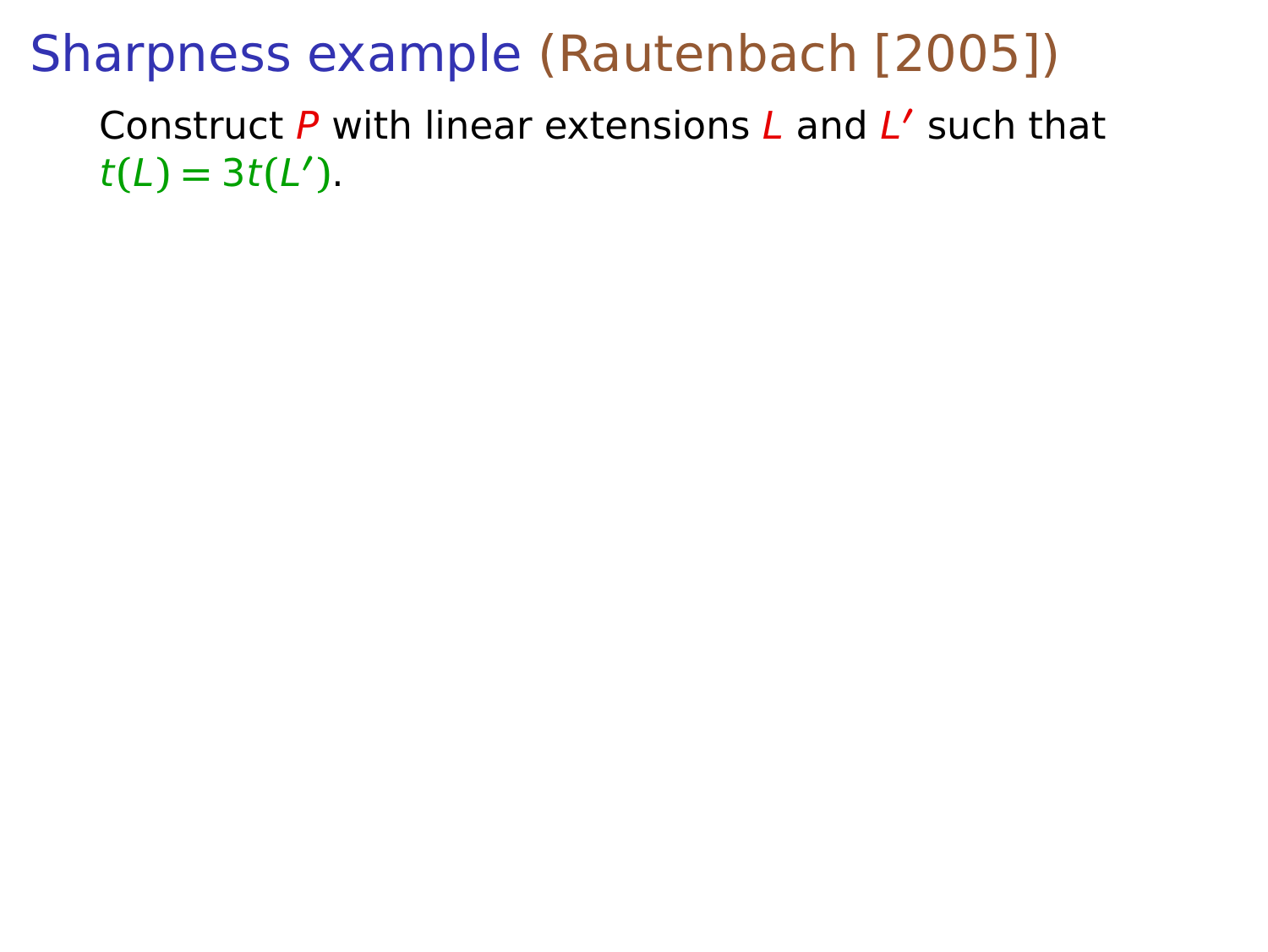## Sharpness example (Rautenbach [2005])

Construct P with linear extensions L and L **′** such that  $t(L) = 3t(L')$ .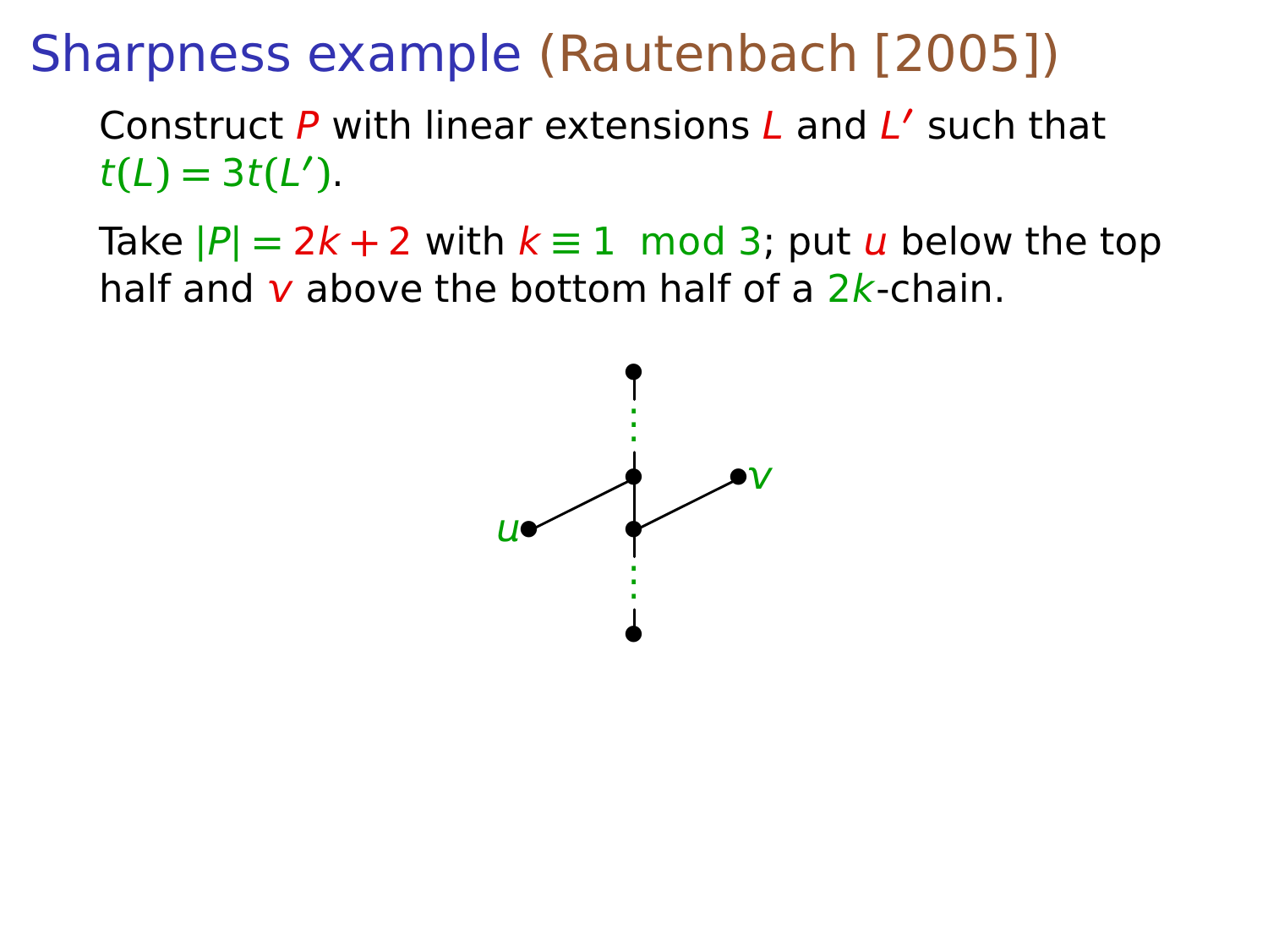## Sharpness example (Rautenbach [2005])

Construct P with linear extensions L and L **′** such that  $t(L) = 3t(L')$ .

Take  $|P| = 2k + 2$  with  $k \equiv 1 \mod 3$ ; put u below the top half and  $\nu$  above the bottom half of a  $2k$ -chain.

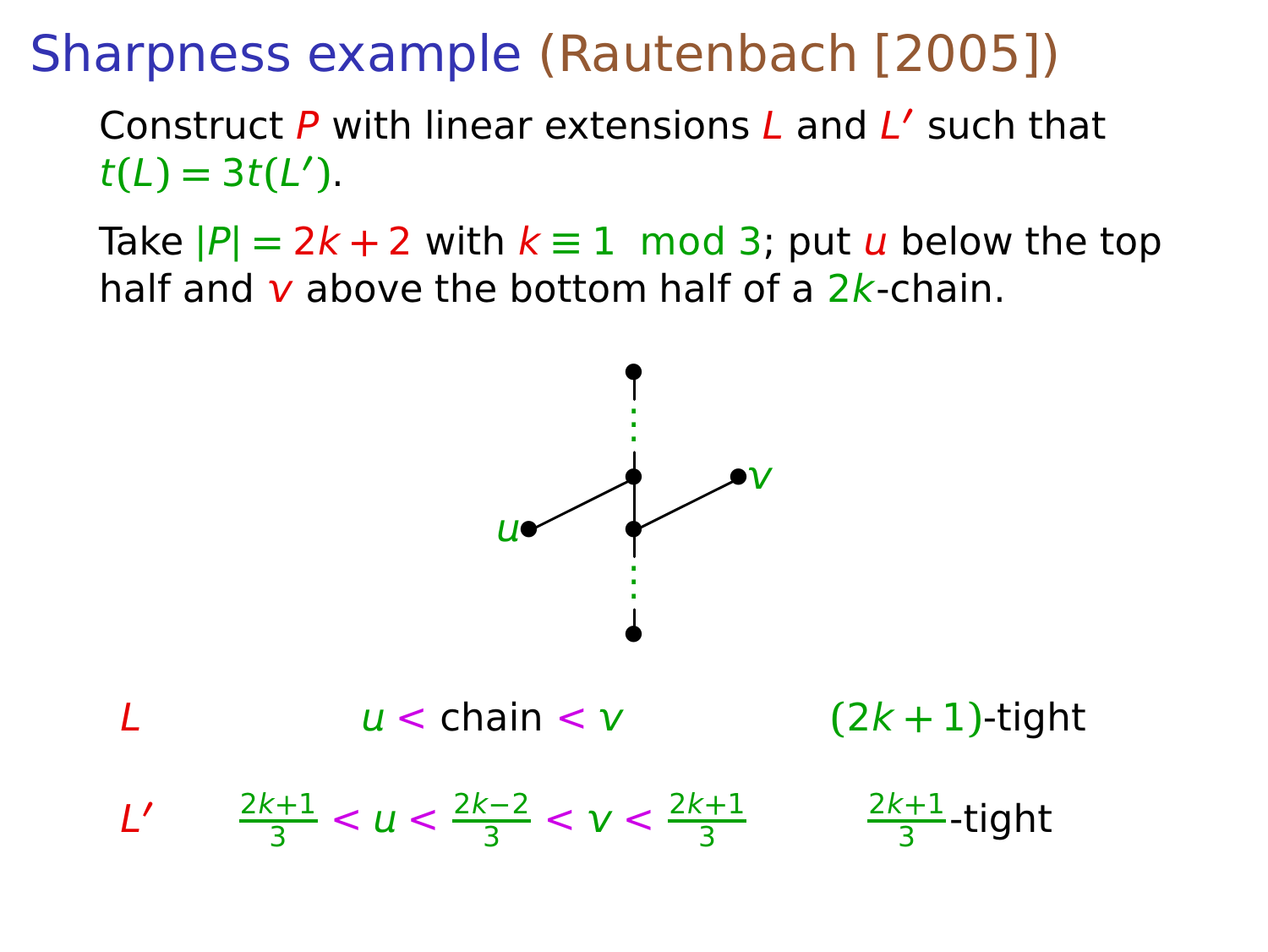#### Sharpness example (Rautenbach [2005])

Construct P with linear extensions L and L **′** such that  $t(L) = 3t(L')$ .

Take  $|P| = 2k + 2$  with  $k \equiv 1 \mod 3$ ; put u below the top half and  $\nu$  above the bottom half of a  $2k$ -chain.

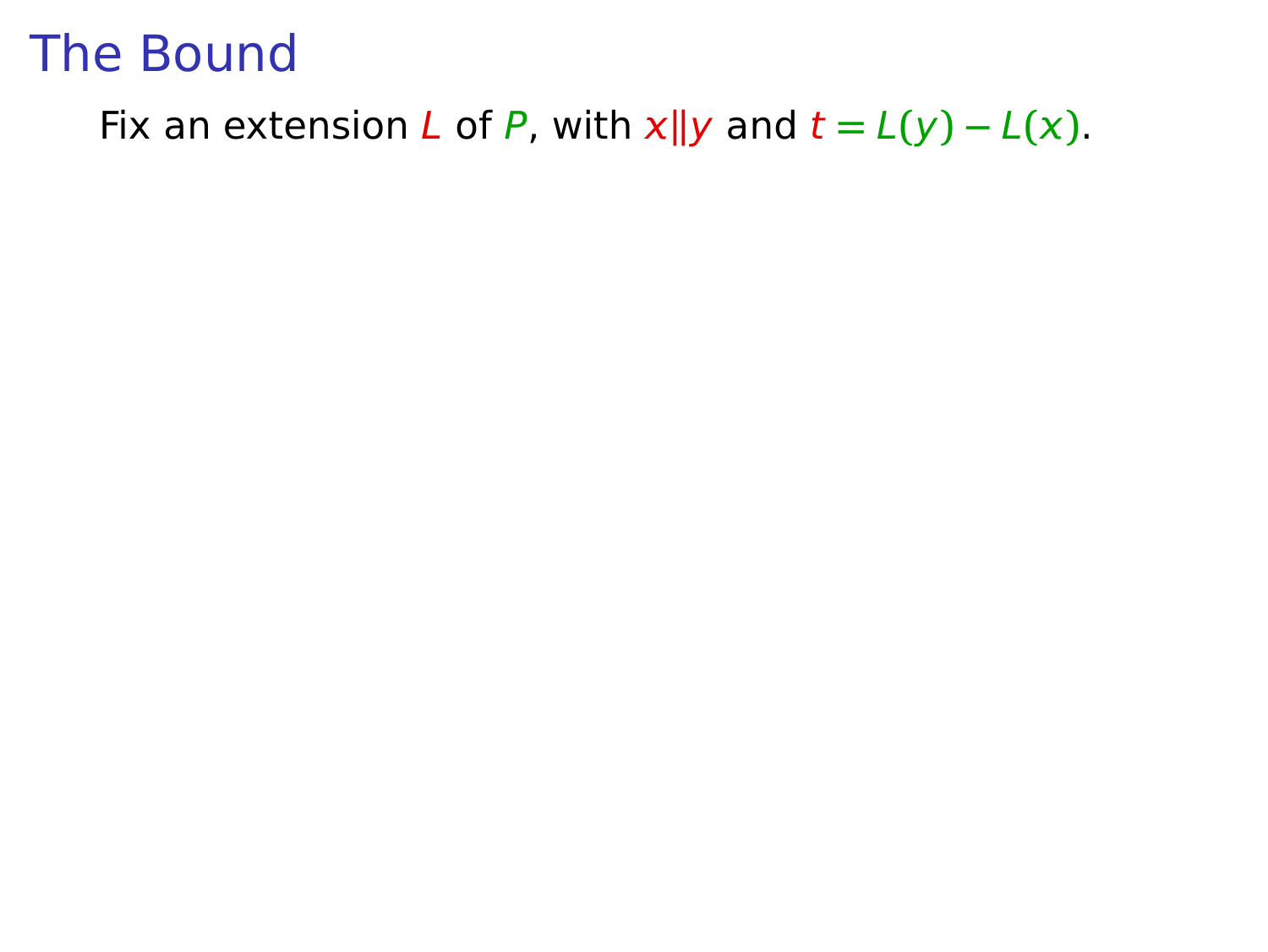Fix an extension L of P, with  $x||y$  and  $t = L(y) - L(x)$ .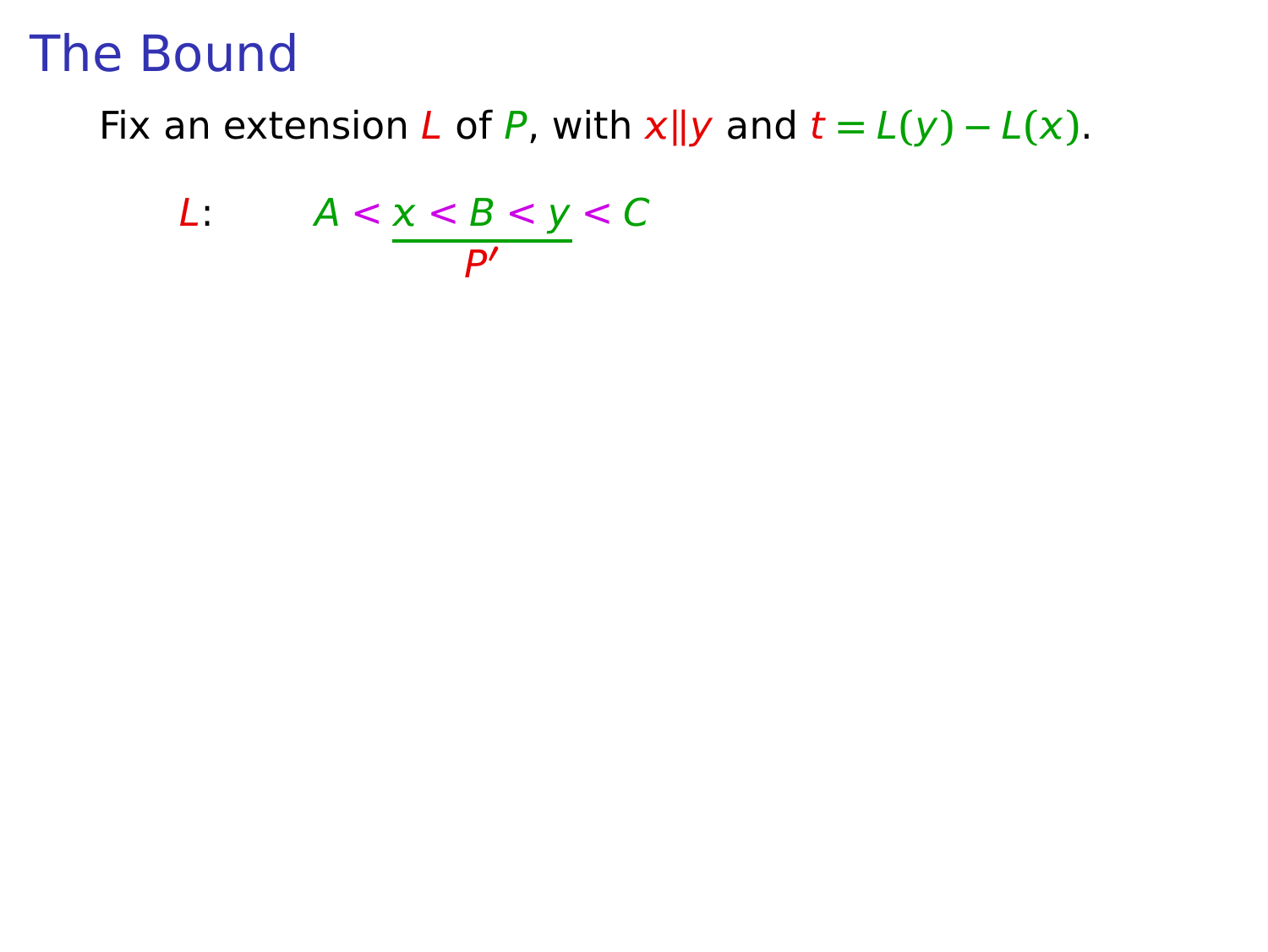Fix an extension L of P, with  $x||y$  and  $t = L(y) - L(x)$ .

$$
L: A < \underline{x < B < y < C} \\ \underline{P'}
$$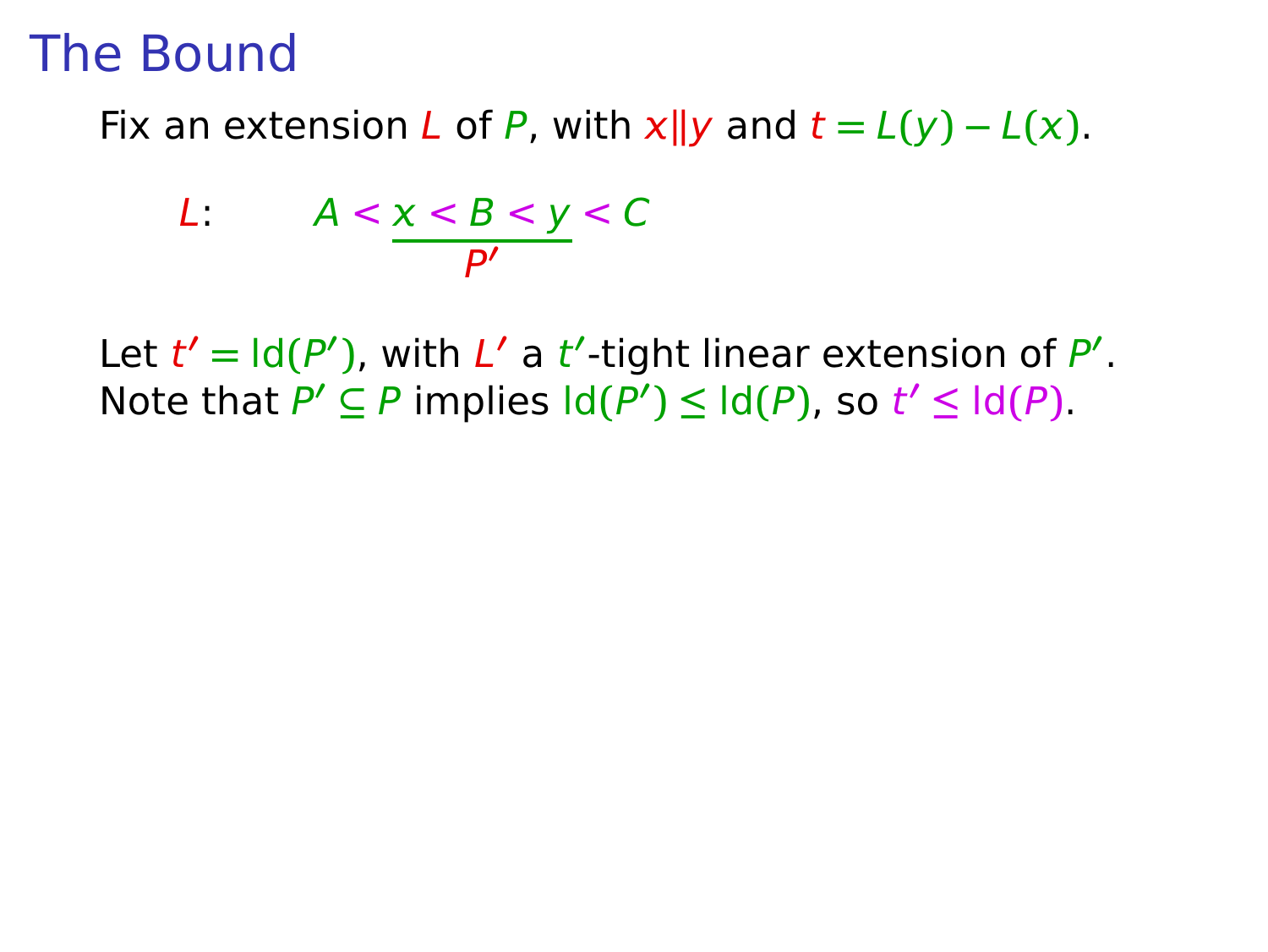Fix an extension L of P, with  $x||y$  and  $t = L(y) - L(x)$ .

$$
L: A < \underline{x < B < y < C} \\ \underline{P'} \quad \text{for } P' \quad \text{for } P' \quad \text{for } P' \quad \text{for } P' \quad \text{for } P' \quad \text{for } P' \quad \text{for } P' \quad \text{for } P' \quad \text{for } P' \quad \text{for } P' \quad \text{for } P' \quad \text{for } P' \quad \text{for } P' \quad \text{for } P' \quad \text{for } P' \quad \text{for } P' \quad \text{for } P' \quad \text{for } P' \quad \text{for } P' \quad \text{for } P' \quad \text{for } P' \quad \text{for } P' \quad \text{for } P' \quad \text{for } P' \quad \text{for } P' \quad \text{for } P' \quad \text{for } P' \quad \text{for } P' \quad \text{for } P' \quad \text{for } P' \quad \text{for } P' \quad \text{for } P' \quad \text{for } P' \quad \text{for } P' \quad \text{for } P' \quad \text{for } P' \quad \text{for } P' \quad \text{for } P' \quad \text{for } P' \quad \text{for } P' \quad \text{for } P' \quad \text{for } P' \quad \text{for } P' \quad \text{for } P' \quad \text{for } P' \quad \text{for } P' \quad \text{for } P' \quad \text{for } P' \quad \text{for } P' \quad \text{for } P' \quad \text{for } P' \quad \text{for } P' \quad \text{for } P' \quad \text{for } P' \quad \text{for } P' \quad \text{for } P' \quad \text{for } P' \quad \text{for } P' \quad \text{for } P' \quad \text{for } P' \quad \text{for } P' \quad \text{for } P' \quad \text{for } P' \quad \text{for } P' \quad \text{for } P' \quad \text{for } P' \quad \text{for } P' \quad \text{for } P' \quad \text{for } P' \quad \text{for } P' \quad \text{for } P' \quad \text{for } P' \quad \text{for } P' \quad \text{for } P' \quad \text{for } P' \quad \text{for } P' \quad \text{for } P' \quad \text{for } P' \quad \text{for } P' \quad \text{for } P' \quad \text{for } P' \quad
$$

Let  $t' = \text{Id}(P')$ , with  $L'$  a  $t'$ -tight linear extension of  $P'$ . Note that  $P' \subseteq P$  implies  $\text{Id}(P') \leq \text{Id}(P)$ , so  $t' \leq \text{Id}(P)$ .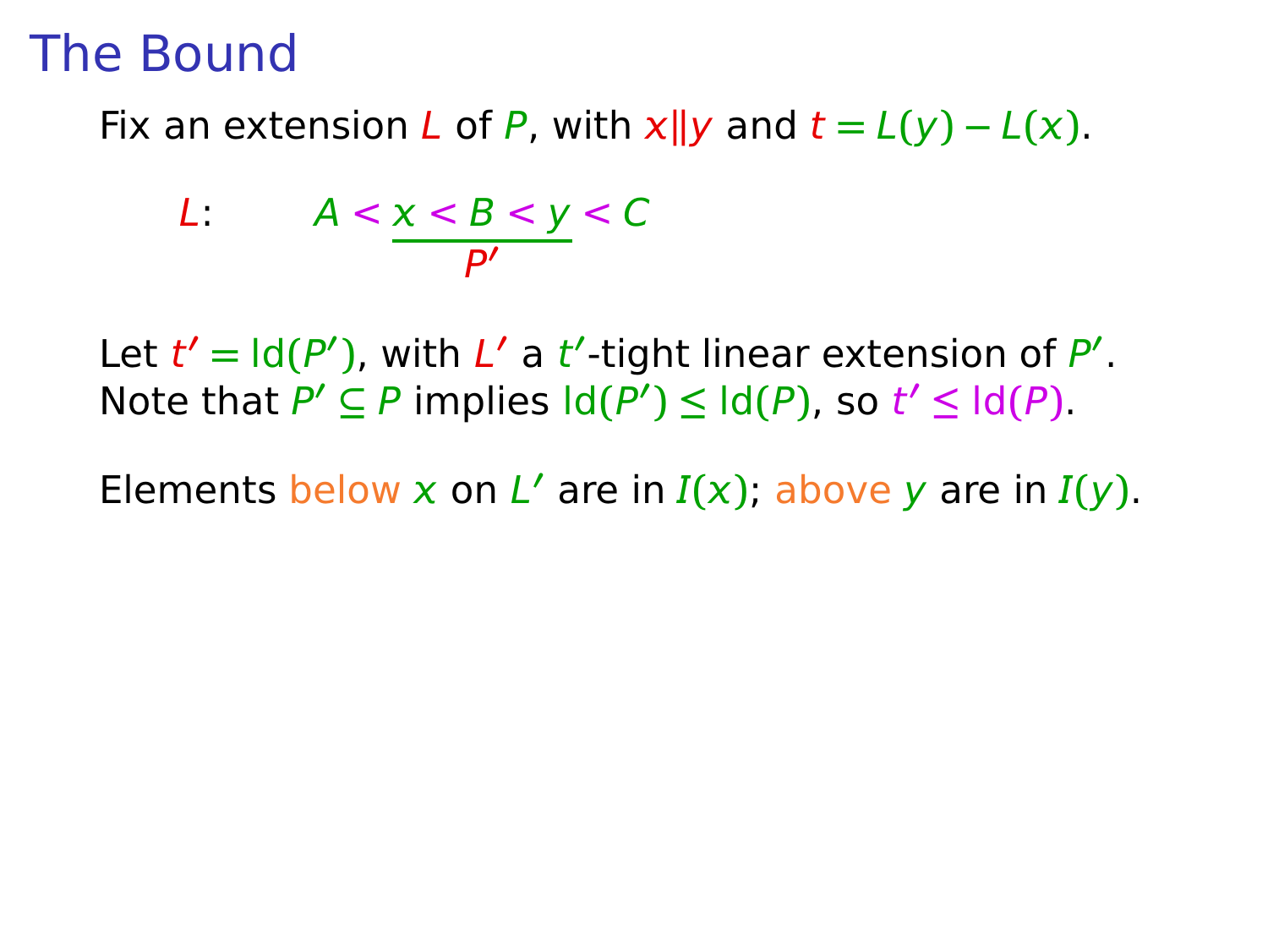Fix an extension L of P, with  $x||y$  and  $t = L(y) - L(x)$ .

$$
L: A < \underline{x < B < y < C} \\ \underline{P'} \quad \text{for } P' \quad \text{for } P' \quad \text{for } P' \quad \text{for } P' \quad \text{for } P' \quad \text{for } P' \quad \text{for } P' \quad \text{for } P' \quad \text{for } P' \quad \text{for } P' \quad \text{for } P' \quad \text{for } P' \quad \text{for } P' \quad \text{for } P' \quad \text{for } P' \quad \text{for } P' \quad \text{for } P' \quad \text{for } P' \quad \text{for } P' \quad \text{for } P' \quad \text{for } P' \quad \text{for } P' \quad \text{for } P' \quad \text{for } P' \quad \text{for } P' \quad \text{for } P' \quad \text{for } P' \quad \text{for } P' \quad \text{for } P' \quad \text{for } P' \quad \text{for } P' \quad \text{for } P' \quad \text{for } P' \quad \text{for } P' \quad \text{for } P' \quad \text{for } P' \quad \text{for } P' \quad \text{for } P' \quad \text{for } P' \quad \text{for } P' \quad \text{for } P' \quad \text{for } P' \quad \text{for } P' \quad \text{for } P' \quad \text{for } P' \quad \text{for } P' \quad \text{for } P' \quad \text{for } P' \quad \text{for } P' \quad \text{for } P' \quad \text{for } P' \quad \text{for } P' \quad \text{for } P' \quad \text{for } P' \quad \text{for } P' \quad \text{for } P' \quad \text{for } P' \quad \text{for } P' \quad \text{for } P' \quad \text{for } P' \quad \text{for } P' \quad \text{for } P' \quad \text{for } P' \quad \text{for } P' \quad \text{for } P' \quad \text{for } P' \quad \text{for } P' \quad \text{for } P' \quad \text{for } P' \quad \text{for } P' \quad \text{for } P' \quad \text{for } P' \quad \text{for } P' \quad \text{for } P' \quad \text{for } P' \quad \text{for } P' \quad \text{for } P' \quad \text{for } P' \quad \text{for } P' \quad \text{for } P' \quad \text{for } P' \quad
$$

Let  $t' = \text{Id}(P')$ , with  $L'$  a  $t'$ -tight linear extension of  $P'$ . Note that  $P' \subseteq P$  implies  $\text{Id}(P') \leq \text{Id}(P)$ , so  $t' \leq \text{Id}(P)$ .

Elements below x on L' are in  $I(x)$ ; above y are in  $I(y)$ .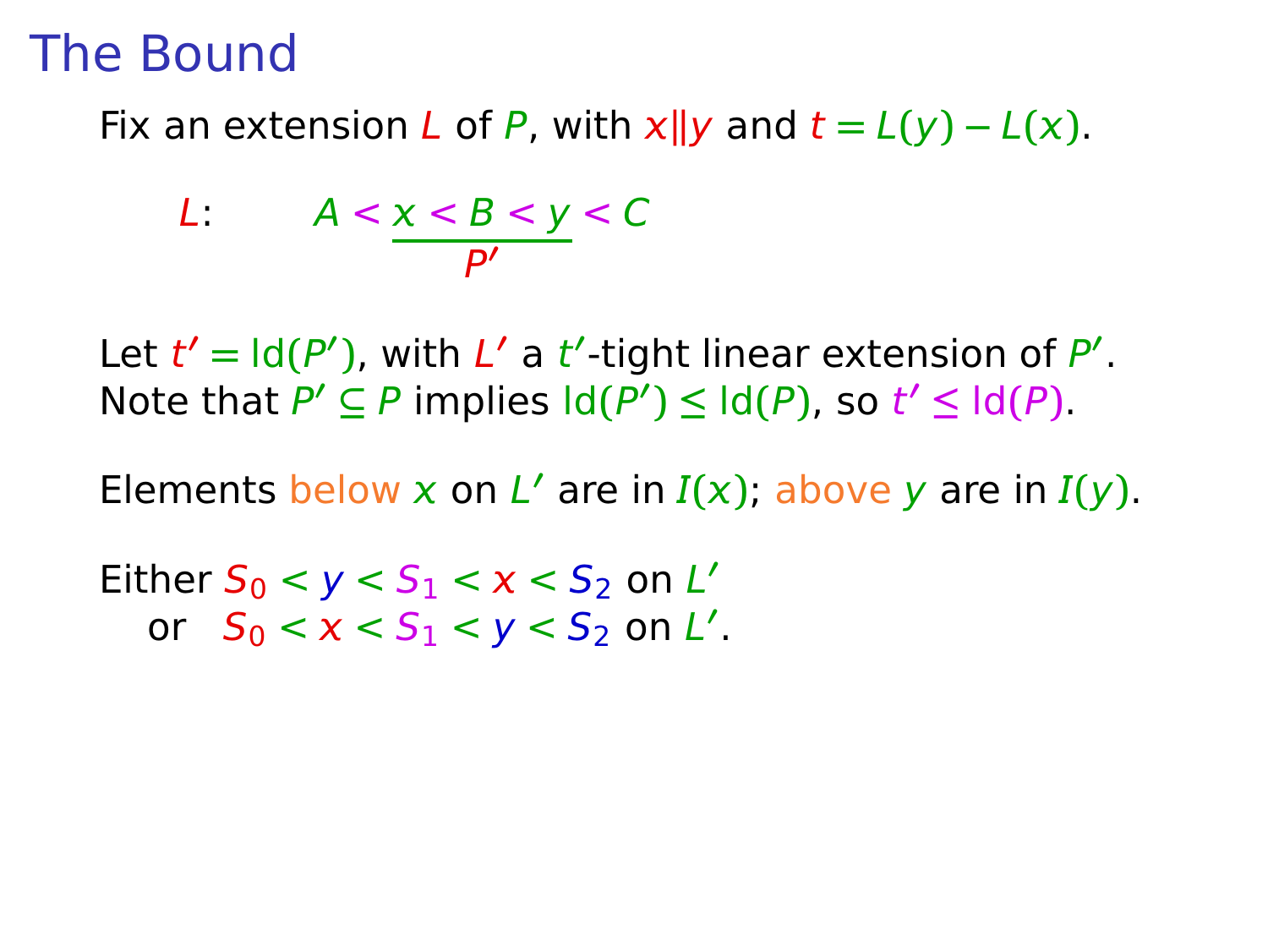Fix an extension L of P, with  $x||y$  and  $t = L(y) - L(x)$ .

$$
L: A < \underline{x < B < y < C} \\ \underline{P'} \quad \text{for } P' \quad \text{for } P' \quad \text{for } P' \quad \text{for } P' \quad \text{for } P' \quad \text{for } P' \quad \text{for } P' \quad \text{for } P' \quad \text{for } P' \quad \text{for } P' \quad \text{for } P' \quad \text{for } P' \quad \text{for } P' \quad \text{for } P' \quad \text{for } P' \quad \text{for } P' \quad \text{for } P' \quad \text{for } P' \quad \text{for } P' \quad \text{for } P' \quad \text{for } P' \quad \text{for } P' \quad \text{for } P' \quad \text{for } P' \quad \text{for } P' \quad \text{for } P' \quad \text{for } P' \quad \text{for } P' \quad \text{for } P' \quad \text{for } P' \quad \text{for } P' \quad \text{for } P' \quad \text{for } P' \quad \text{for } P' \quad \text{for } P' \quad \text{for } P' \quad \text{for } P' \quad \text{for } P' \quad \text{for } P' \quad \text{for } P' \quad \text{for } P' \quad \text{for } P' \quad \text{for } P' \quad \text{for } P' \quad \text{for } P' \quad \text{for } P' \quad \text{for } P' \quad \text{for } P' \quad \text{for } P' \quad \text{for } P' \quad \text{for } P' \quad \text{for } P' \quad \text{for } P' \quad \text{for } P' \quad \text{for } P' \quad \text{for } P' \quad \text{for } P' \quad \text{for } P' \quad \text{for } P' \quad \text{for } P' \quad \text{for } P' \quad \text{for } P' \quad \text{for } P' \quad \text{for } P' \quad \text{for } P' \quad \text{for } P' \quad \text{for } P' \quad \text{for } P' \quad \text{for } P' \quad \text{for } P' \quad \text{for } P' \quad \text{for } P' \quad \text{for } P' \quad \text{for } P' \quad \text{for } P' \quad \text{for } P' \quad \text{for } P' \quad \text{for } P' \quad \text{for } P' \quad \text{for } P' \quad \text{for } P' \quad
$$

Let  $t' = \text{Id}(P')$ , with  $L'$  a  $t'$ -tight linear extension of  $P'$ . Note that  $P' \subseteq P$  implies  $\text{Id}(P') \leq \text{Id}(P)$ , so  $t' \leq \text{Id}(P)$ .

Elements below x on L' are in  $I(x)$ ; above y are in  $I(y)$ .

Either  $S_0 < y < S_1 < x < S_2$  on  $L'$ or  $S_0 < x < S_1 < y < S_2$  on L'.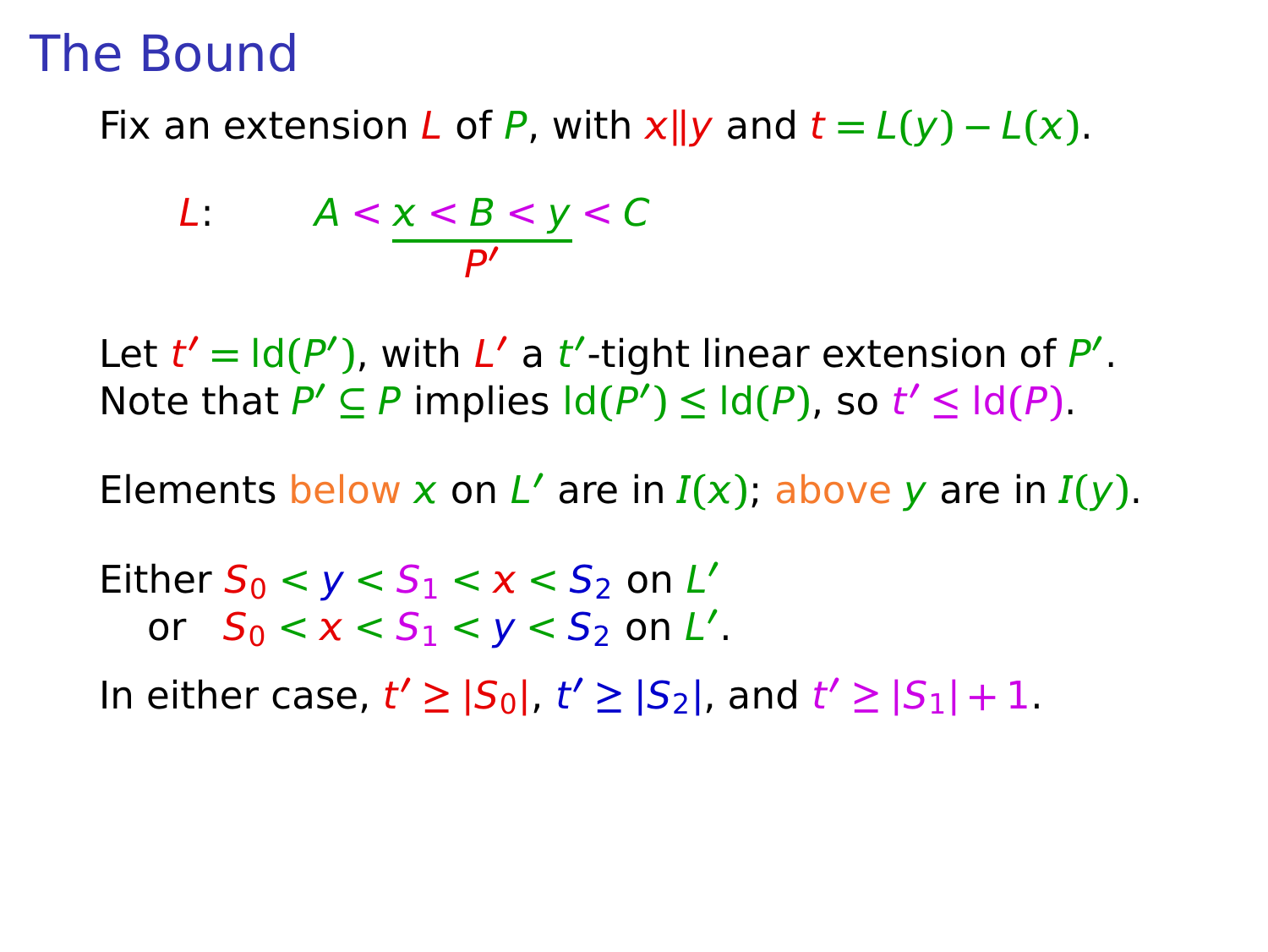Fix an extension L of P, with  $x||y$  and  $t = L(y) - L(x)$ .

$$
L: A < \underline{x < B < y < C} \\ \underline{P'} \quad \text{for } P' \quad \text{for } P' \quad \text{for } P' \quad \text{for } P' \quad \text{for } P' \quad \text{for } P' \quad \text{for } P' \quad \text{for } P' \quad \text{for } P' \quad \text{for } P' \quad \text{for } P' \quad \text{for } P' \quad \text{for } P' \quad \text{for } P' \quad \text{for } P' \quad \text{for } P' \quad \text{for } P' \quad \text{for } P' \quad \text{for } P' \quad \text{for } P' \quad \text{for } P' \quad \text{for } P' \quad \text{for } P' \quad \text{for } P' \quad \text{for } P' \quad \text{for } P' \quad \text{for } P' \quad \text{for } P' \quad \text{for } P' \quad \text{for } P' \quad \text{for } P' \quad \text{for } P' \quad \text{for } P' \quad \text{for } P' \quad \text{for } P' \quad \text{for } P' \quad \text{for } P' \quad \text{for } P' \quad \text{for } P' \quad \text{for } P' \quad \text{for } P' \quad \text{for } P' \quad \text{for } P' \quad \text{for } P' \quad \text{for } P' \quad \text{for } P' \quad \text{for } P' \quad \text{for } P' \quad \text{for } P' \quad \text{for } P' \quad \text{for } P' \quad \text{for } P' \quad \text{for } P' \quad \text{for } P' \quad \text{for } P' \quad \text{for } P' \quad \text{for } P' \quad \text{for } P' \quad \text{for } P' \quad \text{for } P' \quad \text{for } P' \quad \text{for } P' \quad \text{for } P' \quad \text{for } P' \quad \text{for } P' \quad \text{for } P' \quad \text{for } P' \quad \text{for } P' \quad \text{for } P' \quad \text{for } P' \quad \text{for } P' \quad \text{for } P' \quad \text{for } P' \quad \text{for } P' \quad \text{for } P' \quad \text{for } P' \quad \text{for } P' \quad \text{for } P' \quad \text{for } P' \quad \text{for } P' \quad \text{for } P' \quad
$$

Let  $t' = \text{Id}(P')$ , with  $L'$  a  $t'$ -tight linear extension of  $P'$ . Note that  $P' \subseteq P$  implies  $\text{Id}(P') \leq \text{Id}(P)$ , so  $t' \leq \text{Id}(P)$ .

Elements below x on L' are in  $I(x)$ ; above y are in  $I(y)$ .

Either  $S_0 < y < S_1 < x < S_2$  on  $L'$ or  $S_0 < x < S_1 < y < S_2$  on L'.

 $|S_0|, t' ≥ |S_2|,$  and  $t' ≥ |S_1| + 1$ .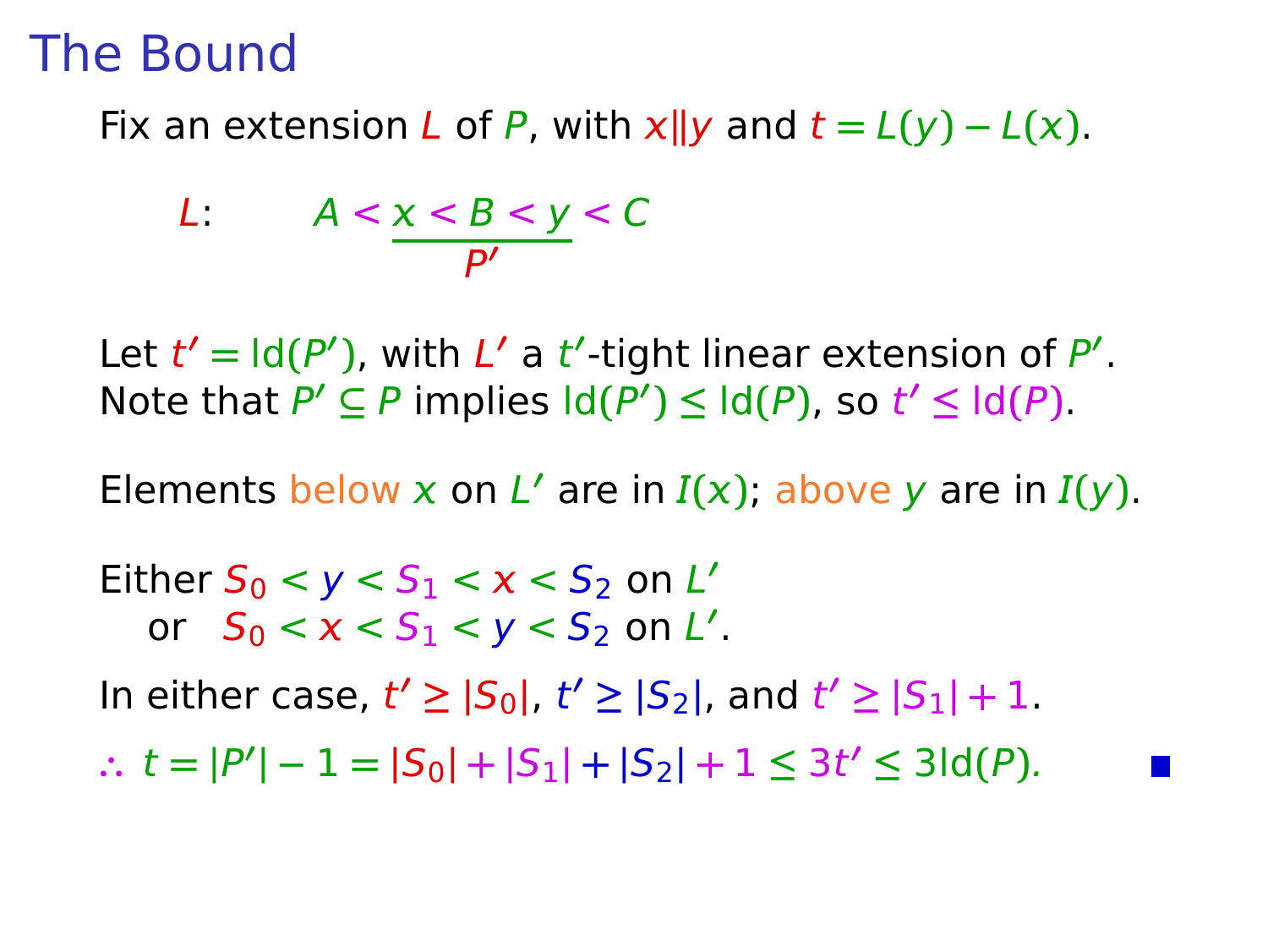Fix an extension L of P, with  $x||y$  and  $t = L(y) - L(x)$ .

$$
L: A < \underline{x < B < y < C} \\ \underline{P'}
$$

Let  $t' = \text{Id}(P')$ , with  $L'$  a  $t'$ -tight linear extension of  $P'$ . Note that  $P' \subseteq P$  implies  $\text{Id}(P') \leq \text{Id}(P)$ , so  $t' \leq \text{Id}(P)$ .

Elements below x on L' are in  $I(x)$ ; above y are in  $I(y)$ .

Either  $S_0 < y < S_1 < x < S_2$  on  $L'$ or  $S_0 < x < S_1 < y < S_2$  on L'.  $|S_0|, t' ≥ |S_2|,$  and  $t' ≥ |S_1| + 1$ . ∴  $t = |P'| - 1 = |S_0| + |S_1| + |S_2| + 1 \le 3t' \le 3\text{Id}(P).$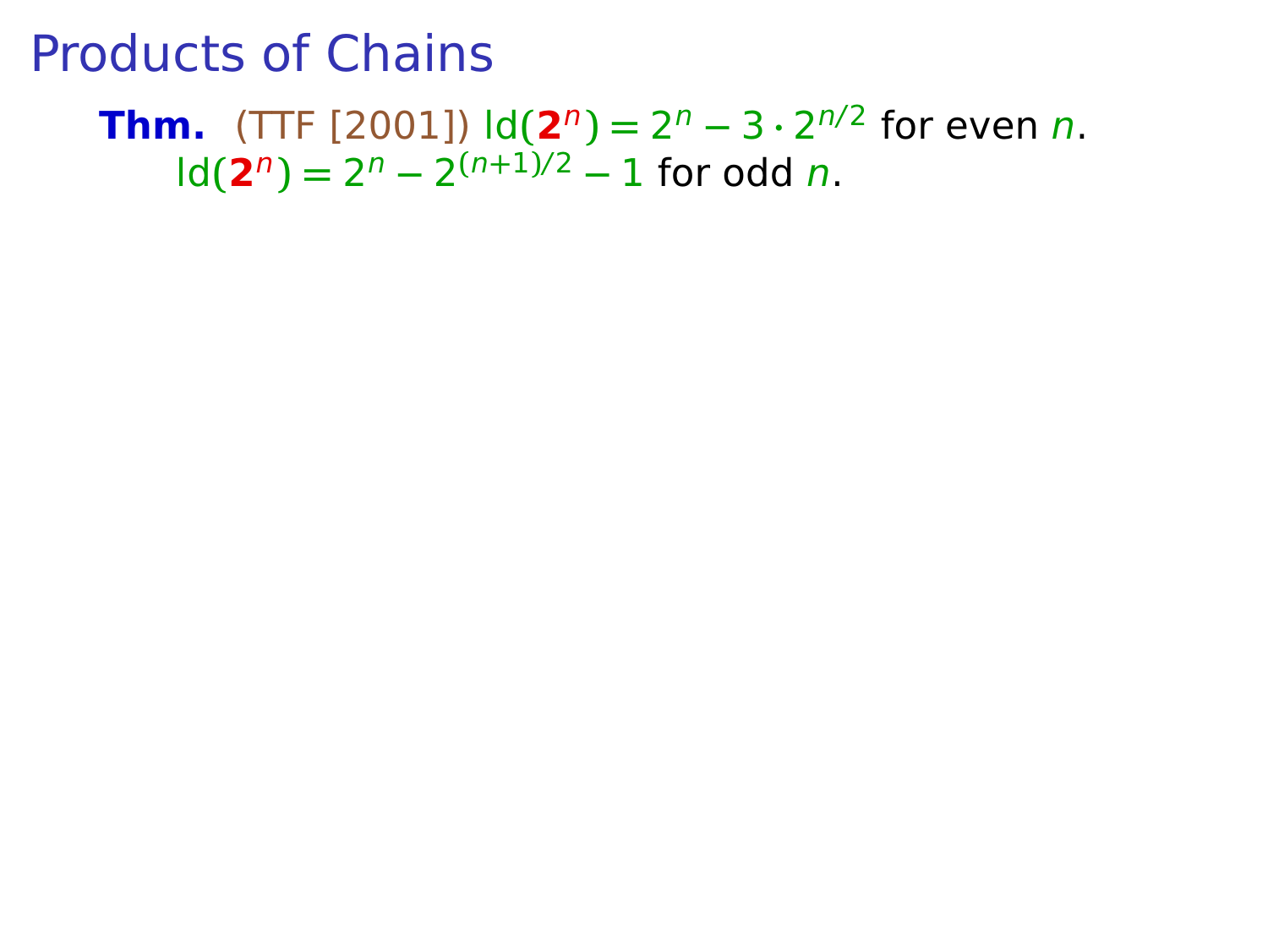#### **Thm.** (TTF [2001])  $\text{Id}(2^n) = 2^n - 3 \cdot 2^{n/2}$  for even *n*.  $\text{Id}(\mathbf{2}^n) = 2^n - 2^{(n+1)/2} - 1$  for odd n.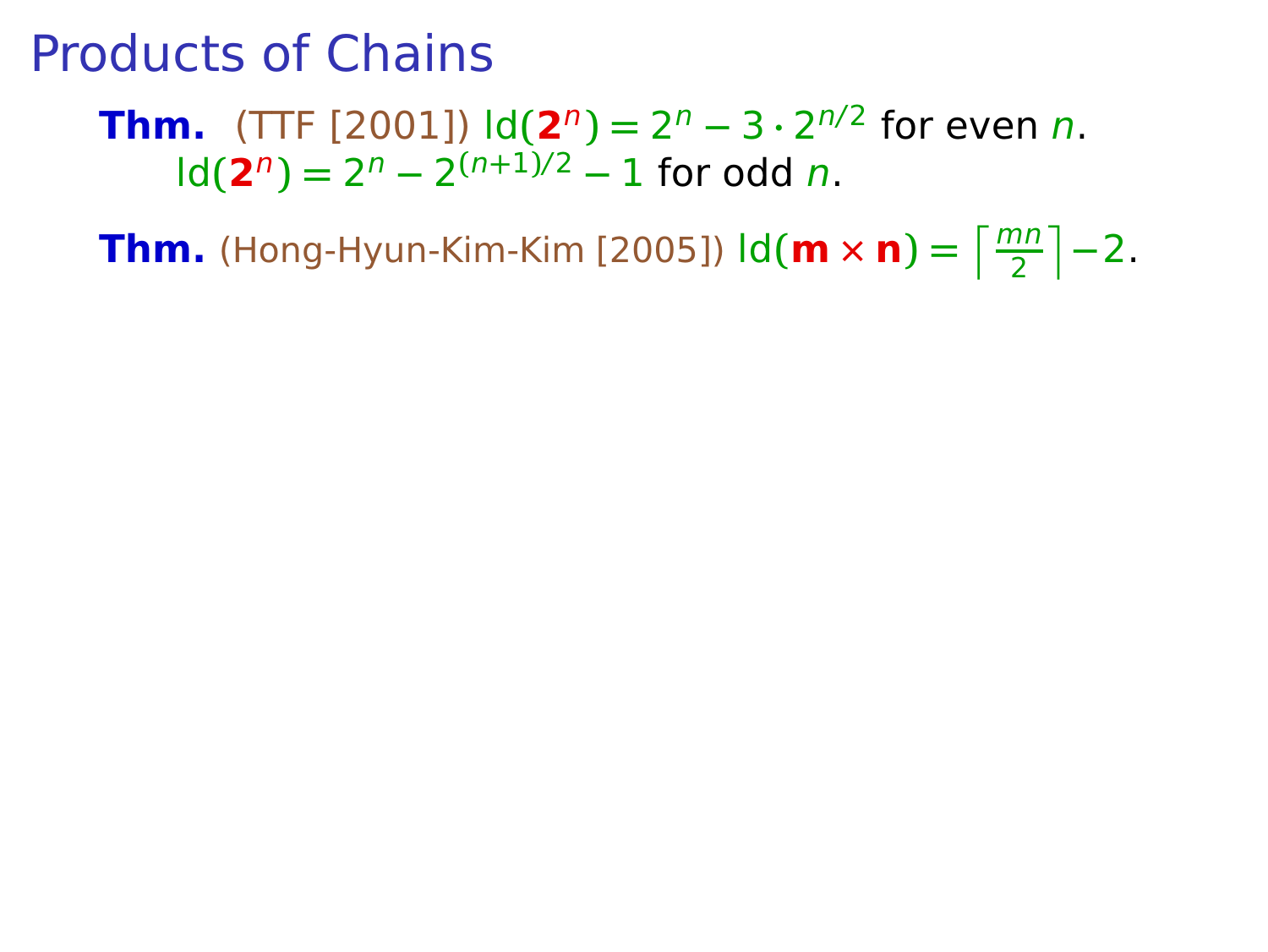**Thm.** (TTF [2001])  $\text{Id}(2^n) = 2^n - 3 \cdot 2^{n/2}$  for even *n*.  $\text{Id}(\mathbf{2}^n) = 2^n - 2^{(n+1)/2} - 1$  for odd n.

**Thm.** (Hong-Hyun-Kim-Kim [2005])  $\text{Id}(\mathbf{m} \times \mathbf{n}) = \left\lceil \frac{mn}{2} \right\rceil - 2$ .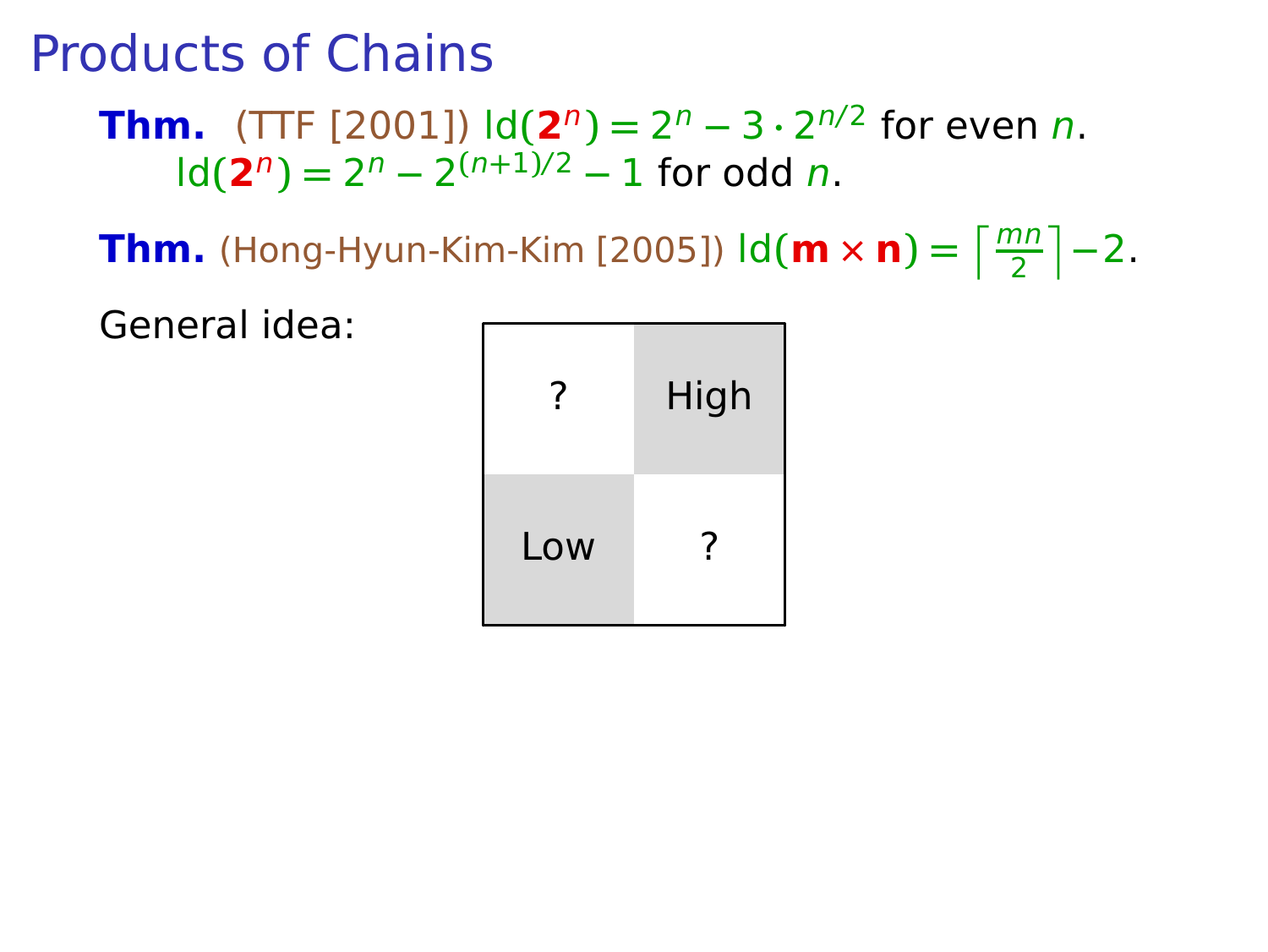**Thm.** (TTF [2001])  $\text{Id}(2^n) = 2^n - 3 \cdot 2^{n/2}$  for even *n*.  $\text{Id}(\mathbf{2}^n) = 2^n - 2^{(n+1)/2} - 1$  for odd n.

**Thm.** (Hong-Hyun-Kim-Kim [2005])  $\text{Id}(\mathbf{m} \times \mathbf{n}) = \left\lceil \frac{mn}{2} \right\rceil - 2$ .

General idea:

|     | High |
|-----|------|
| Low | ॽ    |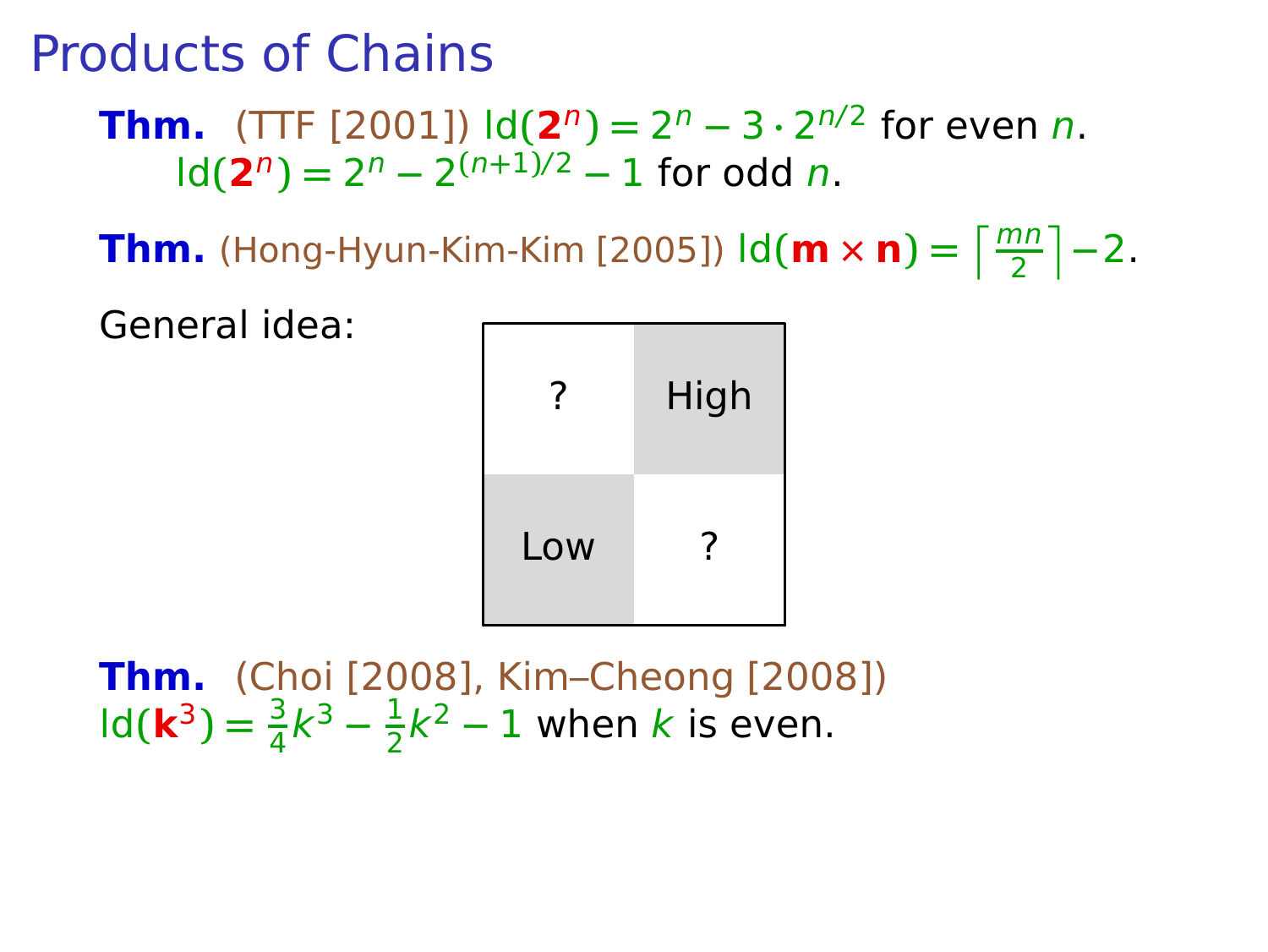**Thm.** (TTF [2001])  $\text{Id}(2^n) = 2^n - 3 \cdot 2^{n/2}$  for even *n*.  $\text{Id}(\mathbf{2}^n) = 2^n - 2^{(n+1)/2} - 1$  for odd n.

**Thm.** (Hong-Hyun-Kim-Kim [2005])  $\text{Id}(\mathbf{m} \times \mathbf{n}) = \left\lceil \frac{mn}{2} \right\rceil - 2$ .

General idea:

|     | High |
|-----|------|
| Low |      |

**Thm.** (Choi [2008], Kim–Cheong [2008])  $\text{Id}(\mathbf{k}^3) = \frac{3}{4}k^3 - \frac{1}{2}$  $\frac{1}{2}k^2 - 1$  when k is even.